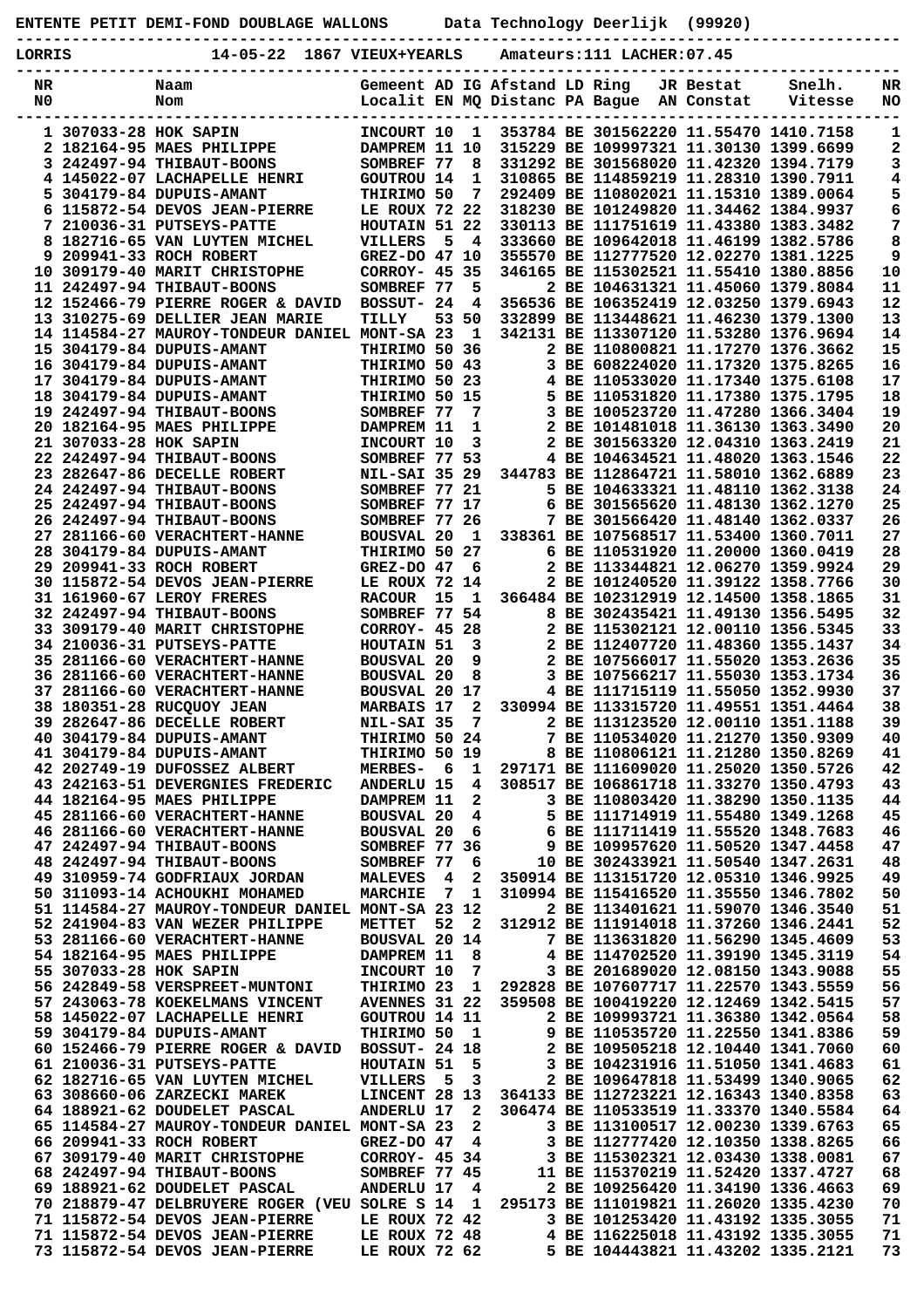| ENTENTE PETIT DEMI-FOND DOUBLAGE WALLONS | Data Technology Deerlijk (99920) |  |
|------------------------------------------|----------------------------------|--|
|------------------------------------------|----------------------------------|--|

**-----------------------------------------------------------------------------------------------**

| LORRIS               |                        | 14-05-22                                                         | 1867 VIEUX+YEARLS                                               |                |                         |  | Amateurs:111 LACHER:07.45 |                         |                                                                                  |            |
|----------------------|------------------------|------------------------------------------------------------------|-----------------------------------------------------------------|----------------|-------------------------|--|---------------------------|-------------------------|----------------------------------------------------------------------------------|------------|
| NR<br>N <sub>0</sub> |                        | Naam<br>Nom                                                      | Gemeent AD IG Afstand LD Ring<br>Localit EN MQ Distanc PA Bague |                |                         |  |                           | JR Bestat<br>AN Constat | Snelh.<br>Vitesse                                                                | NR<br>NO   |
|                      | 1 307033-28 HOK SAPIN  |                                                                  | INCOURT 10                                                      |                | $\mathbf{1}$            |  |                           |                         | 353784 BE 301562220 11.55470 1410.7158                                           | 1          |
|                      |                        | 2 182164-95 MAES PHILIPPE                                        | DAMPREM 11 10                                                   |                |                         |  |                           |                         | 315229 BE 109997321 11.30130 1399.6699                                           | 2          |
|                      |                        | 3 242497-94 THIBAUT-BOONS                                        | SOMBREF 77                                                      |                | 8                       |  |                           |                         | 331292 BE 301568020 11.42320 1394.7179                                           | 3          |
|                      |                        | 4 145022-07 LACHAPELLE HENRI<br>5 304179-84 DUPUIS-AMANT         | <b>GOUTROU 14</b><br>THIRIMO 50                                 |                | 1<br>7                  |  |                           |                         | 310865 BE 114859219 11.28310 1390.7911                                           | 4          |
|                      |                        | 6 115872-54 DEVOS JEAN-PIERRE                                    | LE ROUX 72 22                                                   |                |                         |  |                           |                         | 292409 BE 110802021 11.15310 1389.0064<br>318230 BE 101249820 11.34462 1384.9937 | 5<br>6     |
|                      |                        | 7 210036-31 PUTSEYS-PATTE                                        | HOUTAIN 51 22                                                   |                |                         |  |                           |                         | 330113 BE 111751619 11.43380 1383.3482                                           | 7          |
|                      |                        | 8 182716-65 VAN LUYTEN MICHEL                                    | VILLERS                                                         | 5              | $\overline{\mathbf{4}}$ |  |                           |                         | 333660 BE 109642018 11.46199 1382.5786                                           | 8          |
|                      |                        | 9 209941-33 ROCH ROBERT                                          | GREZ-DO 47 10                                                   |                |                         |  |                           |                         | 355570 BE 112777520 12.02270 1381.1225                                           | 9          |
|                      |                        | 10 309179-40 MARIT CHRISTOPHE                                    | CORROY- 45 35                                                   |                |                         |  |                           |                         | 346165 BE 115302521 11.55410 1380.8856                                           | ${\bf 10}$ |
|                      |                        | 11 242497-94 THIBAUT-BOONS<br>12 152466-79 PIERRE ROGER & DAVID  | SOMBREF 77<br>BOSSUT- 24                                        |                | 5<br>4                  |  |                           |                         | 2 BE 104631321 11.45060 1379.8084<br>356536 BE 106352419 12.03250 1379.6943      | 11<br>12   |
|                      |                        | 13 310275-69 DELLIER JEAN MARIE                                  | TILLY                                                           |                | 53 50                   |  |                           |                         | 332899 BE 113448621 11.46230 1379.1300                                           | 13         |
|                      |                        | 14 114584-27 MAUROY-TONDEUR DANIEL MONT-SA 23                    |                                                                 |                | $\mathbf{1}$            |  |                           |                         | 342131 BE 113307120 11.53280 1376.9694                                           | 14         |
|                      |                        | 15 304179-84 DUPUIS-AMANT                                        | THIRIMO 50 36                                                   |                |                         |  |                           |                         | 2 BE 110800821 11.17270 1376.3662                                                | 15         |
|                      |                        | 16 304179-84 DUPUIS-AMANT                                        | THIRIMO 50 43                                                   |                |                         |  |                           |                         | 3 BE 608224020 11.17320 1375.8265                                                | 16         |
|                      |                        | 17 304179-84 DUPUIS-AMANT<br>18 304179-84 DUPUIS-AMANT           | THIRIMO 50 23<br>THIRIMO 50 15                                  |                |                         |  |                           |                         | 4 BE 110533020 11.17340 1375.6108<br>5 BE 110531820 11.17380 1375.1795           | 17<br>18   |
|                      |                        | 19 242497-94 THIBAUT-BOONS                                       | SOMBREF 77                                                      |                | 7                       |  |                           |                         | 3 BE 100523720 11.47280 1366.3404                                                | 19         |
|                      |                        | 20 182164-95 MAES PHILIPPE                                       | DAMPREM 11                                                      |                | 1                       |  |                           |                         | 2 BE 101481018 11.36130 1363.3490                                                | 20         |
|                      | 21 307033-28 HOK SAPIN |                                                                  | INCOURT 10                                                      |                | 3                       |  |                           |                         | 2 BE 301563320 12.04310 1363.2419                                                | 21         |
|                      |                        | 22 242497-94 THIBAUT-BOONS                                       | SOMBREF 77 53                                                   |                |                         |  |                           |                         | 4 BE 104634521 11.48020 1363.1546                                                | 22         |
|                      |                        | 23 282647-86 DECELLE ROBERT<br>24 242497-94 THIBAUT-BOONS        | <b>NIL-SAI 35 29</b>                                            |                |                         |  |                           |                         | 344783 BE 112864721 11.58010 1362.6889<br>5 BE 104633321 11.48110 1362.3138      | 23         |
|                      |                        | 25 242497-94 THIBAUT-BOONS                                       | SOMBREF 77 21<br>SOMBREF 77 17                                  |                |                         |  |                           |                         | 6 BE 301565620 11.48130 1362.1270                                                | 24<br>25   |
|                      |                        | 26 242497-94 THIBAUT-BOONS                                       | SOMBREF 77 26                                                   |                |                         |  |                           |                         | 7 BE 301566420 11.48140 1362.0337                                                | 26         |
|                      |                        | 27 281166-60 VERACHTERT-HANNE                                    | <b>BOUSVAL 20</b>                                               |                | 1                       |  |                           |                         | 338361 BE 107568517 11.53400 1360.7011                                           | 27         |
|                      |                        | 28 304179-84 DUPUIS-AMANT                                        | THIRIMO 50 27                                                   |                |                         |  |                           |                         | 6 BE 110531920 11.20000 1360.0419                                                | 28         |
|                      |                        | 29 209941-33 ROCH ROBERT                                         | GREZ-DO 47                                                      |                | 6                       |  |                           |                         | 2 BE 113344821 12.06270 1359.9924                                                | 29         |
|                      |                        | 30 115872-54 DEVOS JEAN-PIERRE<br>31 161960-67 LEROY FRERES      | LE ROUX 72 14<br><b>RACOUR</b>                                  | 15             | - 1                     |  |                           |                         | 2 BE 101240520 11.39122 1358.7766<br>366484 BE 102312919 12.14500 1358.1865      | 30<br>31   |
|                      |                        | 32 242497-94 THIBAUT-BOONS                                       | SOMBREF 77 54                                                   |                |                         |  |                           |                         | 8 BE 302435421 11.49130 1356.5495                                                | 32         |
|                      |                        | 33 309179-40 MARIT CHRISTOPHE                                    | CORROY- 45 28                                                   |                |                         |  |                           |                         | 2 BE 115302121 12.00110 1356.5345                                                | 33         |
|                      |                        | 34 210036-31 PUTSEYS-PATTE                                       | HOUTAIN 51                                                      |                | 3                       |  |                           |                         | 2 BE 112407720 11.48360 1355.1437                                                | 34         |
|                      |                        | 35 281166-60 VERACHTERT-HANNE                                    | <b>BOUSVAL 20</b>                                               |                | 9                       |  |                           |                         | 2 BE 107566017 11.55020 1353.2636                                                | 35         |
|                      |                        | 36 281166-60 VERACHTERT-HANNE<br>37 281166-60 VERACHTERT-HANNE   | <b>BOUSVAL 20</b><br>BOUSVAL 20 17                              |                | 8                       |  |                           |                         | 3 BE 107566217 11.55030 1353.1734<br>4 BE 111715119 11.55050 1352.9930           | 36<br>37   |
|                      |                        | 38 180351-28 RUCQUOY JEAN                                        | <b>MARBAIS 17</b>                                               |                | $\mathbf{2}$            |  |                           |                         | 330994 BE 113315720 11.49551 1351.4464                                           | 38         |
|                      |                        | 39 282647-86 DECELLE ROBERT                                      | NIL-SAI 35                                                      |                | 7                       |  |                           |                         | 2 BE 113123520 12.00110 1351.1188                                                | 39         |
|                      |                        | 40 304179-84 DUPUIS-AMANT                                        | THIRIMO 50 24                                                   |                |                         |  |                           |                         | 7 BE 110534020 11.21270 1350.9309                                                | 40         |
|                      |                        | 41 304179-84 DUPUIS-AMANT                                        | <b>THIRIMO 50 19</b>                                            |                |                         |  |                           |                         | 8 BE 110806121 11.21280 1350.8269                                                | 41         |
|                      |                        | 42 202749-19 DUFOSSEZ ALBERT<br>43 242163-51 DEVERGNIES FREDERIC | <b>MERBES-</b><br><b>ANDERLU 15</b>                             | - 6            | 1<br>4                  |  |                           |                         | 297171 BE 111609020 11.25020 1350.5726<br>308517 BE 106861718 11.33270 1350.4793 | 42<br>43   |
|                      |                        | 44 182164-95 MAES PHILIPPE                                       | DAMPREM 11                                                      |                | 2                       |  |                           |                         | 3 BE 110803420 11.38290 1350.1135                                                | 44         |
|                      |                        | 45 281166-60 VERACHTERT-HANNE                                    | <b>BOUSVAL 20</b>                                               |                | 4                       |  |                           |                         | 5 BE 111714919 11.55480 1349.1268                                                | 45         |
|                      |                        | 46 281166-60 VERACHTERT-HANNE                                    | <b>BOUSVAL 20</b>                                               |                | 6                       |  |                           |                         | 6 BE 111711419 11.55520 1348.7683                                                | 46         |
|                      |                        | 47 242497-94 THIBAUT-BOONS                                       | SOMBREF 77 36                                                   |                |                         |  |                           |                         | 9 BE 109957620 11.50520 1347.4458                                                | 47         |
|                      |                        | 48 242497-94 THIBAUT-BOONS<br>49 310959-74 GODFRIAUX JORDAN      | SOMBREF 77<br><b>MALEVES</b>                                    | $\overline{4}$ | 6<br>2                  |  |                           |                         | 10 BE 302433921 11.50540 1347.2631<br>350914 BE 113151720 12.05310 1346.9925     | 48<br>49   |
|                      |                        | 50 311093-14 ACHOUKHI MOHAMED                                    | <b>MARCHIE</b>                                                  | 7              | 1                       |  |                           |                         | 310994 BE 115416520 11.35550 1346.7802                                           | 50         |
|                      |                        | 51 114584-27 MAUROY-TONDEUR DANIEL MONT-SA 23 12                 |                                                                 |                |                         |  |                           |                         | 2 BE 113401621 11.59070 1346.3540                                                | 51         |
|                      |                        | 52 241904-83 VAN WEZER PHILIPPE                                  | <b>METTET</b>                                                   | 52             | - 2                     |  |                           |                         | 312912 BE 111914018 11.37260 1346.2441                                           | 52         |
|                      |                        | 53 281166-60 VERACHTERT-HANNE                                    | BOUSVAL 20 14                                                   |                |                         |  |                           |                         | 7 BE 113631820 11.56290 1345.4609                                                | 53         |
|                      | 55 307033-28 HOK SAPIN | 54 182164-95 MAES PHILIPPE                                       | DAMPREM 11<br>INCOURT 10                                        |                | 8<br>7                  |  |                           |                         | 4 BE 114702520 11.39190 1345.3119<br>3 BE 201689020 12.08150 1343.9088           | 54<br>55   |
|                      |                        | 56 242849-58 VERSPREET-MUNTONI                                   | THIRIMO 23                                                      |                | $\mathbf{1}$            |  |                           |                         | 292828 BE 107607717 11.22570 1343.5559                                           | 56         |
|                      |                        | 57 243063-78 KOEKELMANS VINCENT                                  | <b>AVENNES 31 22</b>                                            |                |                         |  |                           |                         | 359508 BE 100419220 12.12469 1342.5415                                           | 57         |
|                      |                        | 58 145022-07 LACHAPELLE HENRI                                    | GOUTROU 14 11                                                   |                |                         |  |                           |                         | 2 BE 109993721 11.36380 1342.0564                                                | 58         |
|                      |                        | 59 304179-84 DUPUIS-AMANT                                        | THIRIMO 50                                                      |                | $\mathbf{1}$            |  |                           |                         | 9 BE 110535720 11.22550 1341.8386                                                | 59         |
|                      |                        | 60 152466-79 PIERRE ROGER & DAVID<br>61 210036-31 PUTSEYS-PATTE  | <b>BOSSUT- 24 18</b><br>HOUTAIN 51                              |                | 5                       |  |                           |                         | 2 BE 109505218 12.10440 1341.7060<br>3 BE 104231916 11.51050 1341.4683           | 60<br>61   |
|                      |                        | 62 182716-65 VAN LUYTEN MICHEL                                   | VILLERS                                                         | $-5$           | 3                       |  |                           |                         | 2 BE 109647818 11.53499 1340.9065                                                | 62         |
|                      |                        | 63 308660-06 ZARZECKI MAREK                                      | LINCENT 28 13                                                   |                |                         |  |                           |                         | 364133 BE 112723221 12.16343 1340.8358                                           | 63         |
|                      |                        | 64 188921-62 DOUDELET PASCAL                                     | <b>ANDERLU 17</b>                                               |                | 2                       |  |                           |                         | 306474 BE 110533519 11.33370 1340.5584                                           | 64         |
|                      |                        | 65 114584-27 MAUROY-TONDEUR DANIEL MONT-SA 23                    |                                                                 |                | 2                       |  |                           |                         | 3 BE 113100517 12.00230 1339.6763                                                | 65         |
|                      |                        | 66 209941-33 ROCH ROBERT<br>67 309179-40 MARIT CHRISTOPHE        | $GREZ-DO$ 47                                                    |                | 4                       |  |                           |                         | 3 BE 112777420 12.10350 1338.8265<br>3 BE 115302321 12.03430 1338.0081           | 66<br>67   |
|                      |                        | 68 242497-94 THIBAUT-BOONS                                       | CORROY- 45 34<br>SOMBREF 77 45                                  |                |                         |  |                           |                         | 11 BE 115370219 11.52420 1337.4727                                               | 68         |
|                      |                        | 69 188921-62 DOUDELET PASCAL                                     | <b>ANDERLU 17</b>                                               |                | 4                       |  |                           |                         | 2 BE 109256420 11.34190 1336.4663                                                | 69         |
|                      |                        | 70 218879-47 DELBRUYERE ROGER (VEU SOLRE S 14                    |                                                                 |                | $\mathbf{1}$            |  |                           |                         | 295173 BE 111019821 11.26020 1335.4230                                           | 70         |
|                      |                        | 71 115872-54 DEVOS JEAN-PIERRE                                   | LE ROUX 72 42                                                   |                |                         |  |                           |                         | 3 BE 101253420 11.43192 1335.3055                                                | 71         |
|                      |                        | 71 115872-54 DEVOS JEAN-PIERRE<br>73 115872-54 DEVOS JEAN-PIERRE | LE ROUX 72 48<br>LE ROUX 72 62                                  |                |                         |  |                           |                         | 4 BE 116225018 11.43192 1335.3055<br>5 BE 104443821 11.43202 1335.2121           | 71<br>73   |
|                      |                        |                                                                  |                                                                 |                |                         |  |                           |                         |                                                                                  |            |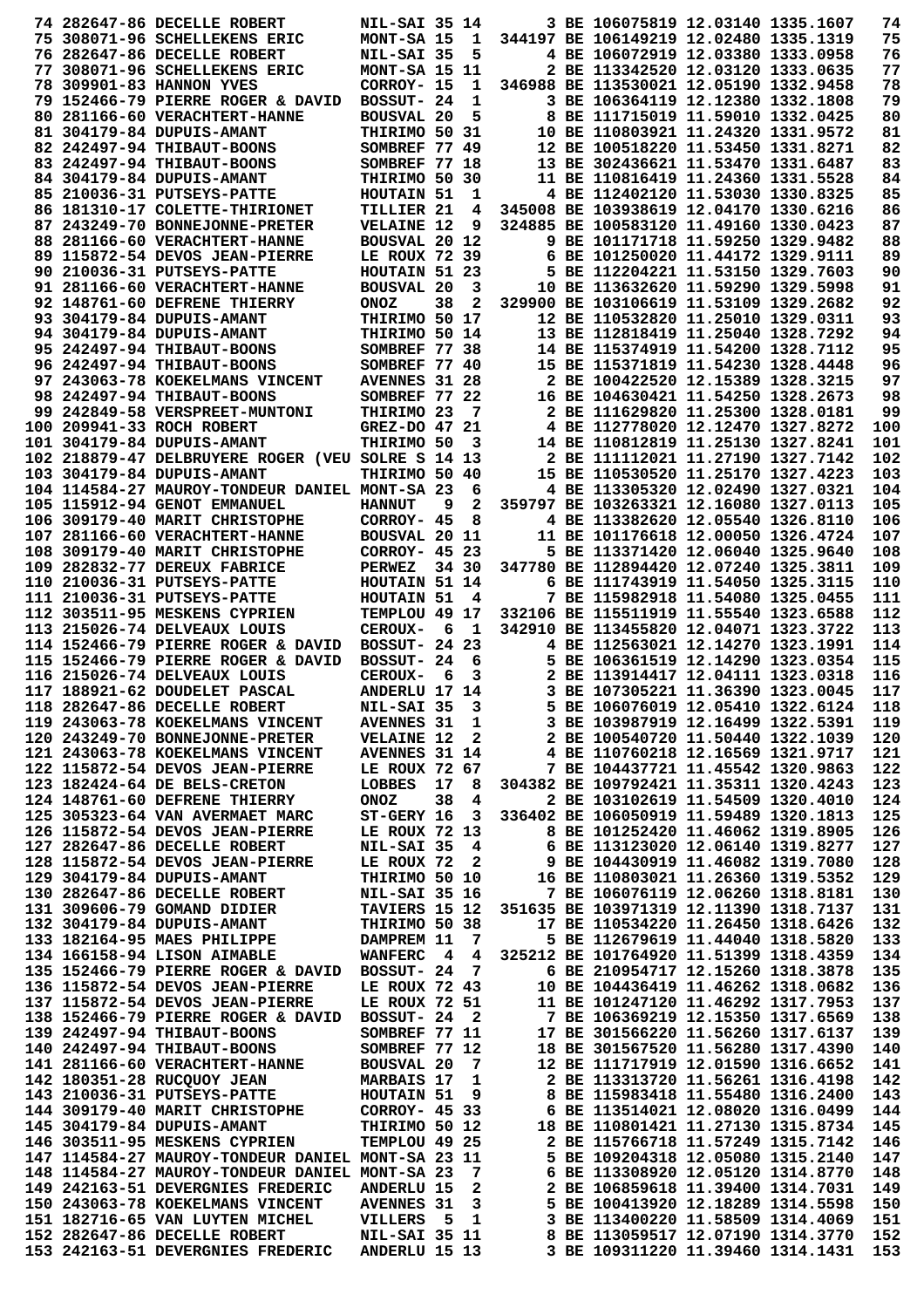|  | 74 282647-86 DECELLE ROBERT                                       | <b>NIL-SAI 35 14</b>                  |     |                         |                                        | 3 BE 106075819 12.03140 1335.1607      |                                   | 74         |
|--|-------------------------------------------------------------------|---------------------------------------|-----|-------------------------|----------------------------------------|----------------------------------------|-----------------------------------|------------|
|  | 75 308071-96 SCHELLEKENS ERIC                                     | MONT-SA 15                            |     | $\mathbf{1}$            |                                        | 344197 BE 106149219 12.02480 1335.1319 |                                   | 75         |
|  | 76 282647-86 DECELLE ROBERT                                       | NIL-SAI 35                            |     | 5                       |                                        | 4 BE 106072919 12.03380 1333.0958      |                                   | 76         |
|  | 77 308071-96 SCHELLEKENS ERIC                                     | MONT-SA 15 11                         |     |                         |                                        | 2 BE 113342520 12.03120 1333.0635      |                                   | 77         |
|  | 78 309901-83 HANNON YVES                                          | CORROY- 15                            |     | 1                       |                                        | 346988 BE 113530021 12.05190 1332.9458 |                                   | 78         |
|  | 79 152466-79 PIERRE ROGER & DAVID                                 | BOSSUT- 24                            |     | 1                       |                                        | 3 BE 106364119 12.12380 1332.1808      |                                   | 79         |
|  | 80 281166-60 VERACHTERT-HANNE                                     | <b>BOUSVAL 20</b>                     |     | 5                       |                                        | 8 BE 111715019 11.59010 1332.0425      |                                   | 80         |
|  | 81 304179-84 DUPUIS-AMANT                                         | THIRIMO 50 31                         |     |                         |                                        | 10 BE 110803921 11.24320 1331.9572     |                                   | 81         |
|  | 82 242497-94 THIBAUT-BOONS                                        | SOMBREF 77 49                         |     |                         |                                        | 12 BE 100518220 11.53450 1331.8271     |                                   | 82         |
|  | 83 242497-94 THIBAUT-BOONS                                        | SOMBREF 77 18                         |     |                         |                                        | 13 BE 302436621 11.53470 1331.6487     |                                   | 83         |
|  | 84 304179-84 DUPUIS-AMANT                                         | THIRIMO 50 30                         |     |                         |                                        | 11 BE 110816419 11.24360 1331.5528     |                                   | 84         |
|  | 85 210036-31 PUTSEYS-PATTE                                        | HOUTAIN 51                            |     | 1                       |                                        | 4 BE 112402120 11.53030 1330.8325      |                                   | 85         |
|  | 86 181310-17 COLETTE-THIRIONET                                    | <b>TILLIER 21</b>                     |     | 4                       |                                        | 345008 BE 103938619 12.04170 1330.6216 |                                   | 86         |
|  | 87 243249-70 BONNEJONNE-PRETER                                    | <b>VELAINE 12</b>                     |     | 9                       |                                        | 324885 BE 100583120 11.49160 1330.0423 |                                   | 87         |
|  | 88 281166-60 VERACHTERT-HANNE                                     | BOUSVAL 20 12                         |     |                         |                                        | 9 BE 101171718 11.59250 1329.9482      |                                   | 88         |
|  | 89 115872-54 DEVOS JEAN-PIERRE                                    | LE ROUX 72 39                         |     |                         |                                        | 6 BE 101250020 11.44172 1329.9111      |                                   | 89         |
|  | 90 210036-31 PUTSEYS-PATTE                                        | HOUTAIN 51 23                         |     |                         |                                        | 5 BE 112204221 11.53150 1329.7603      |                                   | 90         |
|  | 91 281166-60 VERACHTERT-HANNE                                     | <b>BOUSVAL 20</b>                     |     | 3                       |                                        | 10 BE 113632620 11.59290 1329.5998     |                                   | 91         |
|  | 92 148761-60 DEFRENE THIERRY                                      | <b>ONOZ</b>                           | 38  | $\mathbf{2}$            |                                        | 329900 BE 103106619 11.53109 1329.2682 |                                   | 92         |
|  | 93 304179-84 DUPUIS-AMANT                                         | THIRIMO 50 17                         |     |                         |                                        | 12 BE 110532820 11.25010 1329.0311     |                                   | 93         |
|  | 94 304179-84 DUPUIS-AMANT                                         | THIRIMO 50 14                         |     |                         |                                        | 13 BE 112818419 11.25040 1328.7292     |                                   | 94         |
|  | 95 242497-94 THIBAUT-BOONS                                        | SOMBREF 77 38                         |     |                         |                                        | 14 BE 115374919 11.54200 1328.7112     |                                   | 95         |
|  | 96 242497-94 THIBAUT-BOONS                                        | SOMBREF 77 40                         |     |                         |                                        | 15 BE 115371819 11.54230 1328.4448     |                                   | 96         |
|  | 97 243063-78 KOEKELMANS VINCENT                                   | <b>AVENNES 31 28</b>                  |     |                         |                                        | 2 BE 100422520 12.15389 1328.3215      |                                   | 97         |
|  | 98 242497-94 THIBAUT-BOONS                                        | SOMBREF 77 22                         |     |                         |                                        | 16 BE 104630421 11.54250 1328.2673     |                                   | 98         |
|  | 99 242849-58 VERSPREET-MUNTONI                                    | THIRIMO 23                            |     | 7                       |                                        | 2 BE 111629820 11.25300 1328.0181      |                                   | 99         |
|  | 100 209941-33 ROCH ROBERT                                         | GREZ-DO 47 21                         |     |                         |                                        | 4 BE 112778020 12.12470 1327.8272      |                                   | 100        |
|  | 101 304179-84 DUPUIS-AMANT                                        | THIRIMO 50                            |     | 3                       |                                        | 14 BE 110812819 11.25130 1327.8241     |                                   | 101        |
|  | 102   218879-47 DELBRUYERE ROGER (VEU SOLRE S 14 13               |                                       |     |                         |                                        | 2 BE 111112021 11.27190 1327.7142      |                                   | 102        |
|  | 103 304179-84 DUPUIS-AMANT                                        | <b>THIRIMO 50 40</b>                  |     |                         |                                        | 15 BE 110530520 11.25170 1327.4223     |                                   | 103        |
|  | 104 114584-27 MAUROY-TONDEUR DANIEL MONT-SA 23                    |                                       |     |                         |                                        | 4 BE 113305320 12.02490 1327.0321      |                                   | 104        |
|  | 105 115912-94 GENOT EMMANUEL                                      |                                       | 9   | 6<br>2                  |                                        | 359797 BE 103263321 12.16080 1327.0113 |                                   | 105        |
|  |                                                                   | <b>HANNUT</b>                         |     |                         |                                        |                                        |                                   |            |
|  | 106 309179-40 MARIT CHRISTOPHE                                    | CORROY- 45                            |     | 8                       |                                        | 4 BE 113382620 12.05540 1326.8110      |                                   | 106        |
|  |                                                                   | BOUSVAL 20 11                         |     |                         |                                        | 11 BE 101176618 12.00050 1326.4724     |                                   | 107        |
|  | 108 309179-40 MARIT CHRISTOPHE                                    | CORROY- 45 23                         |     |                         |                                        | 5 BE 113371420 12.06040 1325.9640      |                                   | 108        |
|  | 109 282832-77 DEREUX FABRICE                                      | PERWEZ                                |     | 34 30                   |                                        | 347780 BE 112894420 12.07240 1325.3811 |                                   | 109        |
|  | 110 210036-31 PUTSEYS-PATTE                                       | HOUTAIN 51 14                         |     |                         |                                        | 6 BE 111743919 11.54050 1325.3115      |                                   | 110        |
|  | 111 210036-31 PUTSEYS-PATTE                                       | HOUTAIN 51                            |     | $\overline{\mathbf{4}}$ |                                        | 7 BE 115982918 11.54080 1325.0455      |                                   | 111        |
|  | 112 303511-95 MESKENS CYPRIEN                                     | TEMPLOU 49 17                         |     |                         |                                        | 332106 BE 115511919 11.55540 1323.6588 |                                   | 112        |
|  | 113 215026-74 DELVEAUX LOUIS                                      | <b>CEROUX-</b>                        | - 6 | $\mathbf{1}$            |                                        | 342910 BE 113455820 12.04071 1323.3722 |                                   | 113        |
|  | 114 152466-79 PIERRE ROGER & DAVID                                | <b>BOSSUT- 24 23</b>                  |     |                         |                                        | 4 BE 112563021 12.14270 1323.1991      |                                   | 114        |
|  | 115 152466-79 PIERRE ROGER & DAVID                                | BOSSUT- 24                            |     | 6                       |                                        | 5 BE 106361519 12.14290 1323.0354      |                                   | 115        |
|  | 116 215026-74 DELVEAUX LOUIS                                      | CEROUX-                               | 6   | 3                       |                                        | 2 BE 113914417 12.04111 1323.0318      |                                   | 116        |
|  | 117 188921-62 DOUDELET PASCAL                                     | ANDERLU 17 14                         |     |                         |                                        | 3 BE 107305221 11.36390 1323.0045      |                                   | 117        |
|  | 118 282647-86 DECELLE ROBERT                                      | NIL-SAI 35 3                          |     |                         |                                        | 5 BE 106076019 12.05410 1322.6124      |                                   | 118        |
|  | 119 243063-78 KOEKELMANS VINCENT                                  | <b>AVENNES 31</b>                     |     | $\mathbf{1}$            |                                        | 3 BE 103987919 12.16499 1322.5391      |                                   | 119        |
|  | 120 243249-70 BONNEJONNE-PRETER                                   | <b>VELAINE 12 2</b>                   |     |                         |                                        | 2 BE 100540720 11.50440 1322.1039      |                                   | 120        |
|  | 121 243063-78 KOEKELMANS VINCENT                                  | <b>AVENNES 31 14</b>                  |     |                         |                                        | 4 BE 110760218 12.16569 1321.9717      |                                   | 121        |
|  | 122 115872-54 DEVOS JEAN-PIERRE                                   | LE ROUX 72 67                         |     |                         |                                        | 7 BE 104437721 11.45542 1320.9863      |                                   | 122        |
|  | 123 182424-64 DE BELS-CRETON                                      | LOBBES                                |     | 17 8                    |                                        | 304382 BE 109792421 11.35311 1320.4243 |                                   | 123        |
|  | 124 148761-60 DEFRENE THIERRY                                     | <b>ONOZ</b>                           | 38  | 4                       |                                        | 2 BE 103102619 11.54509 1320.4010      |                                   | 124        |
|  | 125 305323-64 VAN AVERMAET MARC                                   | $ST-GERV$ 16 3                        |     |                         | 336402 BE 106050919 11.59489 1320.1813 |                                        |                                   | 125        |
|  | 126 115872-54 DEVOS JEAN-PIERRE                                   | LE ROUX 72 13                         |     |                         |                                        | 8 BE 101252420 11.46062 1319.8905      |                                   | 126        |
|  | 127 282647-86 DECELLE ROBERT                                      | NIL-SAI 35                            |     | $\overline{4}$          |                                        | 6 BE 113123020 12.06140 1319.8277      |                                   | 127        |
|  | 128 115872-54 DEVOS JEAN-PIERRE                                   | LE ROUX 72                            |     | $\overline{\mathbf{2}}$ |                                        | 9 BE 104430919 11.46082 1319.7080      |                                   | 128        |
|  | 129 304179-84 DUPUIS-AMANT                                        | THIRIMO 50 10                         |     |                         | 16 BE 110803021 11.26360 1319.5352     |                                        |                                   | 129        |
|  | 130 282647-86 DECELLE ROBERT                                      | <b>NIL-SAI 35 16</b>                  |     |                         |                                        | 7 BE 106076119 12.06260 1318.8181      |                                   | 130        |
|  | 131 309606-79 GOMAND DIDIER                                       | TAVIERS 15 12                         |     |                         | 351635 BE 103971319 12.11390 1318.7137 |                                        |                                   | 131        |
|  | 132 304179-84 DUPUIS-AMANT                                        | THIRIMO 50 38                         |     |                         |                                        | 17 BE 110534220 11.26450 1318.6426     |                                   | 132        |
|  | 133 182164-95 MAES PHILIPPE                                       | DAMPREM 11                            |     | - 7                     |                                        | 5 BE 112679619 11.44040 1318.5820      |                                   | 133        |
|  | 134 166158-94 LISON AIMABLE                                       | WANFERC 4                             |     | 4                       |                                        | 325212 BE 101764920 11.51399 1318.4359 |                                   | 134        |
|  | 135 152466-79 PIERRE ROGER & DAVID                                | BOSSUT- 24                            |     | $\overline{7}$          |                                        | 6 BE 210954717 12.15260 1318.3878      |                                   | 135        |
|  | 136 115872-54 DEVOS JEAN-PIERRE                                   | LE ROUX 72 43                         |     |                         |                                        | 10 BE 104436419 11.46262 1318.0682     |                                   | 136        |
|  | 137 115872-54 DEVOS JEAN-PIERRE                                   | LE ROUX 72 51                         |     |                         |                                        | 11 BE 101247120 11.46292 1317.7953     |                                   | 137        |
|  | 138 152466-79 PIERRE ROGER & DAVID                                | BOSSUT- 24 2                          |     |                         |                                        | 7 BE 106369219 12.15350 1317.6569      |                                   | 138        |
|  | 139 242497-94 THIBAUT-BOONS                                       | SOMBREF 77 11                         |     |                         |                                        | 17 BE 301566220 11.56260 1317.6137     |                                   | 139        |
|  | 140 242497-94 THIBAUT-BOONS                                       | SOMBREF 77 12                         |     |                         |                                        | 18 BE 301567520 11.56280 1317.4390     |                                   | 140        |
|  | 141 281166-60 VERACHTERT-HANNE                                    | <b>BOUSVAL 20</b>                     |     | 7                       |                                        | 12 BE 111717919 12.01590 1316.6652     |                                   | 141        |
|  | 142 180351-28 RUCQUOY JEAN                                        | <b>MARBAIS 17</b>                     |     | 1                       |                                        | 2 BE 113313720 11.56261 1316.4198      |                                   | 142        |
|  | 143 210036-31 PUTSEYS-PATTE                                       | HOUTAIN 51                            |     | 9                       |                                        | 8 BE 115983418 11.55480 1316.2400      |                                   | 143        |
|  | 144 309179-40 MARIT CHRISTOPHE                                    | CORROY- 45 33                         |     |                         |                                        | 6 BE 113514021 12.08020 1316.0499      |                                   | 144        |
|  | 145 304179-84 DUPUIS-AMANT                                        | THIRIMO 50 12                         |     |                         |                                        | 18 BE 110801421 11.27130 1315.8734     |                                   | 145        |
|  | 146 303511-95 MESKENS CYPRIEN                                     | TEMPLOU 49 25                         |     |                         |                                        | 2 BE 115766718 11.57249 1315.7142      |                                   | 146        |
|  | 147 114584-27 MAUROY-TONDEUR DANIEL MONT-SA 23 11                 |                                       |     |                         |                                        | 5 BE 109204318 12.05080 1315.2140      |                                   | 147        |
|  | 148 114584-27 MAUROY-TONDEUR DANIEL MONT-SA 23                    |                                       |     | 7                       |                                        | 6 BE 113308920 12.05120 1314.8770      |                                   | 148        |
|  | 149 242163-51 DEVERGNIES FREDERIC                                 | <b>ANDERLU 15</b>                     |     | 2                       |                                        | 2 BE 106859618 11.39400 1314.7031      |                                   | 149        |
|  | 150 243063-78 KOEKELMANS VINCENT                                  | <b>AVENNES 31</b>                     |     | 3                       |                                        | 5 BE 100413920 12.18289 1314.5598      |                                   | 150        |
|  | 151 182716-65 VAN LUYTEN MICHEL                                   | VILLERS                               | 5   | $\mathbf{1}$            |                                        | 3 BE 113400220 11.58509 1314.4069      |                                   | 151        |
|  |                                                                   |                                       |     |                         |                                        |                                        |                                   |            |
|  |                                                                   |                                       |     |                         |                                        |                                        |                                   |            |
|  | 152 282647-86 DECELLE ROBERT<br>153 242163-51 DEVERGNIES FREDERIC | NIL-SAI 35 11<br><b>ANDERLU 15 13</b> |     |                         |                                        | 3 BE 109311220 11.39460 1314.1431      | 8 BE 113059517 12.07190 1314.3770 | 152<br>153 |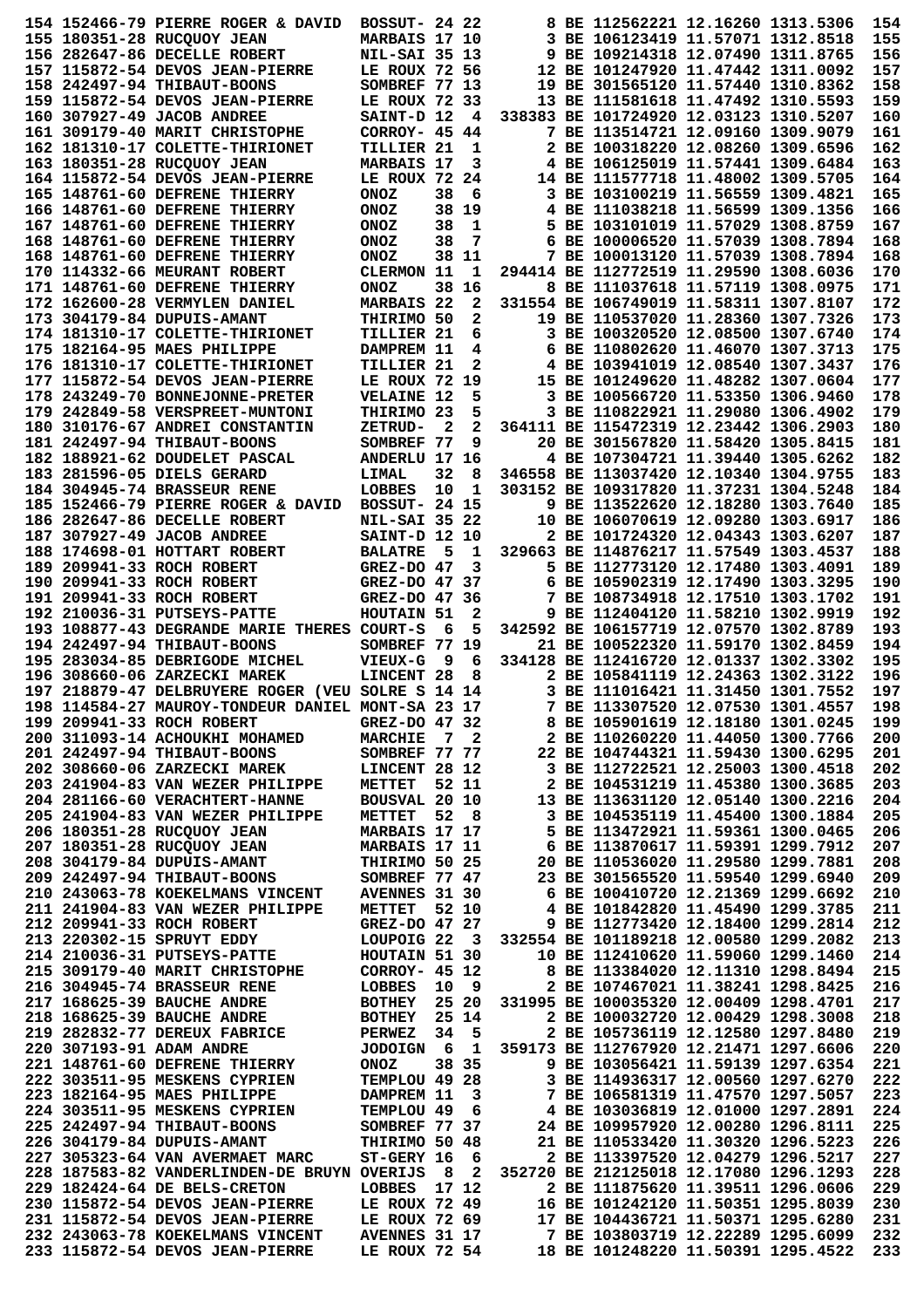|  | 154 152466-79 PIERRE ROGER & DAVID                                                 | <b>BOSSUT- 24 22</b>                         |     |                         | 8 BE 112562221 12.16260 1313.5306                                        |                                   | 154        |
|--|------------------------------------------------------------------------------------|----------------------------------------------|-----|-------------------------|--------------------------------------------------------------------------|-----------------------------------|------------|
|  | 155 180351-28 RUCOUOY JEAN                                                         | MARBAIS 17 10                                |     |                         | 3 BE 106123419 11.57071 1312.8518                                        |                                   | 155        |
|  | 156 282647-86 DECELLE ROBERT                                                       | <b>NIL-SAI 35 13</b>                         |     |                         | 9 BE 109214318 12.07490 1311.8765                                        |                                   | 156        |
|  | 157 115872-54 DEVOS JEAN-PIERRE                                                    | LE ROUX 72 56                                |     |                         | 12 BE 101247920 11.47442 1311.0092                                       |                                   | 157        |
|  | 158 242497-94 THIBAUT-BOONS                                                        | SOMBREF 77 13                                |     |                         | 19 BE 301565120 11.57440 1310.8362                                       |                                   | 158        |
|  |                                                                                    | LE ROUX 72 33                                |     |                         | 13 BE 111581618 11.47492 1310.5593                                       |                                   | 159        |
|  | 159 115872-54 DEVOS JEAN-PIERRE                                                    |                                              |     |                         |                                                                          |                                   |            |
|  | 160 307927-49 JACOB ANDREE                                                         | SAINT-D 12                                   |     | - 4                     | 338383 BE 101724920 12.03123 1310.5207                                   |                                   | 160        |
|  | 161 309179-40 MARIT CHRISTOPHE                                                     | CORROY- 45 44                                |     |                         | 7 BE 113514721 12.09160 1309.9079                                        |                                   | 161        |
|  | 162 181310-17 COLETTE-THIRIONET                                                    | <b>TILLIER 21</b>                            |     | 1                       | 2 BE 100318220 12.08260 1309.6596                                        |                                   | 162        |
|  | 163 180351-28 RUCQUOY JEAN                                                         | <b>MARBAIS 17</b>                            |     | 3                       | 4 BE 106125019 11.57441 1309.6484                                        |                                   | 163        |
|  | 164 115872-54 DEVOS JEAN-PIERRE                                                    | LE ROUX 72 24                                |     |                         | 14 BE 111577718 11.48002 1309.5705                                       |                                   | 164        |
|  | 165 148761-60 DEFRENE THIERRY                                                      | <b>ONOZ</b>                                  | 38  | 6                       | 3 BE 103100219 11.56559 1309.4821                                        |                                   | 165        |
|  | 166 148761-60 DEFRENE THIERRY                                                      | <b>ONOZ</b>                                  |     | 38 19                   | 4 BE 111038218 11.56599 1309.1356                                        |                                   | 166        |
|  | 167 148761-60 DEFRENE THIERRY                                                      | <b>ONOZ</b>                                  | 38  | 1                       | 5 BE 103101019 11.57029 1308.8759                                        |                                   | 167        |
|  | 168 148761-60 DEFRENE THIERRY                                                      | <b>ONOZ</b>                                  | 38  | 7                       | 6 BE 100006520 11.57039 1308.7894                                        |                                   | 168        |
|  | 168 148761-60 DEFRENE THIERRY                                                      | <b>ONOZ</b>                                  |     | 38 11                   | 7 BE 100013120 11.57039 1308.7894                                        |                                   | 168        |
|  |                                                                                    |                                              |     |                         |                                                                          |                                   |            |
|  | <b>170 114332-66 MEURANT ROBERT</b>                                                | CLERMON 11                                   |     | 1                       | 294414 BE 112772519 11.29590 1308.6036                                   |                                   | 170        |
|  | 171 148761-60 DEFRENE THIERRY                                                      | <b>ONOZ</b>                                  |     | 38 16                   | 8 BE 111037618 11.57119 1308.0975                                        |                                   | 171        |
|  | 172 162600-28 VERMYLEN DANIEL                                                      | <b>MARBAIS 22</b>                            |     | $\mathbf{2}$            | 331554 BE 106749019 11.58311 1307.8107                                   |                                   | 172        |
|  | 173 304179-84 DUPUIS-AMANT                                                         | THIRIMO 50                                   |     | 2                       | 19 BE 110537020 11.28360 1307.7326                                       |                                   | 173        |
|  | 174 181310-17 COLETTE-THIRIONET                                                    | TILLIER 21                                   |     | 6                       | 3 BE 100320520 12.08500 1307.6740                                        |                                   | 174        |
|  | 175 182164-95 MAES PHILIPPE                                                        | DAMPREM 11                                   |     | 4                       | 6 BE 110802620 11.46070 1307.3713                                        |                                   | 175        |
|  | 176 181310-17 COLETTE-THIRIONET                                                    | TILLIER 21                                   |     | 2                       | 4 BE 103941019 12.08540 1307.3437                                        |                                   | 176        |
|  | 177 115872-54 DEVOS JEAN-PIERRE                                                    | LE ROUX 72 19                                |     |                         | 15 BE 101249620 11.48282 1307.0604                                       |                                   | 177        |
|  | 178 243249-70 BONNEJONNE-PRETER                                                    | <b>VELAINE 12</b>                            |     | 5                       | 3 BE 100566720 11.53350 1306.9460                                        |                                   | 178        |
|  | 179 242849-58 VERSPREET-MUNTONI                                                    | THIRIMO 23                                   |     | 5                       | 3 BE 110822921 11.29080 1306.4902                                        |                                   | 179        |
|  | 180 310176-67 ANDREI CONSTANTIN                                                    | ZETRUD-                                      | 2   | 2                       | 364111 BE 115472319 12.23442 1306.2903                                   |                                   | 180        |
|  |                                                                                    |                                              |     |                         |                                                                          |                                   |            |
|  | 181 242497-94 THIBAUT-BOONS                                                        | SOMBREF 77                                   |     | 9                       | 20 BE 301567820 11.58420 1305.8415                                       |                                   | 181        |
|  | 182 188921-62 DOUDELET PASCAL                                                      | ANDERLU 17 16                                |     |                         | 4 BE 107304721 11.39440 1305.6262                                        |                                   | 182        |
|  | 183 281596-05 DIELS GERARD                                                         | LIMAL                                        | 32  | 8                       | 346558 BE 113037420 12.10340 1304.9755                                   |                                   | 183        |
|  | <b>184 304945-74 BRASSEUR RENE</b>                                                 | LOBBES                                       | 10  | 1                       | 303152 BE 109317820 11.37231 1304.5248                                   |                                   | 184        |
|  | 185 152466-79 PIERRE ROGER & DAVID                                                 | <b>BOSSUT- 24 15</b>                         |     |                         | 9 BE 113522620 12.18280 1303.7640                                        |                                   | 185        |
|  | 186 282647-86 DECELLE ROBERT                                                       | <b>NIL-SAI 35 22</b>                         |     |                         | 10 BE 106070619 12.09280 1303.6917                                       |                                   | 186        |
|  | 187 307927-49 JACOB ANDREE                                                         | SAINT-D 12 10                                |     |                         | 2 BE 101724320 12.04343 1303.6207                                        |                                   | 187        |
|  | 188 174698-01 HOTTART ROBERT                                                       | <b>BALATRE</b>                               | - 5 | 1                       | 329663 BE 114876217 11.57549 1303.4537                                   |                                   | 188        |
|  | 189 209941-33 ROCH ROBERT                                                          | $GREZ-DO$ 47                                 |     | 3                       | 5 BE 112773120 12.17480 1303.4091                                        |                                   | 189        |
|  | 190 209941-33 ROCH ROBERT                                                          |                                              |     |                         | 6 BE 105902319 12.17490 1303.3295                                        |                                   | 190        |
|  |                                                                                    | GREZ-DO 47 37                                |     |                         |                                                                          |                                   |            |
|  | 191 209941-33 ROCH ROBERT                                                          | GREZ-DO 47 36                                |     |                         | 7 BE 108734918 12.17510 1303.1702                                        |                                   | 191        |
|  | 192 210036-31 PUTSEYS-PATTE                                                        | HOUTAIN 51                                   |     | 2                       | 9 BE 112404120 11.58210 1302.9919                                        |                                   | 192        |
|  | 193 108877-43 DEGRANDE MARIE THERES COURT-S                                        |                                              | 6   | 5                       | 342592 BE 106157719 12.07570 1302.8789                                   |                                   | 193        |
|  | 194 242497-94 THIBAUT-BOONS                                                        | SOMBREF 77 19                                |     |                         | 21 BE 100522320 11.59170 1302.8459                                       |                                   | 194        |
|  | 195 283034-85 DEBRIGODE MICHEL                                                     | <b>VIEUX-G</b>                               | - 9 | 6                       | 334128 BE 112416720 12.01337 1302.3302                                   |                                   | 195        |
|  | 196 308660-06 ZARZECKI MAREK                                                       | LINCENT 28                                   |     | 8                       | 2 BE 105841119 12.24363 1302.3122                                        |                                   | 196        |
|  | 197 218879-47 DELBRUYERE ROGER (VEU SOLRE S 14 14                                  |                                              |     |                         | 3 BE 111016421 11.31450 1301.7552                                        |                                   | 197        |
|  | 198 114584-27 MAUROY-TONDEUR DANIEL MONT-SA 23 17                                  |                                              |     |                         | 7 BE 113307520 12.07530 1301.4557                                        |                                   | 198        |
|  | 199 209941-33 ROCH ROBERT                                                          | GREZ-DO 47 32                                |     |                         | 8 BE 105901619 12.18180 1301.0245                                        |                                   | 199        |
|  | 200 311093-14 ACHOUKHI MOHAMED                                                     | MARCHIE 7 2                                  |     |                         | 2 BE 110260220 11.44050 1300.7766                                        |                                   | 200        |
|  | 201 242497-94 THIBAUT-BOONS                                                        | SOMBREF 77 77                                |     |                         | 22 BE 104744321 11.59430 1300.6295                                       |                                   | 201        |
|  | 202 308660-06 ZARZECKI MAREK                                                       | <b>LINCENT 28 12</b>                         |     |                         | 3 BE 112722521 12.25003 1300.4518                                        |                                   |            |
|  |                                                                                    |                                              |     |                         |                                                                          |                                   | 202        |
|  | 203 241904-83 VAN WEZER PHILIPPE                                                   | METTET 52 11                                 |     |                         | 2 BE 104531219 11.45380 1300.3685                                        |                                   | 203        |
|  | 204 281166-60 VERACHTERT-HANNE                                                     | BOUSVAL 20 10                                |     |                         | 13 BE 113631120 12.05140 1300.2216                                       |                                   | 204        |
|  | 205 241904-83 VAN WEZER PHILIPPE                                                   | METTET 52 8                                  |     |                         | 3 BE 104535119 11.45400 1300.1884                                        |                                   | 205        |
|  | 206 180351-28 RUCQUOY JEAN                                                         | MARBAIS 17 17                                |     |                         |                                                                          |                                   | 206        |
|  | 207 180351-28 RUCQUOY JEAN                                                         | <b>MARBAIS 17 11</b>                         |     |                         |                                                                          | 5 BE 113472921 11.59361 1300.0465 |            |
|  |                                                                                    |                                              |     |                         | 6 BE 113870617 11.59391 1299.7912                                        |                                   | 207        |
|  | 208 304179-84 DUPUIS-AMANT                                                         | THIRIMO 50 25                                |     |                         |                                                                          |                                   | 208        |
|  | 209 242497-94 THIBAUT-BOONS                                                        | SOMBREF 77 47                                |     |                         | 20 BE 110536020 11.29580 1299.7881<br>23 BE 301565520 11.59540 1299.6940 |                                   | 209        |
|  |                                                                                    |                                              |     |                         |                                                                          |                                   | 210        |
|  | 210 243063-78 KOEKELMANS VINCENT AVENNES 31 30<br>211 241904-83 VAN WEZER PHILIPPE |                                              |     |                         | 6 BE 100410720 12.21369 1299.6692                                        |                                   |            |
|  |                                                                                    | <b>METTET 52 10</b>                          |     |                         | 4 BE 101842820 11.45490 1299.3785                                        |                                   | 211        |
|  | 212 209941-33 ROCH ROBERT                                                          | GREZ-DO 47 27                                |     |                         | 9 BE 112773420 12.18400 1299.2814                                        |                                   | 212        |
|  | 213 220302-15 SPRUYT EDDY                                                          | LOUPOIG 22 3                                 |     |                         | 332554 BE 101189218 12.00580 1299.2082                                   |                                   | 213        |
|  | 214 210036-31 PUTSEYS-PATTE                                                        | HOUTAIN 51 30                                |     |                         | 10 BE 112410620 11.59060 1299.1460                                       |                                   | 214        |
|  | 215 309179-40 MARIT CHRISTOPHE                                                     | CORROY- 45 12                                |     |                         | 8 BE 113384020 12.11310 1298.8494                                        |                                   | 215        |
|  | 216 304945-74 BRASSEUR RENE                                                        |                                              |     |                         | 2 BE 107467021 11.38241 1298.8425                                        |                                   | 216        |
|  | 217 168625-39 BAUCHE ANDRE                                                         |                                              |     |                         | 331995 BE 100035320 12.00409 1298.4701                                   |                                   | 217        |
|  | 218 168625-39 BAUCHE ANDRE                                                         | LOBBES 10 9<br>BOTHEY 25 20<br>BOTHEY 25 14  |     |                         | 2 BE 100032720 12.00429 1298.3008                                        |                                   | 218        |
|  | 219  282832-77  DEREUX  FABRICE                                                    | <b>PERWEZ</b>                                |     | 34 5                    | 2 BE 105736119 12.12580 1297.8480                                        |                                   | 219        |
|  | 220 307193-91 ADAM ANDRE                                                           | JODOIGN 6                                    |     | $\mathbf{1}$            | 359173 BE 112767920 12.21471 1297.6606                                   |                                   | 220        |
|  | 221 148761-60 DEFRENE THIERRY                                                      | <b>ONOZ</b>                                  |     | 38 35                   | 9 BE 103056421 11.59139 1297.6354                                        |                                   | 221        |
|  | 222 303511-95 MESKENS CYPRIEN                                                      | TEMPLOU 49 28                                |     |                         | 3 BE 114936317 12.00560 1297.6270                                        |                                   | 222        |
|  |                                                                                    |                                              |     |                         |                                                                          |                                   |            |
|  | 223 182164-95 MAES PHILIPPE                                                        | DAMPREM 11                                   |     | $\overline{\mathbf{3}}$ |                                                                          |                                   | 223        |
|  | 224 303511-95 MESKENS CYPRIEN                                                      | TEMPLOU 49 6                                 |     |                         | 7 BE 106581319 11.47570 1297.5057<br>4 BE 103036819 12.01000 1297.2891   |                                   | 224        |
|  | 225 242497-94 THIBAUT-BOONS                                                        | SOMBREF 77 37                                |     |                         | 24 BE 109957920 12.00280 1296.8111                                       |                                   | 225        |
|  | 226 304179-84 DUPUIS-AMANT                                                         | THIRIMO 50 48                                |     |                         | 21 BE 110533420 11.30320 1296.5223                                       |                                   | 226        |
|  | 227 305323-64 VAN AVERMAET MARC                                                    | $ST-GERV$ 16 6                               |     |                         | 2 BE 113397520 12.04279 1296.5217                                        |                                   | 227        |
|  | 228 187583-82 VANDERLINDEN-DE BRUYN OVERIJS                                        |                                              |     | 82                      | 352720 BE 212125018 12.17080 1296.1293                                   |                                   | 228        |
|  | 229 182424-64 DE BELS-CRETON                                                       | LOBBES 17 12                                 |     |                         | 2 BE 111875620 11.39511 1296.0606                                        |                                   | 229        |
|  | 230 115872-54 DEVOS JEAN-PIERRE                                                    | LE ROUX 72 49                                |     |                         | 16 BE 101242120 11.50351 1295.8039                                       |                                   | 230        |
|  | 231 115872-54 DEVOS JEAN-PIERRE                                                    | LE ROUX 72 69                                |     |                         | 17 BE 104436721 11.50371 1295.6280                                       |                                   | 231        |
|  | 232 243063-78 KOEKELMANS VINCENT<br>233 115872-54 DEVOS JEAN-PIERRE                | <b>AVENNES 31 17</b><br><b>LE ROUX 72 54</b> |     |                         | 7 BE 103803719 12.22289 1295.6099<br>18 BE 101248220 11.50391 1295.4522  |                                   | 232<br>233 |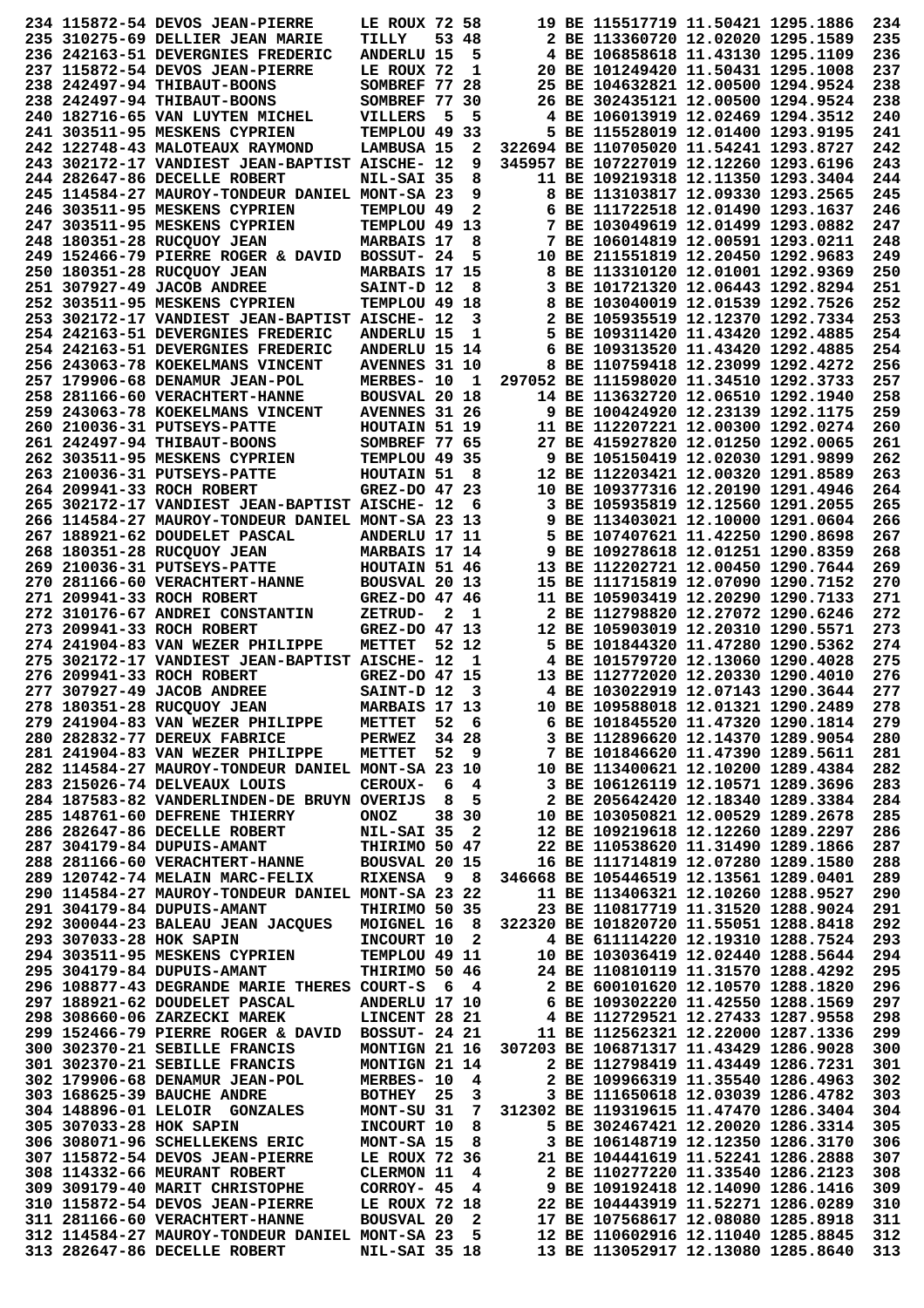|                         | 234 115872-54 DEVOS JEAN-PIERRE                                                                                     | LE ROUX 72 58        |              |                         |                                        | 19 BE 115517719 11.50421 1295.1886                                                                                                                                                                                           |                                                                          | 234        |
|-------------------------|---------------------------------------------------------------------------------------------------------------------|----------------------|--------------|-------------------------|----------------------------------------|------------------------------------------------------------------------------------------------------------------------------------------------------------------------------------------------------------------------------|--------------------------------------------------------------------------|------------|
|                         | 235 310275-69 DELLIER JEAN MARIE                                                                                    | TILLY                |              | 53 48                   |                                        | 2 BE 113360720 12.02020 1295.1589                                                                                                                                                                                            |                                                                          | 235        |
|                         | 236 242163-51 DEVERGNIES FREDERIC                                                                                   | <b>ANDERLU 15</b>    |              | 5                       |                                        | 4 BE 106858618 11.43130 1295.1109                                                                                                                                                                                            |                                                                          | 236        |
|                         | 237 115872-54 DEVOS JEAN-PIERRE                                                                                     | LE ROUX 72           |              | 1                       |                                        | 20 BE 101249420 11.50431 1295.1008                                                                                                                                                                                           |                                                                          | 237        |
|                         | 238 242497-94 THIBAUT-BOONS                                                                                         | SOMBREF 77 28        |              |                         |                                        | 25 BE 104632821 12.00500 1294.9524                                                                                                                                                                                           |                                                                          | 238        |
|                         | 238 242497-94 THIBAUT-BOONS                                                                                         | SOMBREF 77 30        |              |                         |                                        | 26 BE 302435121 12.00500 1294.9524                                                                                                                                                                                           |                                                                          | 238        |
|                         |                                                                                                                     |                      |              |                         |                                        | 4 BE 106013919 12.02469 1294.3512                                                                                                                                                                                            |                                                                          |            |
|                         | 240 182716-65 VAN LUYTEN MICHEL                                                                                     | VILLERS              | - 5          | 5                       |                                        |                                                                                                                                                                                                                              |                                                                          | 240        |
|                         | 241 303511-95 MESKENS CYPRIEN                                                                                       | TEMPLOU 49 33        |              |                         |                                        | 5 BE 115528019 12.01400 1293.9195                                                                                                                                                                                            |                                                                          | 241        |
|                         | 242 122748-43 MALOTEAUX RAYMOND                                                                                     | LAMBUSA 15           |              | 2                       |                                        | 322694 BE 110705020 11.54241 1293.8727                                                                                                                                                                                       |                                                                          | 242        |
|                         | 243 302172-17 VANDIEST JEAN-BAPTIST AISCHE- 12                                                                      |                      |              | 9                       |                                        | 345957 BE 107227019 12.12260 1293.6196                                                                                                                                                                                       |                                                                          | 243        |
|                         | 244 282647-86 DECELLE ROBERT                                                                                        | NIL-SAI 35           |              | 8                       |                                        | 11 BE 109219318 12.11350 1293.3404                                                                                                                                                                                           |                                                                          | 244        |
|                         | 245 114584-27 MAUROY-TONDEUR DANIEL MONT-SA 23                                                                      |                      |              | 9                       |                                        | 8 BE 113103817 12.09330 1293.2565                                                                                                                                                                                            |                                                                          | 245        |
|                         | 246 303511-95 MESKENS CYPRIEN                                                                                       | TEMPLOU 49           |              | 2                       |                                        | 6 BE 111722518 12.01490 1293.1637                                                                                                                                                                                            |                                                                          | 246        |
|                         | 247 303511-95 MESKENS CYPRIEN                                                                                       | TEMPLOU 49 13        |              |                         |                                        | 7 BE 103049619 12.01499 1293.0882                                                                                                                                                                                            |                                                                          | 247        |
|                         | 248 180351-28 RUCOUOY JEAN                                                                                          | <b>MARBAIS 17</b>    |              | 8                       |                                        | 7 BE 106014819 12.00591 1293.0211                                                                                                                                                                                            |                                                                          | 248        |
|                         | 249 152466-79 PIERRE ROGER & DAVID                                                                                  | BOSSUT- 24           |              | 5                       |                                        | 10 BE 211551819 12.20450 1292.9683                                                                                                                                                                                           |                                                                          | 249        |
|                         | 250 180351-28 RUCQUOY JEAN                                                                                          | MARBAIS 17 15        |              |                         |                                        | 8 BE 113310120 12.01001 1292.9369                                                                                                                                                                                            |                                                                          | 250        |
|                         | 251 307927-49 JACOB ANDREE                                                                                          |                      |              |                         |                                        | 3 BE 101721320 12.06443 1292.8294                                                                                                                                                                                            |                                                                          | 251        |
|                         |                                                                                                                     | SAINT-D 12           |              | 8                       |                                        |                                                                                                                                                                                                                              |                                                                          |            |
|                         | 252 303511-95 MESKENS CYPRIEN                                                                                       | TEMPLOU 49 18        |              |                         |                                        | 8 BE 103040019 12.01539 1292.7526                                                                                                                                                                                            |                                                                          | 252        |
|                         | 253 302172-17 VANDIEST JEAN-BAPTIST AISCHE- 12                                                                      |                      |              | 3                       |                                        | 2 BE 105935519 12.12370 1292.7334                                                                                                                                                                                            |                                                                          | 253        |
|                         | 254 242163-51 DEVERGNIES FREDERIC                                                                                   | <b>ANDERLU 15</b>    |              | 1                       |                                        | 5 BE 109311420 11.43420 1292.4885                                                                                                                                                                                            |                                                                          | 254        |
|                         | 254 242163-51 DEVERGNIES FREDERIC                                                                                   | ANDERLU 15 14        |              |                         |                                        | 6 BE 109313520 11.43420 1292.4885                                                                                                                                                                                            |                                                                          | 254        |
|                         | 256 243063-78 KOEKELMANS VINCENT                                                                                    | <b>AVENNES 31 10</b> |              |                         |                                        | 8 BE 110759418 12.23099 1292.4272                                                                                                                                                                                            |                                                                          | 256        |
|                         | 257 179906-68 DENAMUR JEAN-POL                                                                                      | MERBES- 10           |              | 1                       |                                        | 297052 BE 111598020 11.34510 1292.3733                                                                                                                                                                                       |                                                                          | 257        |
|                         | 258 281166-60 VERACHTERT-HANNE                                                                                      | <b>BOUSVAL 20 18</b> |              |                         |                                        | 14 BE 113632720 12.06510 1292.1940                                                                                                                                                                                           |                                                                          | 258        |
|                         | 259 243063-78 KOEKELMANS VINCENT                                                                                    | <b>AVENNES 31 26</b> |              |                         |                                        | 9 BE 100424920 12.23139 1292.1175                                                                                                                                                                                            |                                                                          | 259        |
|                         | 260 210036-31 PUTSEYS-PATTE                                                                                         | HOUTAIN 51 19        |              |                         |                                        | 11 BE 112207221 12.00300 1292.0274                                                                                                                                                                                           |                                                                          | 260        |
|                         | 261 242497-94 THIBAUT-BOONS                                                                                         | SOMBREF 77 65        |              |                         |                                        | 27 BE 415927820 12.01250 1292.0065                                                                                                                                                                                           |                                                                          | 261        |
|                         |                                                                                                                     |                      |              |                         |                                        |                                                                                                                                                                                                                              |                                                                          | 262        |
|                         | 262 303511-95 MESKENS CYPRIEN                                                                                       | TEMPLOU 49 35        |              |                         |                                        | 9 BE 105150419 12.02030 1291.9899                                                                                                                                                                                            |                                                                          |            |
|                         | 263 210036-31 PUTSEYS-PATTE                                                                                         | HOUTAIN 51           |              | - 8                     |                                        | 12 BE 112203421 12.00320 1291.8589                                                                                                                                                                                           |                                                                          | 263        |
|                         | 264 209941-33 ROCH ROBERT                                                                                           | GREZ-DO 47 23        |              |                         |                                        | 10 BE 109377316 12.20190 1291.4946                                                                                                                                                                                           |                                                                          | 264        |
|                         | 265 302172-17 VANDIEST JEAN-BAPTIST AISCHE- 12                                                                      |                      |              | 6                       |                                        | 3 BE 105935819 12.12560 1291.2055                                                                                                                                                                                            |                                                                          | 265        |
|                         | 266 114584-27 MAUROY-TONDEUR DANIEL MONT-SA 23 13                                                                   |                      |              |                         |                                        | 9 BE 113403021 12.10000 1291.0604                                                                                                                                                                                            |                                                                          | 266        |
|                         | 267 188921-62 DOUDELET PASCAL                                                                                       | ANDERLU 17 11        |              |                         |                                        | 5 BE 107407621 11.42250 1290.8698                                                                                                                                                                                            |                                                                          | 267        |
|                         | 268 180351-28 RUCQUOY JEAN                                                                                          | MARBAIS 17 14        |              |                         |                                        | 9 BE 109278618 12.01251 1290.8359                                                                                                                                                                                            |                                                                          | 268        |
|                         | 269 210036-31 PUTSEYS-PATTE                                                                                         | HOUTAIN 51 46        |              |                         |                                        | 13 BE 112202721 12.00450 1290.7644                                                                                                                                                                                           |                                                                          | 269        |
|                         | 270 281166-60 VERACHTERT-HANNE                                                                                      | BOUSVAL 20 13        |              |                         |                                        | 15 BE 111715819 12.07090 1290.7152                                                                                                                                                                                           |                                                                          | 270        |
|                         | 271 209941-33 ROCH ROBERT                                                                                           | GREZ-DO 47 46        |              |                         |                                        | 11 BE 105903419 12.20290 1290.7133                                                                                                                                                                                           |                                                                          | 271        |
|                         |                                                                                                                     |                      |              |                         |                                        |                                                                                                                                                                                                                              |                                                                          |            |
|                         | 272 310176-67 ANDREI CONSTANTIN                                                                                     | <b>ZETRUD-</b>       | $\mathbf{2}$ | - 1                     |                                        | 2 BE 112798820 12.27072 1290.6246                                                                                                                                                                                            |                                                                          | 272        |
|                         | 273 209941-33 ROCH ROBERT                                                                                           | GREZ-DO 47 13        |              |                         |                                        | 12 BE 105903019 12.20310 1290.5571                                                                                                                                                                                           |                                                                          | 273        |
|                         | 274 241904-83 VAN WEZER PHILIPPE                                                                                    | METTET               |              | 52 12                   |                                        | 5 BE 101844320 11.47280 1290.5362                                                                                                                                                                                            |                                                                          | 274        |
|                         | 275 302172-17 VANDIEST JEAN-BAPTIST AISCHE- 12                                                                      |                      |              | 1                       |                                        | 4 BE 101579720 12.13060 1290.4028                                                                                                                                                                                            |                                                                          | 275        |
|                         | 276 209941-33 ROCH ROBERT                                                                                           | GREZ-DO 47 15        |              |                         |                                        | 13 BE 112772020 12.20330 1290.4010                                                                                                                                                                                           |                                                                          | 276        |
|                         | 277 307927-49 JACOB ANDREE                                                                                          | SAINT-D 12           |              | 3                       |                                        | 4 BE 103022919 12.07143 1290.3644                                                                                                                                                                                            |                                                                          | 277        |
|                         | 278 180351-28 RUCQUOY JEAN                                                                                          | MARBAIS 17 13        |              |                         |                                        | 10 BE 109588018 12.01321 1290.2489                                                                                                                                                                                           |                                                                          | 278        |
|                         | 279 241904-83 VAN WEZER PHILIPPE                                                                                    | METTET 52 6          |              |                         |                                        | 6 BE 101845520 11.47320 1290.1814                                                                                                                                                                                            |                                                                          | 279        |
|                         | 280 282832-77 DEREUX FABRICE                                                                                        | <b>PERWEZ</b> 34 28  |              |                         |                                        | 3 BE 112896620 12.14370 1289.9054                                                                                                                                                                                            |                                                                          | 280        |
|                         | 281 241904-83 VAN WEZER PHILIPPE                                                                                    | <b>METTET</b>        |              | 52 9                    |                                        | 7 BE 101846620 11.47390 1289.5611                                                                                                                                                                                            |                                                                          | 281        |
|                         | 282 114584-27 MAUROY-TONDEUR DANIEL MONT-SA 23 10                                                                   |                      |              |                         |                                        | 10 BE 113400621 12.10200 1289.4384                                                                                                                                                                                           |                                                                          | 282        |
|                         | 283 215026-74 DELVEAUX LOUIS                                                                                        | <b>CEROUX-</b>       |              | 64                      |                                        | 3 BE 106126119 12.10571 1289.3696                                                                                                                                                                                            |                                                                          | 283        |
|                         | 284 187583-82 VANDERLINDEN-DE BRUYN OVERIJS                                                                         |                      |              | 8 5                     |                                        | 2 BE 205642420 12.18340 1289.3384                                                                                                                                                                                            |                                                                          | 284        |
|                         | 285 148761-60 DEFRENE THIERRY                                                                                       | ONOZ                 |              | 38 30                   |                                        |                                                                                                                                                                                                                              |                                                                          |            |
|                         |                                                                                                                     |                      |              |                         |                                        |                                                                                                                                                                                                                              |                                                                          |            |
|                         | 286 282647-86 DECELLE ROBERT                                                                                        |                      |              |                         |                                        |                                                                                                                                                                                                                              |                                                                          | 285        |
|                         |                                                                                                                     | NIL-SAI 35 2         |              |                         |                                        |                                                                                                                                                                                                                              | 10 BE 103050821 12.00529 1289.2678<br>12 BE 109219618 12.12260 1289.2297 | 286        |
|                         | 287 304179-84 DUPUIS-AMANT                                                                                          | THIRIMO 50 47        |              |                         |                                        | 22 BE 110538620 11.31490 1289.1866                                                                                                                                                                                           |                                                                          | 287        |
|                         |                                                                                                                     |                      |              |                         |                                        | 16 BE 111714819 12.07280 1289.1580                                                                                                                                                                                           |                                                                          | 288        |
|                         | 288  281166-60  VERACHTERT-HANNE  BOUSVAL  20  15<br>289 120742-74 MELAIN MARC-FELIX                                | <b>RIXENSA 9 8</b>   |              |                         |                                        | 346668 BE 105446519 12.13561 1289.0401                                                                                                                                                                                       |                                                                          | 289        |
|                         | 290 114584-27 MAUROY-TONDEUR DANIEL MONT-SA 23 22                                                                   |                      |              |                         |                                        | 11 BE 113406321 12.10260 1288.9527                                                                                                                                                                                           |                                                                          | 290        |
|                         | 291 304179-84 DUPUIS-AMANT                                                                                          | THIRIMO 50 35        |              |                         |                                        | 23 BE 110817719 11.31520 1288.9024                                                                                                                                                                                           |                                                                          | 291        |
|                         | 292 300044-23 BALEAU JEAN JACQUES                                                                                   | MOIGNEL 16 8         |              |                         |                                        | 322320 BE 101820720 11.55051 1288.8418                                                                                                                                                                                       |                                                                          | 292        |
|                         |                                                                                                                     |                      |              |                         |                                        |                                                                                                                                                                                                                              |                                                                          |            |
| 293 307033-28 HOK SAPIN |                                                                                                                     | INCOURT 10 2         |              |                         |                                        | 4 BE 611114220 12.19310 1288.7524                                                                                                                                                                                            |                                                                          | 293        |
|                         | 294 303511-95 MESKENS CYPRIEN                                                                                       | TEMPLOU 49 11        |              |                         |                                        |                                                                                                                                                                                                                              |                                                                          | 294        |
|                         | 295 304179-84 DUPUIS-AMANT                                                                                          | THIRIMO 50 46        |              |                         |                                        |                                                                                                                                                                                                                              |                                                                          | 295        |
|                         | 296 108877-43 DEGRANDE MARIE THERES COURT-S 6 4                                                                     |                      |              |                         |                                        |                                                                                                                                                                                                                              |                                                                          | 296        |
|                         | 297 188921-62 DOUDELET PASCAL                                                                                       | ANDERLU 17 10        |              |                         |                                        |                                                                                                                                                                                                                              |                                                                          | 297        |
|                         | 298 308660-06 ZARZECKI MAREK                                                                                        | LINCENT 28 21        |              |                         |                                        | 10 BE 103036419 12.02440 1288.5644<br>24 BE 110810119 11.31570 1288.4292<br>2 BE 600101620 12.10570 1288.1820<br>6 BE 109302220 11.42550 1288.1569<br>4 BE 112729521 12.27433 1287.9558<br>4 BE 112729521 12.27433 1287.9558 |                                                                          | 298        |
|                         | 299 152466-79 PIERRE ROGER & DAVID                                                                                  | <b>BOSSUT- 24 21</b> |              |                         |                                        | 11 BE 112562321 12.22000 1287.1336                                                                                                                                                                                           |                                                                          | 299        |
|                         | 300 302370-21 SEBILLE FRANCIS                                                                                       | MONTIGN 21 16        |              |                         |                                        | 307203 BE 106871317 11.43429 1286.9028                                                                                                                                                                                       |                                                                          | 300        |
|                         | 301 302370-21 SEBILLE FRANCIS                                                                                       | MONTIGN 21 14        |              |                         |                                        | 2 BE 112798419 11.43449 1286.7231                                                                                                                                                                                            |                                                                          | 301        |
|                         | 302 179906-68 DENAMUR JEAN-POL                                                                                      | MERBES- 10 4         |              |                         |                                        | 2 BE 109966319 11.35540 1286.4963                                                                                                                                                                                            |                                                                          | 302        |
|                         | 303 168625-39 BAUCHE ANDRE                                                                                          | BOTHEY 25            |              | 3                       |                                        | 3 BE 111650618 12.03039 1286.4782                                                                                                                                                                                            |                                                                          | 303        |
|                         | 304 148896-01 LELOIR GONZALES                                                                                       | MONT-SU 31           |              | $7\overline{ }$         |                                        | 312302 BE 119319615 11.47470 1286.3404                                                                                                                                                                                       |                                                                          | 304        |
| 305 307033-28 HOK SAPIN |                                                                                                                     | INCOURT 10           |              | 8                       |                                        | 5 BE 302467421 12.20020 1286.3314                                                                                                                                                                                            |                                                                          | 305        |
|                         |                                                                                                                     | MONT-SA 15           |              |                         |                                        |                                                                                                                                                                                                                              |                                                                          |            |
|                         | 306 308071-96 SCHELLEKENS ERIC                                                                                      |                      |              |                         |                                        | 3 BE 106148719 12.12350 1286.3170                                                                                                                                                                                            |                                                                          | 306        |
|                         | 307 115872-54 DEVOS JEAN-PIERRE                                                                                     | LE ROUX 72 36        |              |                         | $\begin{array}{c} 8 \\ 36 \end{array}$ | 21 BE 104441619 11.52241 1286.2888                                                                                                                                                                                           |                                                                          | 307        |
|                         | 308 114332-66 MEURANT ROBERT                                                                                        | <b>CLERMON 11 4</b>  |              |                         |                                        | 2 BE 110277220 11.33540 1286.2123                                                                                                                                                                                            |                                                                          | 308        |
|                         | 309 309179-40 MARIT CHRISTOPHE                                                                                      | CORROY- 45 4         |              |                         |                                        | 9 BE 109192418 12.14090 1286.1416                                                                                                                                                                                            |                                                                          | 309        |
|                         | 310 115872-54 DEVOS JEAN-PIERRE                                                                                     | LE ROUX 72 18        |              |                         |                                        |                                                                                                                                                                                                                              |                                                                          | 310        |
|                         | 311 281166-60 VERACHTERT-HANNE                                                                                      | <b>BOUSVAL 20</b>    |              | $\overline{\mathbf{2}}$ |                                        | 17 BE 107568617 12.08080 1285.8918                                                                                                                                                                                           |                                                                          | 311        |
|                         | 312 114584-27 MAUROY-TONDEUR DANIEL MONT-SA 23 5 12 BE 110602916 12.11040 1285.8845<br>313 282647-86 DECELLE ROBERT | NIL-SAI 35 18        |              |                         |                                        | 13 BE 113052917 12.13080 1285.8640                                                                                                                                                                                           |                                                                          | 312<br>313 |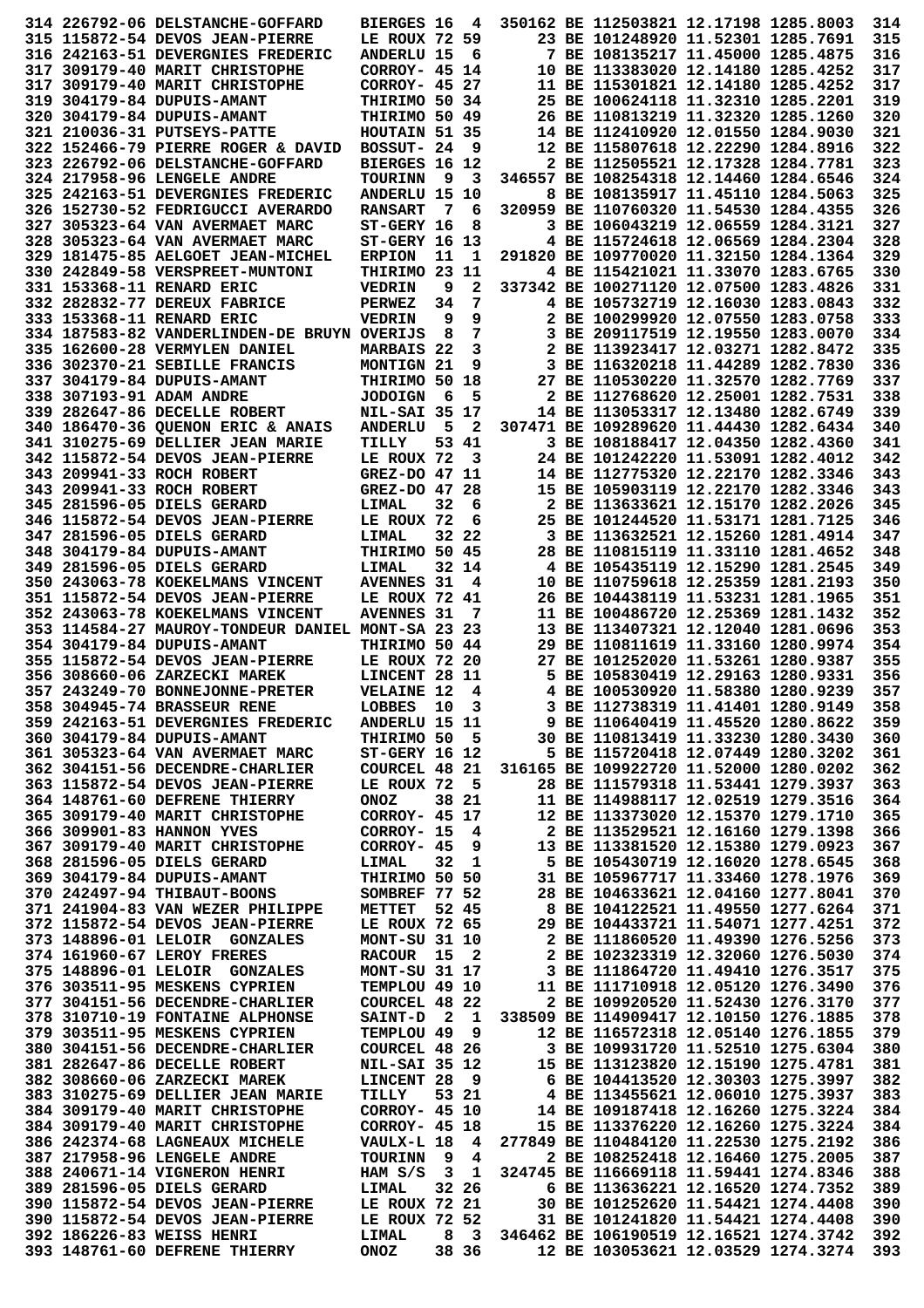|  | 314 226792-06 DELSTANCHE-GOFFARD                                         | <b>BIERGES 16</b>             |        | 4                       |  | 350162 BE 112503821 12.17198 1285.8003                                  |  | 314        |
|--|--------------------------------------------------------------------------|-------------------------------|--------|-------------------------|--|-------------------------------------------------------------------------|--|------------|
|  | 315 115872-54 DEVOS JEAN-PIERRE                                          | LE ROUX 72 59                 |        |                         |  | 23 BE 101248920 11.52301 1285.7691                                      |  | 315        |
|  | 316 242163-51 DEVERGNIES FREDERIC                                        | <b>ANDERLU 15</b>             |        | 6                       |  | 7 BE 108135217 11.45000 1285.4875                                       |  | 316        |
|  | 317 309179-40 MARIT CHRISTOPHE                                           | CORROY- 45 14                 |        |                         |  | 10 BE 113383020 12.14180 1285.4252                                      |  | 317        |
|  | 317 309179-40 MARIT CHRISTOPHE                                           | CORROY- 45 27                 |        |                         |  | 11 BE 115301821 12.14180 1285.4252                                      |  | 317        |
|  | 319 304179-84 DUPUIS-AMANT                                               | THIRIMO 50 34                 |        |                         |  | 25 BE 100624118 11.32310 1285.2201                                      |  | 319        |
|  | 320 304179-84 DUPUIS-AMANT                                               | THIRIMO 50 49                 |        |                         |  | 26 BE 110813219 11.32320 1285.1260                                      |  | 320        |
|  | 321 210036-31 PUTSEYS-PATTE                                              | HOUTAIN 51 35                 |        |                         |  | 14 BE 112410920 12.01550 1284.9030                                      |  | 321        |
|  | 322 152466-79 PIERRE ROGER & DAVID                                       | BOSSUT- 24                    |        | 9                       |  | 12 BE 115807618 12.22290 1284.8916                                      |  | 322        |
|  | 323 226792-06 DELSTANCHE-GOFFARD                                         | BIERGES 16 12                 |        |                         |  | 2 BE 112505521 12.17328 1284.7781                                       |  | 323        |
|  | 324 217958-96 LENGELE ANDRE                                              | <b>TOURINN</b>                | - 9    | 3                       |  | 346557 BE 108254318 12.14460 1284.6546                                  |  | 324        |
|  | 325 242163-51 DEVERGNIES FREDERIC                                        | ANDERLU 15 10                 |        |                         |  | 8 BE 108135917 11.45110 1284.5063                                       |  | 325        |
|  | 326 152730-52 FEDRIGUCCI AVERARDO                                        | <b>RANSART</b>                | - 7    | 6                       |  | 320959 BE 110760320 11.54530 1284.4355                                  |  | 326        |
|  | 327 305323-64 VAN AVERMAET MARC                                          | ST-GERY 16                    |        | 8                       |  | 3 BE 106043219 12.06559 1284.3121                                       |  | 327        |
|  | 328 305323-64 VAN AVERMAET MARC                                          | $ST-GERY$ 16 13               |        |                         |  | 4 BE 115724618 12.06569 1284.2304                                       |  | 328        |
|  | 329 181475-85 AELGOET JEAN-MICHEL                                        | <b>ERPION</b>                 | 11     | 1                       |  | 291820 BE 109770020 11.32150 1284.1364                                  |  | 329        |
|  | 330 242849-58 VERSPREET-MUNTONI                                          | THIRIMO 23 11                 |        |                         |  | 4 BE 115421021 11.33070 1283.6765                                       |  | 330        |
|  | 331 153368-11 RENARD ERIC                                                | <b>VEDRIN</b>                 | 9      | 2                       |  | 337342 BE 100271120 12.07500 1283.4826                                  |  | 331        |
|  | 332 282832-77 DEREUX FABRICE                                             | <b>PERWEZ</b>                 | 34     | 7                       |  | 4 BE 105732719 12.16030 1283.0843<br>2 BE 100299920 12.07550 1283.0758  |  | 332        |
|  | 333 153368-11 RENARD ERIC<br>334 187583-82 VANDERLINDEN-DE BRUYN OVERIJS | <b>VEDRIN</b>                 | 9<br>8 | 9<br>7                  |  | 3 BE 209117519 12.19550 1283.0070                                       |  | 333<br>334 |
|  | 335 162600-28 VERMYLEN DANIEL                                            | <b>MARBAIS 22</b>             |        | 3                       |  | 2 BE 113923417 12.03271 1282.8472                                       |  | 335        |
|  | 336 302370-21 SEBILLE FRANCIS                                            | MONTIGN 21                    |        | 9                       |  | 3 BE 116320218 11.44289 1282.7830                                       |  | 336        |
|  | 337 304179-84 DUPUIS-AMANT                                               | THIRIMO 50 18                 |        |                         |  | 27 BE 110530220 11.32570 1282.7769                                      |  | 337        |
|  | 338 307193-91 ADAM ANDRE                                                 | <b>JODOIGN</b>                | - 6    | 5                       |  | 2 BE 112768620 12.25001 1282.7531                                       |  | 338        |
|  | 339 282647-86 DECELLE ROBERT                                             | <b>NIL-SAI 35 17</b>          |        |                         |  | 14 BE 113053317 12.13480 1282.6749                                      |  | 339        |
|  | 340 186470-36 QUENON ERIC & ANAIS                                        | <b>ANDERLU</b>                | 5      | $\mathbf{2}$            |  | 307471 BE 109289620 11.44430 1282.6434                                  |  | 340        |
|  | 341 310275-69 DELLIER JEAN MARIE                                         | TILLY                         |        | 53 41                   |  | 3 BE 108188417 12.04350 1282.4360                                       |  | 341        |
|  | 342 115872-54 DEVOS JEAN-PIERRE                                          | LE ROUX 72                    |        | 3                       |  | 24 BE 101242220 11.53091 1282.4012                                      |  | 342        |
|  | 343 209941-33 ROCH ROBERT                                                | GREZ-DO 47 11                 |        |                         |  | 14 BE 112775320 12.22170 1282.3346                                      |  | 343        |
|  | 343 209941-33 ROCH ROBERT                                                | GREZ-DO 47 28                 |        |                         |  | 15 BE 105903119 12.22170 1282.3346                                      |  | 343        |
|  | 345 281596-05 DIELS GERARD                                               | LIMAL                         | 32     | 6                       |  | 2 BE 113633621 12.15170 1282.2026                                       |  | 345        |
|  | 346 115872-54 DEVOS JEAN-PIERRE                                          | LE ROUX 72                    |        | 6                       |  | 25 BE 101244520 11.53171 1281.7125                                      |  | 346        |
|  | 347 281596-05 DIELS GERARD                                               | LIMAL                         |        | 32 22                   |  | 3 BE 113632521 12.15260 1281.4914                                       |  | 347        |
|  | 348 304179-84 DUPUIS-AMANT                                               | THIRIMO 50 45                 |        |                         |  | 28 BE 110815119 11.33110 1281.4652                                      |  | 348        |
|  | 349 281596-05 DIELS GERARD                                               | LIMAL                         |        | 32 14                   |  | 4 BE 105435119 12.15290 1281.2545                                       |  | 349        |
|  | 350 243063-78 KOEKELMANS VINCENT                                         | <b>AVENNES 31</b>             |        | 4                       |  | 10 BE 110759618 12.25359 1281.2193                                      |  | 350        |
|  | 351 115872-54 DEVOS JEAN-PIERRE                                          | LE ROUX 72 41                 |        |                         |  | 26 BE 104438119 11.53231 1281.1965                                      |  | 351        |
|  | 352 243063-78 KOEKELMANS VINCENT                                         | <b>AVENNES 31</b>             |        | 7                       |  | 11 BE 100486720 12.25369 1281.1432                                      |  | 352        |
|  | 353 114584-27 MAUROY-TONDEUR DANIEL MONT-SA 23 23                        |                               |        |                         |  | 13 BE 113407321 12.12040 1281.0696                                      |  | 353        |
|  | 354 304179-84 DUPUIS-AMANT                                               | THIRIMO 50 44                 |        |                         |  | 29 BE 110811619 11.33160 1280.9974                                      |  | 354        |
|  | 355 115872-54 DEVOS JEAN-PIERRE                                          | LE ROUX 72 20                 |        |                         |  | 27 BE 101252020 11.53261 1280.9387                                      |  | 355        |
|  | 356 308660-06 ZARZECKI MAREK                                             | LINCENT 28 11                 |        |                         |  | 5 BE 105830419 12.29163 1280.9331                                       |  | 356        |
|  | 357 243249-70 BONNEJONNE-PRETER                                          | <b>VELAINE 12</b>             |        | 4                       |  | 4 BE 100530920 11.58380 1280.9239                                       |  | 357        |
|  | 358 304945-74 BRASSEUR RENE                                              | LOBBES 10                     |        | 3                       |  | 3 BE 112738319 11.41401 1280.9149                                       |  | 358        |
|  | 359 242163-51 DEVERGNIES FREDERIC                                        | ANDERLU 15 11                 |        |                         |  | 9 BE 110640419 11.45520 1280.8622                                       |  | 359        |
|  | 360 304179-84 DUPUIS-AMANT                                               | THIRIMO 50 5                  |        |                         |  | 30 BE 110813419 11.33230 1280.3430                                      |  | 360        |
|  | 361 305323-64 VAN AVERMAET MARC                                          | ST-GERY 16 12                 |        |                         |  | 5 BE 115720418 12.07449 1280.3202                                       |  | 361        |
|  | 362 304151-56 DECENDRE-CHARLIER                                          | COURCEL 48 21                 |        |                         |  | 316165 BE 109922720 11.52000 1280.0202                                  |  | 362        |
|  | 363 115872-54 DEVOS JEAN-PIERRE                                          | LE ROUX 72 5                  |        |                         |  | 28 BE 111579318 11.53441 1279.3937                                      |  | 363        |
|  | 364 148761-60 DEFRENE THIERRY                                            | <b>ONOZ</b>                   |        | 38 21                   |  | 11 BE 114988117 12.02519 1279.3516                                      |  | 364        |
|  | 365 309179-40 MARIT CHRISTOPHE                                           | CORROY- 45 17                 |        |                         |  | 12 BE 113373020 12.15370 1279.1710                                      |  | 365        |
|  | 366 309901-83 HANNON YVES                                                | CORROY- 15 4                  |        |                         |  | 2 BE 113529521 12.16160 1279.1398                                       |  | 366        |
|  | 367 309179-40 MARIT CHRISTOPHE                                           | $CORROY - 45$ 9               |        |                         |  | 13 BE 113381520 12.15380 1279.0923                                      |  | 367        |
|  | 368 281596-05 DIELS GERARD                                               | LIMAL                         | 32     | $\mathbf{1}$            |  | 5 BE 105430719 12.16020 1278.6545                                       |  | 368        |
|  | 369 304179-84 DUPUIS-AMANT                                               | THIRIMO 50 50                 |        |                         |  | 31 BE 105967717 11.33460 1278.1976                                      |  | 369        |
|  | 370 242497-94 THIBAUT-BOONS                                              | SOMBREF 77 52                 |        |                         |  | 28 BE 104633621 12.04160 1277.8041                                      |  | 370        |
|  | 371 241904-83 VAN WEZER PHILIPPE                                         | METTET 52 45                  |        |                         |  | 8 BE 104122521 11.49550 1277.6264                                       |  | 371        |
|  | 372 115872-54 DEVOS JEAN-PIERRE                                          | LE ROUX 72 65                 |        |                         |  | 29 BE 104433721 11.54071 1277.4251                                      |  | 372        |
|  | 373 148896-01 LELOIR GONZALES                                            | MONT-SU 31 10                 |        |                         |  | 2 BE 111860520 11.49390 1276.5256                                       |  | 373        |
|  | 374 161960-67 LEROY FRERES                                               | RACOUR 15 2                   |        |                         |  | 2 BE 102323319 12.32060 1276.5030                                       |  | 374        |
|  | 375 148896-01 LELOIR GONZALES                                            | MONT-SU 31 17                 |        |                         |  | 3 BE 111864720 11.49410 1276.3517                                       |  | 375        |
|  | 376 303511-95 MESKENS CYPRIEN                                            | TEMPLOU 49 10                 |        |                         |  | 11 BE 111710918 12.05120 1276.3490                                      |  | 376        |
|  | 377 304151-56 DECENDRE-CHARLIER                                          | COURCEL 48 22                 |        |                         |  | 2 BE 109920520 11.52430 1276.3170                                       |  | 377        |
|  | 378 310710-19 FONTAINE ALPHONSE                                          | SAINT-D <sub>2</sub> 1        |        |                         |  | 338509 BE 114909417 12.10150 1276.1885                                  |  | 378        |
|  | 379 303511-95 MESKENS CYPRIEN<br>380 304151-56 DECENDRE-CHARLIER         | TEMPLOU 49 9                  |        |                         |  | 12 BE 116572318 12.05140 1276.1855                                      |  | 379        |
|  |                                                                          | COURCEL 48 26                 |        |                         |  | 3 BE 109931720 11.52510 1275.6304                                       |  | 380        |
|  | 381 282647-86 DECELLE ROBERT<br>382 308660-06 ZARZECKI MAREK             | NIL-SAI 35 12<br>LINCENT 28 9 |        |                         |  | 15 BE 113123820 12.15190 1275.4781<br>6 BE 104413520 12.30303 1275.3997 |  | 381<br>382 |
|  | 383 310275-69 DELLIER JEAN MARIE                                         | TILLY                         |        | 53 21                   |  |                                                                         |  | 383        |
|  | 384 309179-40 MARIT CHRISTOPHE                                           | <b>CORROY- 45 10</b>          |        |                         |  | 4 BE 113455621 12.06010 1275.3937<br>14 BE 109187418 12.16260 1275.3224 |  | 384        |
|  | 384 309179-40 MARIT CHRISTOPHE                                           | CORROY- 45 18                 |        |                         |  | 15 BE 113376220 12.16260 1275.3224                                      |  | 384        |
|  | 386 242374-68 LAGNEAUX MICHELE                                           | <b>VAULX-L 18 4</b>           |        |                         |  | 277849 BE 110484120 11.22530 1275.2192                                  |  | 386        |
|  | 387 217958-96 LENGELE ANDRE                                              | <b>TOURINN</b>                | - 9    | $\overline{\mathbf{4}}$ |  | 2 BE 108252418 12.16460 1275.2005                                       |  | 387        |
|  | 388 240671-14 VIGNERON HENRI                                             | HAM S/S                       |        | $3\quad1$               |  | 324745 BE 116669118 11.59441 1274.8346                                  |  | 388        |
|  | 389 281596-05 DIELS GERARD                                               | <b>LIMAL</b>                  |        | 32 26                   |  | 6 BE 113636221 12.16520 1274.7352                                       |  | 389        |
|  | 390 115872-54 DEVOS JEAN-PIERRE                                          | LE ROUX 72 21                 |        |                         |  | 30 BE 101252620 11.54421 1274.4408                                      |  | 390        |
|  | 390 115872-54 DEVOS JEAN-PIERRE                                          | LE ROUX 72 52                 |        |                         |  | 31 BE 101241820 11.54421 1274.4408                                      |  | 390        |
|  | 392 186226-83 WEISS HENRI                                                | LIMAL                         |        | 83                      |  | 346462 BE 106190519 12.16521 1274.3742                                  |  | 392        |
|  | 393 148761-60 DEFRENE THIERRY                                            | ONOZ                          |        | 38 36                   |  | 12 BE 103053621 12.03529 1274.3274                                      |  | 393        |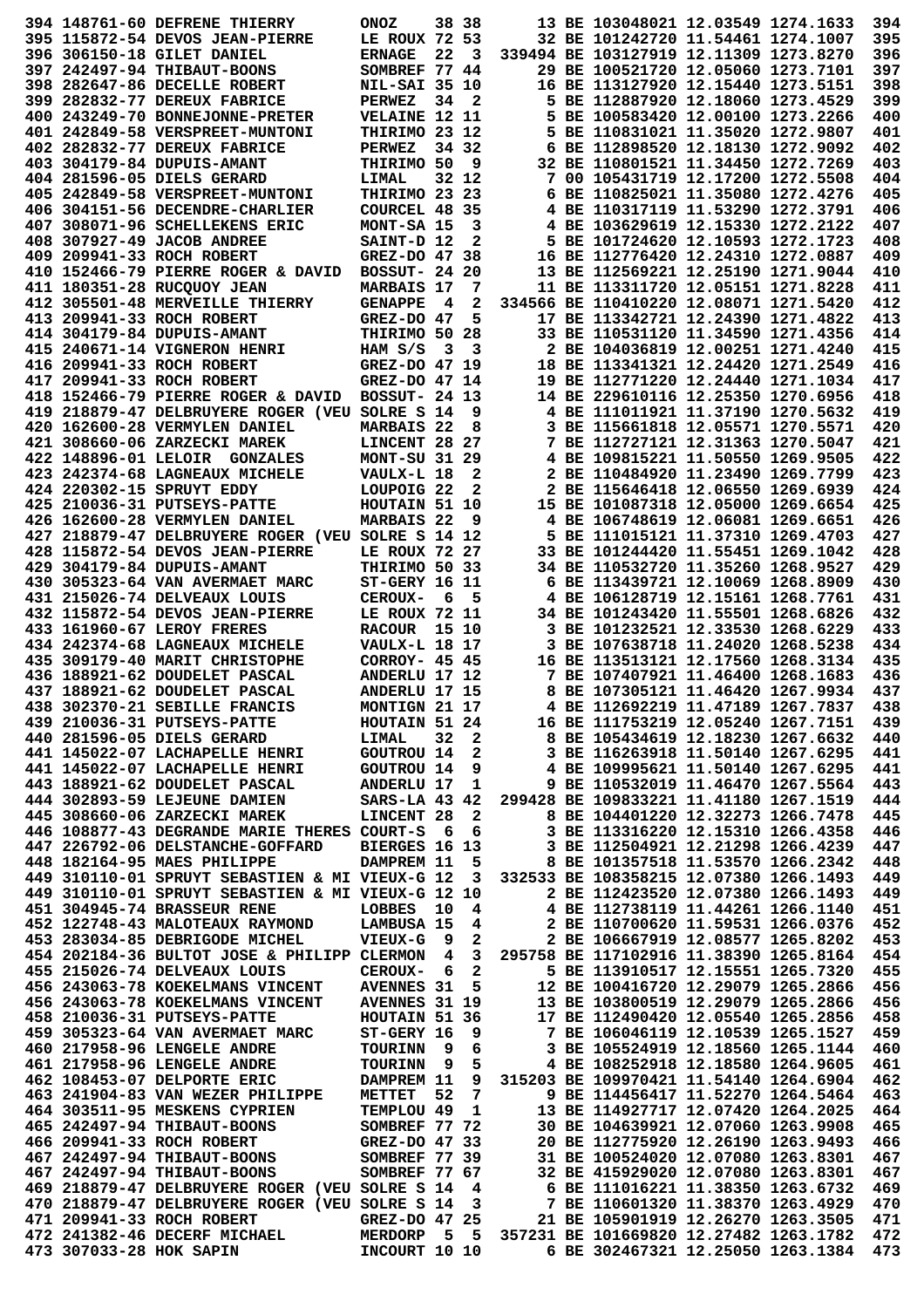|  | 394 148761-60 DEFRENE THIERRY                                                                                                                                                                                                                | <b>ONOZ</b>                           |     | 38 38 |                                                                                                                                                                                                                                        | 13 BE 103048021 12.03549 1274.1633                                     |  | 394        |
|--|----------------------------------------------------------------------------------------------------------------------------------------------------------------------------------------------------------------------------------------------|---------------------------------------|-----|-------|----------------------------------------------------------------------------------------------------------------------------------------------------------------------------------------------------------------------------------------|------------------------------------------------------------------------|--|------------|
|  | 395 115872-54 DEVOS JEAN-PIERRE                                                                                                                                                                                                              | LE ROUX 72 53                         |     |       |                                                                                                                                                                                                                                        | 32 BE 101242720 11.54461 1274.1007                                     |  | 395        |
|  | 396 306150-18 GILET DANIEL                                                                                                                                                                                                                   | <b>ERNAGE</b>                         | 22  | 3     |                                                                                                                                                                                                                                        | 339494 BE 103127919 12.11309 1273.8270                                 |  | 396        |
|  | 397 242497-94 THIBAUT-BOONS                                                                                                                                                                                                                  | SOMBREF 77 44                         |     |       |                                                                                                                                                                                                                                        | 29 BE 100521720 12.05060 1273.7101                                     |  | 397        |
|  | 398 282647-86 DECELLE ROBERT                                                                                                                                                                                                                 | <b>NIL-SAI 35 10</b>                  |     |       |                                                                                                                                                                                                                                        | 16 BE 113127920 12.15440 1273.5151                                     |  | 398        |
|  | 399 282832-77 DEREUX FABRICE                                                                                                                                                                                                                 | <b>PERWEZ</b>                         | 34  | 2     |                                                                                                                                                                                                                                        | 5 BE 112887920 12.18060 1273.4529                                      |  | 399        |
|  | 400 243249-70 BONNEJONNE-PRETER                                                                                                                                                                                                              | <b>VELAINE 12 11</b>                  |     |       |                                                                                                                                                                                                                                        | 5 BE 100583420 12.00100 1273.2266                                      |  | 400        |
|  | 401 242849-58 VERSPREET-MUNTONI                                                                                                                                                                                                              | THIRIMO 23 12                         |     |       |                                                                                                                                                                                                                                        | 5 BE 110831021 11.35020 1272.9807                                      |  | 401        |
|  | 402 282832-77 DEREUX FABRICE                                                                                                                                                                                                                 | <b>PERWEZ</b>                         |     | 34 32 |                                                                                                                                                                                                                                        | 6 BE 112898520 12.18130 1272.9092                                      |  | 402        |
|  | 403 304179-84 DUPUIS-AMANT                                                                                                                                                                                                                   | THIRIMO 50                            |     | 9     |                                                                                                                                                                                                                                        | 32 BE 110801521 11.34450 1272.7269                                     |  | 403        |
|  | 404 281596-05 DIELS GERARD                                                                                                                                                                                                                   | LIMAL                                 |     | 32 12 |                                                                                                                                                                                                                                        | 7 00 105431719 12.17200 1272.5508                                      |  | 404        |
|  | 405 242849-58 VERSPREET-MUNTONI                                                                                                                                                                                                              | THIRIMO 23 23                         |     |       |                                                                                                                                                                                                                                        | 6 BE 110825021 11.35080 1272.4276                                      |  | 405        |
|  | 406 304151-56 DECENDRE-CHARLIER                                                                                                                                                                                                              | COURCEL 48 35                         |     |       |                                                                                                                                                                                                                                        | 4 BE 110317119 11.53290 1272.3791                                      |  | 406        |
|  | 407 308071-96 SCHELLEKENS ERIC                                                                                                                                                                                                               | MONT-SA 15                            |     | 3     |                                                                                                                                                                                                                                        | 4 BE 103629619 12.15330 1272.2122                                      |  | 407        |
|  | 408 307927-49 JACOB ANDREE                                                                                                                                                                                                                   | SAINT-D 12                            |     | 2     |                                                                                                                                                                                                                                        | 5 BE 101724620 12.10593 1272.1723                                      |  | 408        |
|  | 409 209941-33 ROCH ROBERT                                                                                                                                                                                                                    | GREZ-DO 47 38                         |     |       |                                                                                                                                                                                                                                        | 16 BE 112776420 12.24310 1272.0887                                     |  | 409        |
|  | 410 152466-79 PIERRE ROGER & DAVID                                                                                                                                                                                                           | BOSSUT- 24 20                         |     |       |                                                                                                                                                                                                                                        | 13 BE 112569221 12.25190 1271.9044                                     |  | 410        |
|  | 411 180351-28 RUCQUOY JEAN                                                                                                                                                                                                                   | <b>MARBAIS 17</b>                     |     | 7     |                                                                                                                                                                                                                                        | 11 BE 113311720 12.05151 1271.8228                                     |  | 411        |
|  | 412 305501-48 MERVEILLE THIERRY                                                                                                                                                                                                              | <b>GENAPPE</b>                        | - 4 | 2     |                                                                                                                                                                                                                                        | 334566 BE 110410220 12.08071 1271.5420                                 |  | 412        |
|  | 413 209941-33 ROCH ROBERT                                                                                                                                                                                                                    | GREZ-DO 47                            |     | 5     |                                                                                                                                                                                                                                        | 17 BE 113342721 12.24390 1271.4822                                     |  | 413        |
|  | 414 304179-84 DUPUIS-AMANT                                                                                                                                                                                                                   | THIRIMO 50 28                         |     |       |                                                                                                                                                                                                                                        | 33 BE 110531120 11.34590 1271.4356                                     |  | 414        |
|  | 415 240671-14 VIGNERON HENRI                                                                                                                                                                                                                 | HAM S/S                               | - 3 | 3     |                                                                                                                                                                                                                                        | 2 BE 104036819 12.00251 1271.4240                                      |  | 415        |
|  | 416 209941-33 ROCH ROBERT                                                                                                                                                                                                                    | GREZ-DO 47 19                         |     |       |                                                                                                                                                                                                                                        | 18 BE 113341321 12.24420 1271.2549                                     |  | 416        |
|  | 417 209941-33 ROCH ROBERT                                                                                                                                                                                                                    | GREZ-DO 47 14                         |     |       |                                                                                                                                                                                                                                        | 19 BE 112771220 12.24440 1271.1034                                     |  | 417        |
|  | 418 152466-79 PIERRE ROGER & DAVID                                                                                                                                                                                                           | BOSSUT- 24 13                         |     |       |                                                                                                                                                                                                                                        | 14 BE 229610116 12.25350 1270.6956                                     |  | 418        |
|  | 419 218879-47 DELBRUYERE ROGER (VEU SOLRE S 14                                                                                                                                                                                               |                                       |     | 9     |                                                                                                                                                                                                                                        | 4 BE 111011921 11.37190 1270.5632                                      |  | 419        |
|  | 420 162600-28 VERMYLEN DANIEL                                                                                                                                                                                                                | MARBAIS 22                            |     | 8     |                                                                                                                                                                                                                                        | 3 BE 115661818 12.05571 1270.5571                                      |  | 420        |
|  | 421 308660-06 ZARZECKI MAREK                                                                                                                                                                                                                 | LINCENT 28 27                         |     |       |                                                                                                                                                                                                                                        | 7 BE 112727121 12.31363 1270.5047                                      |  | 421        |
|  | 422 148896-01 LELOIR GONZALES                                                                                                                                                                                                                | <b>MONT-SU 31 29</b>                  |     |       |                                                                                                                                                                                                                                        | 4 BE 109815221 11.50550 1269.9505                                      |  | 422        |
|  | 423 242374-68 LAGNEAUX MICHELE                                                                                                                                                                                                               | VAULX-L 18                            |     | 2     |                                                                                                                                                                                                                                        | 2 BE 110484920 11.23490 1269.7799                                      |  | 423        |
|  | 424 220302-15 SPRUYT EDDY                                                                                                                                                                                                                    | LOUPOIG <sub>22</sub>                 |     | 2     |                                                                                                                                                                                                                                        | 2 BE 115646418 12.06550 1269.6939                                      |  | 424        |
|  | 425 210036-31 PUTSEYS-PATTE                                                                                                                                                                                                                  | HOUTAIN 51 10                         |     |       |                                                                                                                                                                                                                                        | 15 BE 101087318 12.05000 1269.6654                                     |  | 425        |
|  | 426 162600-28 VERMYLEN DANIEL                                                                                                                                                                                                                | <b>MARBAIS 22</b>                     |     | 9     |                                                                                                                                                                                                                                        | 4 BE 106748619 12.06081 1269.6651<br>5 BE 111015121 11.37310 1269.4703 |  | 426<br>427 |
|  | 427 218879-47 DELBRUYERE ROGER (VEU SOLRE S 14 12                                                                                                                                                                                            |                                       |     |       |                                                                                                                                                                                                                                        | 33 BE 101244420 11.55451 1269.1042                                     |  | 428        |
|  | 428 115872-54 DEVOS JEAN-PIERRE<br>429 304179-84 DUPUIS-AMANT                                                                                                                                                                                | LE ROUX 72 27                         |     |       |                                                                                                                                                                                                                                        | 34 BE 110532720 11.35260 1268.9527                                     |  | 429        |
|  | 430 305323-64 VAN AVERMAET MARC                                                                                                                                                                                                              | THIRIMO 50 33<br><b>ST-GERY 16 11</b> |     |       |                                                                                                                                                                                                                                        | 6 BE 113439721 12.10069 1268.8909                                      |  | 430        |
|  | 431 215026-74 DELVEAUX LOUIS                                                                                                                                                                                                                 | <b>CEROUX-</b>                        | - 6 | 5     |                                                                                                                                                                                                                                        | 4 BE 106128719 12.15161 1268.7761                                      |  | 431        |
|  | 432 115872-54 DEVOS JEAN-PIERRE                                                                                                                                                                                                              | LE ROUX 72 11                         |     |       |                                                                                                                                                                                                                                        | 34 BE 101243420 11.55501 1268.6826                                     |  | 432        |
|  | 433 161960-67 LEROY FRERES                                                                                                                                                                                                                   | RACOUR 15 10                          |     |       |                                                                                                                                                                                                                                        | 3 BE 101232521 12.33530 1268.6229                                      |  | 433        |
|  | 434 242374-68 LAGNEAUX MICHELE                                                                                                                                                                                                               | <b>VAULX-L 18 17</b>                  |     |       |                                                                                                                                                                                                                                        | 3 BE 107638718 11.24020 1268.5238                                      |  | 434        |
|  | 435 309179-40 MARIT CHRISTOPHE                                                                                                                                                                                                               | CORROY- 45 45                         |     |       |                                                                                                                                                                                                                                        | 16 BE 113513121 12.17560 1268.3134                                     |  | 435        |
|  | 436 188921-62 DOUDELET PASCAL                                                                                                                                                                                                                | ANDERLU 17 12                         |     |       |                                                                                                                                                                                                                                        | 7 BE 107407921 11.46400 1268.1683                                      |  | 436        |
|  | 437 188921-62 DOUDELET PASCAL                                                                                                                                                                                                                | ANDERLU 17 15                         |     |       |                                                                                                                                                                                                                                        | 8 BE 107305121 11.46420 1267.9934                                      |  | 437        |
|  | 438 302370-21 SEBILLE FRANCIS                                                                                                                                                                                                                | MONTIGN 21 17                         |     |       |                                                                                                                                                                                                                                        | 4 BE 112692219 11.47189 1267.7837                                      |  | 438        |
|  | 439 210036-31 PUTSEYS-PATTE                                                                                                                                                                                                                  |                                       |     |       |                                                                                                                                                                                                                                        |                                                                        |  | 439        |
|  | 440 281596-05 DIELS GERARD                                                                                                                                                                                                                   |                                       |     |       | 4 BE 112692219 11.47189 1267.7837<br>HOUTAIN 51 24 16 BE 111753219 12.05240 1267.7151<br>LIMAL 32 2 8 BE 105434619 12.18230 1267.6632<br>GOUTROU 14 2 3 BE 116263918 11.50140 1267.6295<br>GOUTROU 14 9 4 BE 109995621 11.50140 1267.6 |                                                                        |  | 440        |
|  | 441 145022-07 LACHAPELLE HENRI                                                                                                                                                                                                               |                                       |     |       |                                                                                                                                                                                                                                        |                                                                        |  | 441        |
|  | 441 145022-07 LACHAPELLE HENRI                                                                                                                                                                                                               |                                       |     |       |                                                                                                                                                                                                                                        |                                                                        |  | 441        |
|  | 443 188921-62 DOUDELET PASCAL                                                                                                                                                                                                                |                                       |     |       | GOUTROU 14 9 4 BE 109995621 11.50140 1267.6295<br>ANDERLU 17 1 9 BE 110532019 11.46470 1267.5564                                                                                                                                       |                                                                        |  | 443        |
|  | 444 302893-59 LEJEUNE DAMIEN SARS-LA 43 42 299428 BE 109833221 11.41180 1267.1519                                                                                                                                                            |                                       |     |       |                                                                                                                                                                                                                                        |                                                                        |  | 444        |
|  | 445 308660-06 ZARZECKI MAREK                                                                                                                                                                                                                 | LINCENT 28 2                          |     |       | 8 BE 103316220 12.15310 1200.11<br>3 BE 112504921 12.21298 1266.4239<br>8 BE 112504921 11.53570 1266.2342<br>8 BE 101357518 11.53570 1266.1493                                                                                         |                                                                        |  | 445        |
|  | 446 108877-43 DEGRANDE MARIE THERES COURT-S                                                                                                                                                                                                  |                                       | 66  |       |                                                                                                                                                                                                                                        |                                                                        |  | 446        |
|  | 447 226792-06 DELSTANCHE-GOFFARD                                                                                                                                                                                                             | BIERGES 16 13                         |     |       |                                                                                                                                                                                                                                        |                                                                        |  | 447        |
|  | 448 182164-95 MAES PHILIPPE                                                                                                                                                                                                                  | DAMPREM 11                            |     |       | 5 8 BE 101357518 11.53570 1266.2342                                                                                                                                                                                                    |                                                                        |  | 448        |
|  | 449 310110-01 SPRUYT SEBASTIEN & MI VIEUX-G 12 3 332533 BE 108358215 12.07380 1266.1493                                                                                                                                                      |                                       |     |       |                                                                                                                                                                                                                                        |                                                                        |  | 449        |
|  | 449 310110-01 SPRUYT SEBASTIEN & MI VIEUX-G 12 10                                                                                                                                                                                            |                                       |     |       |                                                                                                                                                                                                                                        | 2 BE 112423520 12.07380 1266.1493                                      |  | 449        |
|  | 451 304945-74 BRASSEUR RENE                                                                                                                                                                                                                  | LOBBES 10                             |     |       | 10 4 4 BE 112738119 11.44261 1266.1140<br>15 4 2 BE 110700620 11.59531 1266.0376<br>9 2 2 BE 106667919 12.08577 1265.8202                                                                                                              |                                                                        |  | 451        |
|  | 452 122748-43 MALOTEAUX RAYMOND                                                                                                                                                                                                              | LAMBUSA 15                            |     |       |                                                                                                                                                                                                                                        |                                                                        |  | 452        |
|  | 453 283034-85 DEBRIGODE MICHEL VIEUX-G                                                                                                                                                                                                       |                                       |     |       |                                                                                                                                                                                                                                        |                                                                        |  | 453        |
|  | 454 202184-36 BULTOT JOSE & PHILIPP CLERMON 4 3 295758 BE 117102916 11.38390 1265.8164                                                                                                                                                       |                                       |     |       |                                                                                                                                                                                                                                        |                                                                        |  | 454        |
|  | 455 215026-74 DELVEAUX LOUIS                                                                                                                                                                                                                 | CEROUX- 6                             |     |       | 2 5 BE 113910517 12.15551 1265.7320                                                                                                                                                                                                    |                                                                        |  | 455        |
|  | 456 243063-78 KOEKELMANS VINCENT                                                                                                                                                                                                             |                                       |     |       |                                                                                                                                                                                                                                        |                                                                        |  | 456        |
|  | 456 243063-78 KOEKELMANS VINCENT                                                                                                                                                                                                             |                                       |     |       |                                                                                                                                                                                                                                        |                                                                        |  | 456        |
|  | 458 210036-31 PUTSEYS-PATTE                                                                                                                                                                                                                  |                                       |     |       |                                                                                                                                                                                                                                        |                                                                        |  | 458        |
|  | 459 305323-64 VAN AVERMAET MARC ST-GERY 16                                                                                                                                                                                                   |                                       |     |       | AVENNES 31 5 12 BE 100416720 12.29079 1265.2866<br>AVENNES 31 19 13 BE 103800519 12.29079 1265.2866<br>HOUTAIN 51 36 17 BE 112490420 12.05540 1265.2856<br>ST-GERY 16 9 7 BE 106046119 12.10539 1265.1527                              |                                                                        |  | 459        |
|  | 460 217958-96 LENGELE ANDRE                                                                                                                                                                                                                  |                                       |     |       | 3 BE 105524919 12.18560 1265.1144                                                                                                                                                                                                      |                                                                        |  | 460        |
|  | 461 217958-96 LENGELE ANDRE                                                                                                                                                                                                                  |                                       |     |       |                                                                                                                                                                                                                                        | 4 BE 108252918 12.18580 1264.9605                                      |  | 461        |
|  | 462 108453-07 DELPORTE ERIC                                                                                                                                                                                                                  | DAMPREM 11                            |     |       | 9 315203 BE 109970421 11.54140 1264.6904<br>$\frac{9}{7}$                                                                                                                                                                              |                                                                        |  | 462        |
|  | 463 241904-83 VAN WEZER PHILIPPE METTET 52                                                                                                                                                                                                   |                                       |     |       |                                                                                                                                                                                                                                        | 9 BE 114456417 11.52270 1264.5464                                      |  | 463        |
|  | 464 303511-95 MESKENS CYPRIEN                                                                                                                                                                                                                | TEMPLOU 49 1                          |     |       |                                                                                                                                                                                                                                        | 13 BE 114927717 12.07420 1264.2025                                     |  | 464        |
|  | 465 242497-94 THIBAUT-BOONS                                                                                                                                                                                                                  | SOMBREF 77 72                         |     |       |                                                                                                                                                                                                                                        | 30 BE 104639921 12.07060 1263.9908                                     |  | 465        |
|  |                                                                                                                                                                                                                                              |                                       |     |       |                                                                                                                                                                                                                                        |                                                                        |  | 466        |
|  |                                                                                                                                                                                                                                              |                                       |     |       |                                                                                                                                                                                                                                        |                                                                        |  | 467        |
|  | 466 209941-33 ROCH ROBERT<br>467 242497-94 THIBAUT-BOONS<br>467 242497-94 THIBAUT-BOONS<br>467 242497-94 THIBAUT-BOONS<br>467 242497-94 THIBAUT-BOONS<br>467 242497-94 THIBAUT-BOONS<br>467 242497-94 THIBAUT-BOONS<br>467 242497-94 THIBAUT |                                       |     |       |                                                                                                                                                                                                                                        |                                                                        |  | 467        |
|  |                                                                                                                                                                                                                                              |                                       |     |       |                                                                                                                                                                                                                                        |                                                                        |  | 469        |
|  |                                                                                                                                                                                                                                              |                                       |     |       | GREZ-DO 47 25 21 BE 105901919 12.26270 1263.3505                                                                                                                                                                                       |                                                                        |  | 470        |
|  | 471 209941-33 ROCH ROBERT                                                                                                                                                                                                                    |                                       |     |       |                                                                                                                                                                                                                                        |                                                                        |  | 471        |
|  | 472 241382-46 DECERF MICHAEL MERDORP 5 5 357231 BE 101669820 12.27482 1263.1782                                                                                                                                                              |                                       |     |       |                                                                                                                                                                                                                                        |                                                                        |  | 472        |
|  | 473 307033-28 HOK SAPIN 1NCOURT 10 10                                                                                                                                                                                                        |                                       |     |       | 6 BE 302467321 12.25050 1263.1384                                                                                                                                                                                                      |                                                                        |  | 473        |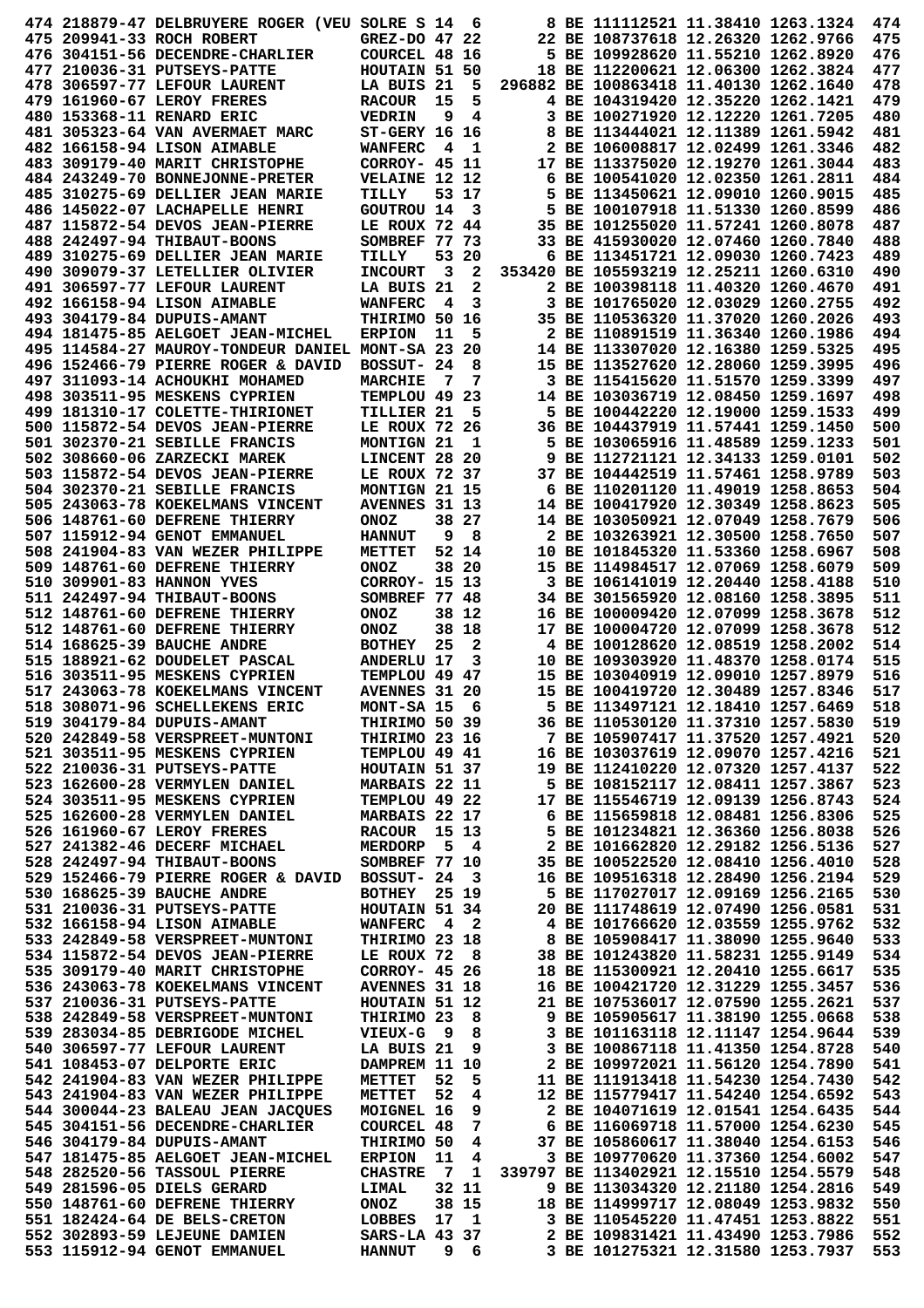|  | 474 218879-47 DELBRUYERE ROGER (VEU SOLRE S 14  |                         |                | 6     | 8 BE 111112521 11.38410 1263.1324      |  | 474 |
|--|-------------------------------------------------|-------------------------|----------------|-------|----------------------------------------|--|-----|
|  | 475 209941-33 ROCH ROBERT                       | GREZ-DO 47 22           |                |       | 22 BE 108737618 12.26320 1262.9766     |  | 475 |
|  | 476 304151-56 DECENDRE-CHARLIER                 | COURCEL 48 16           |                |       | 5 BE 109928620 11.55210 1262.8920      |  | 476 |
|  | 477 210036-31 PUTSEYS-PATTE                     | HOUTAIN 51 50           |                |       | 18 BE 112200621 12.06300 1262.3824     |  | 477 |
|  | 478 306597-77 LEFOUR LAURENT                    | LA BUIS 21              |                | 5     | 296882 BE 100863418 11.40130 1262.1640 |  | 478 |
|  | 479 161960-67 LEROY FRERES                      | <b>RACOUR</b>           | 15             | 5     | 4 BE 104319420 12.35220 1262.1421      |  | 479 |
|  | 480 153368-11 RENARD ERIC                       | <b>VEDRIN</b>           | 9              | 4     | 3 BE 100271920 12.12220 1261.7205      |  | 480 |
|  | 481 305323-64 VAN AVERMAET MARC                 | <b>ST-GERY 16 16</b>    |                |       | 8 BE 113444021 12.11389 1261.5942      |  | 481 |
|  | 482 166158-94 LISON AIMABLE                     | WANFERC                 | 4              | 1     | 2 BE 106008817 12.02499 1261.3346      |  | 482 |
|  | 483 309179-40 MARIT CHRISTOPHE                  | <b>CORROY- 45 11</b>    |                |       | 17 BE 113375020 12.19270 1261.3044     |  | 483 |
|  | 484 243249-70 BONNEJONNE-PRETER                 | VELAINE 12 12           |                |       | 6 BE 100541020 12.02350 1261.2811      |  | 484 |
|  | 485 310275-69 DELLIER JEAN MARIE                | TILLY                   |                | 53 17 | 5 BE 113450621 12.09010 1260.9015      |  | 485 |
|  | 486 145022-07 LACHAPELLE HENRI                  | <b>GOUTROU 14</b>       |                | 3     | 5 BE 100107918 11.51330 1260.8599      |  | 486 |
|  | 487 115872-54 DEVOS JEAN-PIERRE                 | LE ROUX 72 44           |                |       | 35 BE 101255020 11.57241 1260.8078     |  | 487 |
|  | 488 242497-94 THIBAUT-BOONS                     | SOMBREF 77 73           |                |       | 33 BE 415930020 12.07460 1260.7840     |  | 488 |
|  | 489 310275-69 DELLIER JEAN MARIE                | TILLY                   | 53             | -20   | 6 BE 113451721 12.09030 1260.7423      |  | 489 |
|  | 490 309079-37 LETELLIER OLIVIER                 | <b>INCOURT</b>          | 3              | 2     | 353420 BE 105593219 12.25211 1260.6310 |  | 490 |
|  | 491 306597-77 LEFOUR LAURENT                    | LA BUIS 21              |                | 2     | 2 BE 100398118 11.40320 1260.4670      |  | 491 |
|  | 492 166158-94 LISON AIMABLE                     | <b>WANFERC</b>          | 4              | 3     | 3 BE 101765020 12.03029 1260.2755      |  | 492 |
|  | 493 304179-84 DUPUIS-AMANT                      | THIRIMO 50 16           |                |       | 35 BE 110536320 11.37020 1260.2026     |  | 493 |
|  | 494 181475-85 AELGOET JEAN-MICHEL               | <b>ERPION</b>           | 11             | 5     | 2 BE 110891519 11.36340 1260.1986      |  | 494 |
|  | 495 114584-27 MAUROY-TONDEUR DANIEL             | MONT-SA 23              |                | 20    | 14 BE 113307020 12.16380 1259.5325     |  | 495 |
|  | 496 152466-79 PIERRE ROGER & DAVID              | BOSSUT- 24              |                | 8     | 15 BE 113527620 12.28060 1259.3995     |  | 496 |
|  | 497 311093-14 ACHOUKHI MOHAMED                  | <b>MARCHIE</b>          | - 7            | 7     | 3 BE 115415620 11.51570 1259.3399      |  | 497 |
|  | 498 303511-95 MESKENS CYPRIEN                   | TEMPLOU 49 23           |                |       | 14 BE 103036719 12.08450 1259.1697     |  | 498 |
|  | 499 181310-17 COLETTE-THIRIONET                 | TILLIER 21              |                | 5     | 5 BE 100442220 12.19000 1259.1533      |  | 499 |
|  | 500 115872-54 DEVOS JEAN-PIERRE                 | LE ROUX 72 26           |                |       | 36 BE 104437919 11.57441 1259.1450     |  | 500 |
|  | 501 302370-21 SEBILLE FRANCIS                   | MONTIGN 21              |                | 1     | 5 BE 103065916 11.48589 1259.1233      |  | 501 |
|  | 502 308660-06 ZARZECKI MAREK                    | LINCENT 28 20           |                |       | 9 BE 112721121 12.34133 1259.0101      |  | 502 |
|  | 503 115872-54 DEVOS JEAN-PIERRE                 | LE ROUX 72 37           |                |       | 37 BE 104442519 11.57461 1258.9789     |  | 503 |
|  | 504 302370-21 SEBILLE FRANCIS                   | MONTIGN 21 15           |                |       | 6 BE 110201120 11.49019 1258.8653      |  | 504 |
|  | 505 243063-78 KOEKELMANS VINCENT                | AVENNES 31 13           |                |       | 14 BE 100417920 12.30349 1258.8623     |  | 505 |
|  | 506 148761-60 DEFRENE THIERRY                   | <b>ONOZ</b>             |                | 38 27 | 14 BE 103050921 12.07049 1258.7679     |  | 506 |
|  | 507 115912-94 GENOT EMMANUEL                    | <b>HANNUT</b>           | 9              | 8     | 2 BE 103263921 12.30500 1258.7650      |  | 507 |
|  | 508 241904-83 VAN WEZER PHILIPPE                | METTET                  |                | 52 14 | 10 BE 101845320 11.53360 1258.6967     |  | 508 |
|  | 509 148761-60 DEFRENE THIERRY                   | <b>ONOZ</b>             |                | 38 20 | 15 BE 114984517 12.07069 1258.6079     |  | 509 |
|  | 510 309901-83 HANNON YVES                       | CORROY- 15 13           |                |       | 3 BE 106141019 12.20440 1258.4188      |  | 510 |
|  | 511 242497-94 THIBAUT-BOONS                     | SOMBREF 77 48           |                |       | 34 BE 301565920 12.08160 1258.3895     |  | 511 |
|  | 512 148761-60 DEFRENE THIERRY                   | <b>ONOZ</b>             |                | 38 12 | 16 BE 100009420 12.07099 1258.3678     |  | 512 |
|  | 512 148761-60 DEFRENE THIERRY                   | <b>ONOZ</b>             |                | 38 18 | 17 BE 100004720 12.07099 1258.3678     |  | 512 |
|  | 514 168625-39 BAUCHE ANDRE                      | <b>BOTHEY</b>           | 25             | 2     | 4 BE 100128620 12.08519 1258.2002      |  | 514 |
|  | 515 188921-62 DOUDELET PASCAL                   | <b>ANDERLU 17</b>       |                | 3     | 10 BE 109303920 11.48370 1258.0174     |  | 515 |
|  | 516 303511-95 MESKENS CYPRIEN                   | TEMPLOU 49 47           |                |       | 15 BE 103040919 12.09010 1257.8979     |  | 516 |
|  | 517 243063-78 KOEKELMANS VINCENT                | AVENNES 31 20           |                |       | 15 BE 100419720 12.30489 1257.8346     |  | 517 |
|  | 518 308071-96 SCHELLEKENS ERIC                  | MONT-SA 15 6            |                |       | 5 BE 113497121 12.18410 1257.6469      |  | 518 |
|  | 519 304179-84 DUPUIS-AMANT                      | THIRIMO 50 39           |                |       | 36 BE 110530120 11.37310 1257.5830     |  | 519 |
|  | 520 242849-58 VERSPREET-MUNTONI                 | THIRIMO 23 16           |                |       | 7 BE 105907417 11.37520 1257.4921      |  | 520 |
|  | 521 303511-95 MESKENS CYPRIEN                   | TEMPLOU 49 41           |                |       | 16 BE 103037619 12.09070 1257.4216     |  | 521 |
|  | 522 210036-31 PUTSEYS-PATTE                     | HOUTAIN 51 37           |                |       | 19 BE 112410220 12.07320 1257.4137     |  | 522 |
|  | 523 162600-28 VERMYLEN DANIEL                   | MARBAIS 22 11           |                |       | 5 BE 108152117 12.08411 1257.3867      |  | 523 |
|  | 524 303511-95 MESKENS CYPRIEN                   | TEMPLOU 49 22           |                |       | 17 BE 115546719 12.09139 1256.8743     |  | 524 |
|  | 525 162600-28 VERMYLEN DANIEL                   | <b>MARBAIS 22 17</b>    |                |       | 6 BE 115659818 12.08481 1256.8306      |  | 525 |
|  | 526 161960-67 LEROY FRERES                      | RACOUR <sub>15</sub> 13 |                |       | 5 BE 101234821 12.36360 1256.8038      |  | 526 |
|  | 527 241382-46 DECERF MICHAEL                    | <b>MERDORP</b>          |                | 5 4   | 2 BE 101662820 12.29182 1256.5136      |  | 527 |
|  | 528 242497-94 THIBAUT-BOONS                     | SOMBREF 77 10           |                |       | 35 BE 100522520 12.08410 1256.4010     |  | 528 |
|  | 529 152466-79 PIERRE ROGER & DAVID BOSSUT- 24 3 |                         |                |       | 16 BE 109516318 12.28490 1256.2194     |  | 529 |
|  | 530 168625-39 BAUCHE ANDRE                      | <b>BOTHEY</b> 25 19     |                |       | 5 BE 117027017 12.09169 1256.2165      |  | 530 |
|  | 531 210036-31 PUTSEYS-PATTE                     | HOUTAIN 51 34           |                |       | 20 BE 111748619 12.07490 1256.0581     |  | 531 |
|  | 532 166158-94 LISON AIMABLE                     | <b>WANFERC</b>          |                | 4 2   | 4 BE 101766620 12.03559 1255.9762      |  | 532 |
|  | 533 242849-58 VERSPREET-MUNTONI                 | THIRIMO 23 18           |                |       | 8 BE 105908417 11.38090 1255.9640      |  | 533 |
|  | 534 115872-54 DEVOS JEAN-PIERRE                 | LE ROUX 72              |                | - 8   | 38 BE 101243820 11.58231 1255.9149     |  | 534 |
|  | 535 309179-40 MARIT CHRISTOPHE                  | CORROY- 45 26           |                |       | 18 BE 115300921 12.20410 1255.6617     |  | 535 |
|  | 536 243063-78 KOEKELMANS VINCENT                | <b>AVENNES 31 18</b>    |                |       | 16 BE 100421720 12.31229 1255.3457     |  | 536 |
|  | 537 210036-31 PUTSEYS-PATTE                     | HOUTAIN 51 12           |                |       | 21 BE 107536017 12.07590 1255.2621     |  | 537 |
|  | 538 242849-58 VERSPREET-MUNTONI                 | THIRIMO 23              |                | - 8   | 9 BE 105905617 11.38190 1255.0668      |  | 538 |
|  | 539 283034-85 DEBRIGODE MICHEL                  | <b>VIEUX-G</b>          | - 9            | 8     | 3 BE 101163118 12.11147 1254.9644      |  | 539 |
|  | 540 306597-77 LEFOUR LAURENT                    | LA BUIS 21              |                | 9     | 3 BE 100867118 11.41350 1254.8728      |  | 540 |
|  | 541 108453-07 DELPORTE ERIC                     | DAMPREM 11 10           |                |       | 2 BE 109972021 11.56120 1254.7890      |  | 541 |
|  | 542 241904-83 VAN WEZER PHILIPPE                | <b>METTET</b>           | 52             | 5     | 11 BE 111913418 11.54230 1254.7430     |  | 542 |
|  | 543 241904-83 VAN WEZER PHILIPPE                | <b>METTET</b>           | 52             | 4     | 12 BE 115779417 11.54240 1254.6592     |  | 543 |
|  | 544 300044-23 BALEAU JEAN JACQUES               | MOIGNEL 16              |                | 9     | 2 BE 104071619 12.01541 1254.6435      |  | 544 |
|  | 545 304151-56 DECENDRE-CHARLIER                 | COURCEL 48              |                | 7     | 6 BE 116069718 11.57000 1254.6230      |  | 545 |
|  | 546 304179-84 DUPUIS-AMANT                      | THIRIMO 50              |                | 4     | 37 BE 105860617 11.38040 1254.6153     |  | 546 |
|  | 547 181475-85 AELGOET JEAN-MICHEL               | <b>ERPION</b>           | 11             | 4     | 3 BE 109770620 11.37360 1254.6002      |  | 547 |
|  | 548 282520-56 TASSOUL PIERRE                    | <b>CHASTRE</b>          |                | 7 1   | 339797 BE 113402921 12.15510 1254.5579 |  | 548 |
|  | 549 281596-05 DIELS GERARD                      | LIMAL                   |                | 32 11 | 9 BE 113034320 12.21180 1254.2816      |  | 549 |
|  | 550 148761-60 DEFRENE THIERRY                   | ONOZ                    |                | 38 15 | 18 BE 114999717 12.08049 1253.9832     |  | 550 |
|  | 551 182424-64 DE BELS-CRETON                    | LOBBES                  |                | 17 1  | 3 BE 110545220 11.47451 1253.8822      |  | 551 |
|  | 552 302893-59 LEJEUNE DAMIEN                    | SARS-LA 43 37           |                |       | 2 BE 109831421 11.43490 1253.7986      |  | 552 |
|  | 553 115912-94 GENOT EMMANUEL                    | <b>HANNUT</b>           | 9 <sub>6</sub> |       | 3 BE 101275321 12.31580 1253.7937      |  | 553 |
|  |                                                 |                         |                |       |                                        |  |     |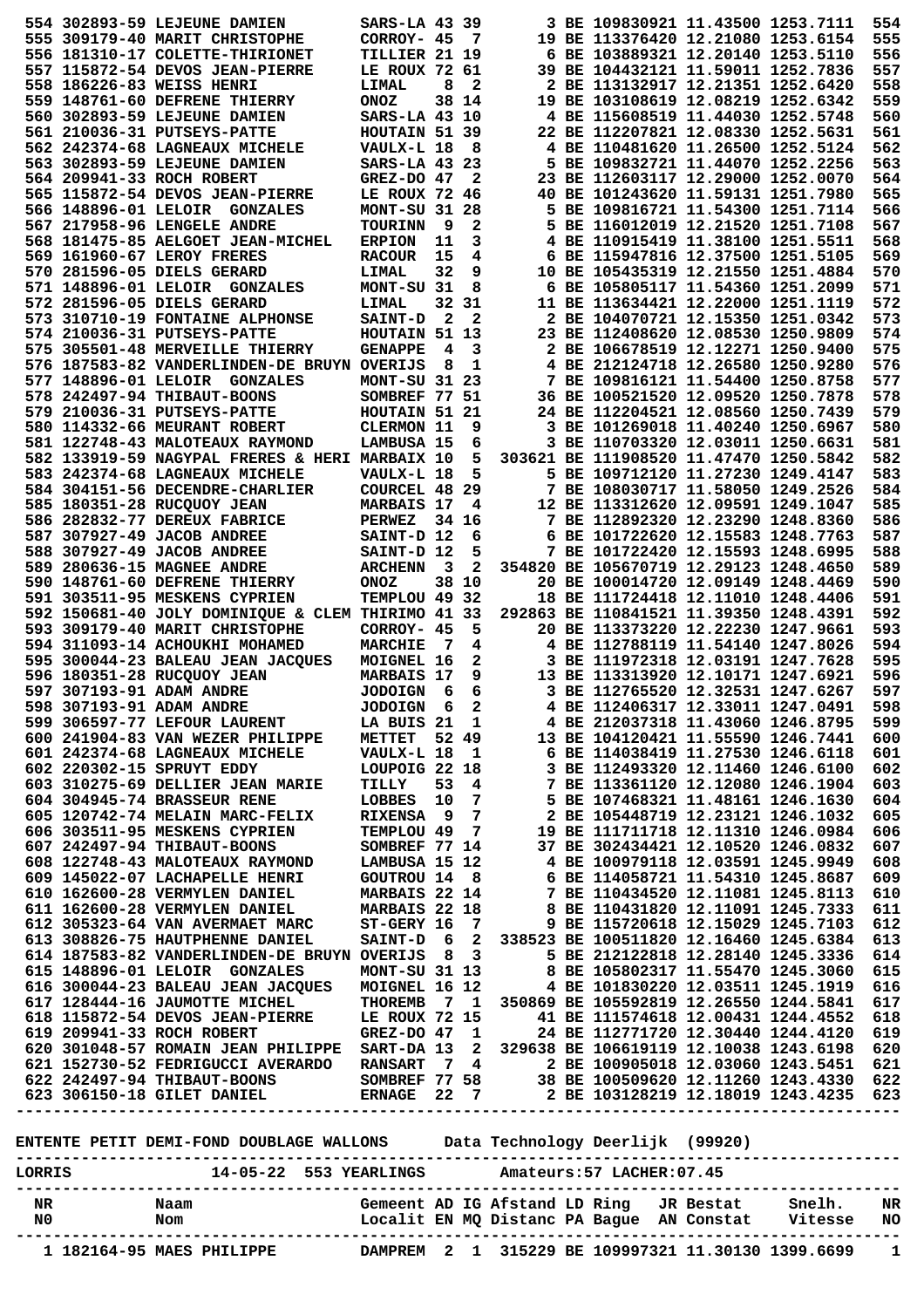| 3 BE 109830921 11.43500 1253.7111<br>554 302893-59 LEJEUNE DAMIEN<br>SARS-LA 43 39<br>19 BE 113376420 12.21080 1253.6154<br>555 309179-40 MARIT CHRISTOPHE<br>555<br>CORROY- 45<br>- 7<br>556 181310-17 COLETTE-THIRIONET<br>6 BE 103889321 12.20140 1253.5110<br>556<br>TILLIER 21 19<br>39 BE 104432121 11.59011 1252.7836<br>557<br>557 115872-54 DEVOS JEAN-PIERRE<br>LE ROUX 72 61<br>558 186226-83 WEISS HENRI<br>8<br>2<br>2 BE 113132917 12.21351 1252.6420<br>558<br>LIMAL<br>559<br>38 14<br>19 BE 103108619 12.08219 1252.6342<br>559 148761-60 DEFRENE THIERRY<br><b>ONOZ</b><br>4 BE 115608519 11.44030 1252.5748<br>560<br>560 302893-59 LEJEUNE DAMIEN<br>SARS-LA 43 10<br>561 210036-31 PUTSEYS-PATTE<br>HOUTAIN 51 39<br>22 BE 112207821 12.08330 1252.5631<br>561<br>562<br>4 BE 110481620 11.26500 1252.5124<br>562 242374-68 LAGNEAUX MICHELE<br>VAULX-L 18<br>8<br>5 BE 109832721 11.44070 1252.2256<br>563<br>563 302893-59 LEJEUNE DAMIEN<br>SARS-LA 43 23<br>23 BE 112603117 12.29000 1252.0070<br>564<br>564 209941-33 ROCH ROBERT<br>$GREZ-DO$ 47<br>2<br>40 BE 101243620 11.59131 1251.7980<br>565<br>565 115872-54 DEVOS JEAN-PIERRE<br>LE ROUX 72 46<br>5 BE 109816721 11.54300 1251.7114<br>566<br>566 148896-01 LELOIR GONZALES<br>MONT-SU 31 28<br>567 217958-96 LENGELE ANDRE<br>- 9<br>2<br>5 BE 116012019 12.21520 1251.7108<br>567<br><b>TOURINN</b><br>568<br>4 BE 110915419 11.38100 1251.5511<br>568 181475-85 AELGOET JEAN-MICHEL<br><b>ERPION</b><br>11<br>3<br>15<br>6 BE 115947816 12.37500 1251.5105<br>569<br>569 161960-67 LEROY FRERES<br><b>RACOUR</b><br>4<br>570 281596-05 DIELS GERARD<br>32<br>9<br>10 BE 105435319 12.21550 1251.4884<br>570<br>LIMAL<br>6 BE 105805117 11.54360 1251.2099<br>571<br>571 148896-01 LELOIR GONZALES<br>MONT-SU 31<br>8<br>572<br>32 31<br>11 BE 113634421 12.22000 1251.1119<br>572 281596-05 DIELS GERARD<br><b>LIMAL</b><br>573<br>573 310710-19 FONTAINE ALPHONSE<br>$\mathbf{2}$<br>$\mathbf{2}$<br>2 BE 104070721 12.15350 1251.0342<br><b>SAINT-D</b><br>23 BE 112408620 12.08530 1250.9809<br>574<br>574 210036-31 PUTSEYS-PATTE<br>HOUTAIN 51 13<br>575<br>575 305501-48 MERVEILLE THIERRY<br><b>GENAPPE</b><br>4<br>3<br>2 BE 106678519 12.12271 1250.9400<br>8<br>1<br>4 BE 212124718 12.26580 1250.9280<br>576<br>576 187583-82 VANDERLINDEN-DE BRUYN OVERIJS<br>577<br>7 BE 109816121 11.54400 1250.8758<br>577 148896-01 LELOIR GONZALES<br>MONT-SU 31 23<br>578<br>SOMBREF 77 51<br>36 BE 100521520 12.09520 1250.7878<br>578 242497-94 THIBAUT-BOONS<br>579<br>579 210036-31 PUTSEYS-PATTE<br>HOUTAIN 51 21<br>24 BE 112204521 12.08560 1250.7439<br>3 BE 101269018 11.40240 1250.6967<br>580<br>580 114332-66 MEURANT ROBERT<br><b>CLERMON 11</b><br>9<br>3 BE 110703320 12.03011 1250.6631<br>581<br>581 122748-43 MALOTEAUX RAYMOND<br>LAMBUSA 15<br>6<br>582<br>5<br>303621 BE 111908520 11.47470 1250.5842<br>582 133919-59 NAGYPAL FRERES & HERI MARBAIX 10<br>583<br>5<br>5 BE 109712120 11.27230 1249.4147<br>583 242374-68 LAGNEAUX MICHELE<br>VAULX-L 18<br>584<br>COURCEL 48 29<br>7 BE 108030717 11.58050 1249.2526<br>584 304151-56 DECENDRE-CHARLIER<br>585 180351-28 RUCQUOY JEAN<br><b>MARBAIS 17</b><br>12 BE 113312620 12.09591 1249.1047<br>585<br>4<br>7 BE 112892320 12.23290 1248.8360<br>586<br>586 282832-77 DEREUX FABRICE<br><b>PERWEZ</b><br>34 16<br>6 BE 101722620 12.15583 1248.7763<br>587<br>587 307927-49 JACOB ANDREE<br>SAINT-D 12<br>6<br>5<br>7 BE 101722420 12.15593 1248.6995<br>588<br>588 307927-49 JACOB ANDREE<br>SAINT-D 12<br>589 280636-15 MAGNEE ANDRE<br>$\overline{\mathbf{3}}$<br>2<br>354820 BE 105670719 12.29123 1248.4650<br>589<br><b>ARCHENN</b><br>38 10<br>590<br>590 148761-60 DEFRENE THIERRY<br><b>ONOZ</b><br>20 BE 100014720 12.09149 1248.4469<br>TEMPLOU 49 32<br>18 BE 111724418 12.11010 1248.4406<br>591<br>591 303511-95 MESKENS CYPRIEN<br>592<br>592 150681-40 JOLY DOMINIOUE & CLEM THIRIMO 41 33<br>292863 BE 110841521 11.39350 1248.4391<br>5<br>20 BE 113373220 12.22230 1247.9661<br>593<br>593 309179-40 MARIT CHRISTOPHE<br>CORROY- 45<br>4 BE 112788119 11.54140 1247.8026<br>594<br>594 311093-14 ACHOUKHI MOHAMED<br><b>MARCHIE</b><br>- 7<br>4<br>3 BE 111972318 12.03191 1247.7628<br>595<br>595 300044-23 BALEAU JEAN JACQUES<br>MOIGNEL 16<br>2<br>9<br>596<br>596 180351-28 RUCQUOY JEAN<br><b>MARBAIS 17</b><br>13 BE 113313920 12.10171 1247.6921<br>6<br>3 BE 112765520 12.32531 1247.6267<br>597<br>597 307193-91 ADAM ANDRE<br><b>JODOIGN</b><br>- 6<br>$\overline{2}$<br>598<br>598 307193-91 ADAM ANDRE<br><b>JODOIGN</b><br>4 BE 112406317 12.33011 1247.0491<br>6<br>599<br>600<br>601<br>602<br>603<br>604<br>605<br>606<br>607<br>608<br>609<br>610<br>611<br>612<br>613<br>614 187583-82 VANDERLINDEN-DE BRUYN OVERIJS 8 3 5 BE 212122818 12.28140 1245.3336<br>615 148896-01 LELOIR GONZALES MONT-SU 31 13 8 BE 105802317 11.55470 1245.3060<br>616 300044-23 BALEAU JEAN JACQUES MOIGNEL 16 12 4 BE 101830220<br>614<br>615<br>616<br>THEL<br>TERRE LE ROUX 72 15 41 BE 111574618 12.00431 1244.552<br>GREZ-DO 47 1 24 BE 112771720 12.30440 1244.4120<br>617 128444-16 JAUMOTTE MICHEL<br>617<br>618 115872-54 DEVOS JEAN-PIERRE<br>618<br>619 209941-33 ROCH ROBERT<br>619<br>620 301048-57 ROMAIN JEAN PHILIPPE SART-DA 13 2 329638 BE 106619119 12.10038 1243.6198<br>620<br>ENTENTE PETIT DEMI-FOND DOUBLAGE WALLONS Data Technology Deerlijk (99920) |  |  |  |  |  |     |
|--------------------------------------------------------------------------------------------------------------------------------------------------------------------------------------------------------------------------------------------------------------------------------------------------------------------------------------------------------------------------------------------------------------------------------------------------------------------------------------------------------------------------------------------------------------------------------------------------------------------------------------------------------------------------------------------------------------------------------------------------------------------------------------------------------------------------------------------------------------------------------------------------------------------------------------------------------------------------------------------------------------------------------------------------------------------------------------------------------------------------------------------------------------------------------------------------------------------------------------------------------------------------------------------------------------------------------------------------------------------------------------------------------------------------------------------------------------------------------------------------------------------------------------------------------------------------------------------------------------------------------------------------------------------------------------------------------------------------------------------------------------------------------------------------------------------------------------------------------------------------------------------------------------------------------------------------------------------------------------------------------------------------------------------------------------------------------------------------------------------------------------------------------------------------------------------------------------------------------------------------------------------------------------------------------------------------------------------------------------------------------------------------------------------------------------------------------------------------------------------------------------------------------------------------------------------------------------------------------------------------------------------------------------------------------------------------------------------------------------------------------------------------------------------------------------------------------------------------------------------------------------------------------------------------------------------------------------------------------------------------------------------------------------------------------------------------------------------------------------------------------------------------------------------------------------------------------------------------------------------------------------------------------------------------------------------------------------------------------------------------------------------------------------------------------------------------------------------------------------------------------------------------------------------------------------------------------------------------------------------------------------------------------------------------------------------------------------------------------------------------------------------------------------------------------------------------------------------------------------------------------------------------------------------------------------------------------------------------------------------------------------------------------------------------------------------------------------------------------------------------------------------------------------------------------------------------------------------------------------------------------------------------------------------------------------------------------------------------------------------------------------------------------------------------------------------------------------------------------------------------------------------------------------------------------------------------------------------------------------------------------------------------------------------------------------------------------------------------------------------------------------------------------------------------------------------------------------------------------------------------------------------------------------------------------------------------------------------------------------------------------------------------------------------------------------------------------------------------------------------------------------------------------------------------------------------------------------------------------------------------------------------------------------------------------------------------------------------------------------------------------------------------------------------------------------------------------------------|--|--|--|--|--|-----|
|                                                                                                                                                                                                                                                                                                                                                                                                                                                                                                                                                                                                                                                                                                                                                                                                                                                                                                                                                                                                                                                                                                                                                                                                                                                                                                                                                                                                                                                                                                                                                                                                                                                                                                                                                                                                                                                                                                                                                                                                                                                                                                                                                                                                                                                                                                                                                                                                                                                                                                                                                                                                                                                                                                                                                                                                                                                                                                                                                                                                                                                                                                                                                                                                                                                                                                                                                                                                                                                                                                                                                                                                                                                                                                                                                                                                                                                                                                                                                                                                                                                                                                                                                                                                                                                                                                                                                                                                                                                                                                                                                                                                                                                                                                                                                                                                                                                                                                                                                                                                                                                                                                                                                                                                                                                                                                                                                                                                                                                                    |  |  |  |  |  | 554 |
|                                                                                                                                                                                                                                                                                                                                                                                                                                                                                                                                                                                                                                                                                                                                                                                                                                                                                                                                                                                                                                                                                                                                                                                                                                                                                                                                                                                                                                                                                                                                                                                                                                                                                                                                                                                                                                                                                                                                                                                                                                                                                                                                                                                                                                                                                                                                                                                                                                                                                                                                                                                                                                                                                                                                                                                                                                                                                                                                                                                                                                                                                                                                                                                                                                                                                                                                                                                                                                                                                                                                                                                                                                                                                                                                                                                                                                                                                                                                                                                                                                                                                                                                                                                                                                                                                                                                                                                                                                                                                                                                                                                                                                                                                                                                                                                                                                                                                                                                                                                                                                                                                                                                                                                                                                                                                                                                                                                                                                                                    |  |  |  |  |  |     |
|                                                                                                                                                                                                                                                                                                                                                                                                                                                                                                                                                                                                                                                                                                                                                                                                                                                                                                                                                                                                                                                                                                                                                                                                                                                                                                                                                                                                                                                                                                                                                                                                                                                                                                                                                                                                                                                                                                                                                                                                                                                                                                                                                                                                                                                                                                                                                                                                                                                                                                                                                                                                                                                                                                                                                                                                                                                                                                                                                                                                                                                                                                                                                                                                                                                                                                                                                                                                                                                                                                                                                                                                                                                                                                                                                                                                                                                                                                                                                                                                                                                                                                                                                                                                                                                                                                                                                                                                                                                                                                                                                                                                                                                                                                                                                                                                                                                                                                                                                                                                                                                                                                                                                                                                                                                                                                                                                                                                                                                                    |  |  |  |  |  |     |
|                                                                                                                                                                                                                                                                                                                                                                                                                                                                                                                                                                                                                                                                                                                                                                                                                                                                                                                                                                                                                                                                                                                                                                                                                                                                                                                                                                                                                                                                                                                                                                                                                                                                                                                                                                                                                                                                                                                                                                                                                                                                                                                                                                                                                                                                                                                                                                                                                                                                                                                                                                                                                                                                                                                                                                                                                                                                                                                                                                                                                                                                                                                                                                                                                                                                                                                                                                                                                                                                                                                                                                                                                                                                                                                                                                                                                                                                                                                                                                                                                                                                                                                                                                                                                                                                                                                                                                                                                                                                                                                                                                                                                                                                                                                                                                                                                                                                                                                                                                                                                                                                                                                                                                                                                                                                                                                                                                                                                                                                    |  |  |  |  |  |     |
|                                                                                                                                                                                                                                                                                                                                                                                                                                                                                                                                                                                                                                                                                                                                                                                                                                                                                                                                                                                                                                                                                                                                                                                                                                                                                                                                                                                                                                                                                                                                                                                                                                                                                                                                                                                                                                                                                                                                                                                                                                                                                                                                                                                                                                                                                                                                                                                                                                                                                                                                                                                                                                                                                                                                                                                                                                                                                                                                                                                                                                                                                                                                                                                                                                                                                                                                                                                                                                                                                                                                                                                                                                                                                                                                                                                                                                                                                                                                                                                                                                                                                                                                                                                                                                                                                                                                                                                                                                                                                                                                                                                                                                                                                                                                                                                                                                                                                                                                                                                                                                                                                                                                                                                                                                                                                                                                                                                                                                                                    |  |  |  |  |  |     |
|                                                                                                                                                                                                                                                                                                                                                                                                                                                                                                                                                                                                                                                                                                                                                                                                                                                                                                                                                                                                                                                                                                                                                                                                                                                                                                                                                                                                                                                                                                                                                                                                                                                                                                                                                                                                                                                                                                                                                                                                                                                                                                                                                                                                                                                                                                                                                                                                                                                                                                                                                                                                                                                                                                                                                                                                                                                                                                                                                                                                                                                                                                                                                                                                                                                                                                                                                                                                                                                                                                                                                                                                                                                                                                                                                                                                                                                                                                                                                                                                                                                                                                                                                                                                                                                                                                                                                                                                                                                                                                                                                                                                                                                                                                                                                                                                                                                                                                                                                                                                                                                                                                                                                                                                                                                                                                                                                                                                                                                                    |  |  |  |  |  |     |
|                                                                                                                                                                                                                                                                                                                                                                                                                                                                                                                                                                                                                                                                                                                                                                                                                                                                                                                                                                                                                                                                                                                                                                                                                                                                                                                                                                                                                                                                                                                                                                                                                                                                                                                                                                                                                                                                                                                                                                                                                                                                                                                                                                                                                                                                                                                                                                                                                                                                                                                                                                                                                                                                                                                                                                                                                                                                                                                                                                                                                                                                                                                                                                                                                                                                                                                                                                                                                                                                                                                                                                                                                                                                                                                                                                                                                                                                                                                                                                                                                                                                                                                                                                                                                                                                                                                                                                                                                                                                                                                                                                                                                                                                                                                                                                                                                                                                                                                                                                                                                                                                                                                                                                                                                                                                                                                                                                                                                                                                    |  |  |  |  |  |     |
|                                                                                                                                                                                                                                                                                                                                                                                                                                                                                                                                                                                                                                                                                                                                                                                                                                                                                                                                                                                                                                                                                                                                                                                                                                                                                                                                                                                                                                                                                                                                                                                                                                                                                                                                                                                                                                                                                                                                                                                                                                                                                                                                                                                                                                                                                                                                                                                                                                                                                                                                                                                                                                                                                                                                                                                                                                                                                                                                                                                                                                                                                                                                                                                                                                                                                                                                                                                                                                                                                                                                                                                                                                                                                                                                                                                                                                                                                                                                                                                                                                                                                                                                                                                                                                                                                                                                                                                                                                                                                                                                                                                                                                                                                                                                                                                                                                                                                                                                                                                                                                                                                                                                                                                                                                                                                                                                                                                                                                                                    |  |  |  |  |  |     |
|                                                                                                                                                                                                                                                                                                                                                                                                                                                                                                                                                                                                                                                                                                                                                                                                                                                                                                                                                                                                                                                                                                                                                                                                                                                                                                                                                                                                                                                                                                                                                                                                                                                                                                                                                                                                                                                                                                                                                                                                                                                                                                                                                                                                                                                                                                                                                                                                                                                                                                                                                                                                                                                                                                                                                                                                                                                                                                                                                                                                                                                                                                                                                                                                                                                                                                                                                                                                                                                                                                                                                                                                                                                                                                                                                                                                                                                                                                                                                                                                                                                                                                                                                                                                                                                                                                                                                                                                                                                                                                                                                                                                                                                                                                                                                                                                                                                                                                                                                                                                                                                                                                                                                                                                                                                                                                                                                                                                                                                                    |  |  |  |  |  |     |
|                                                                                                                                                                                                                                                                                                                                                                                                                                                                                                                                                                                                                                                                                                                                                                                                                                                                                                                                                                                                                                                                                                                                                                                                                                                                                                                                                                                                                                                                                                                                                                                                                                                                                                                                                                                                                                                                                                                                                                                                                                                                                                                                                                                                                                                                                                                                                                                                                                                                                                                                                                                                                                                                                                                                                                                                                                                                                                                                                                                                                                                                                                                                                                                                                                                                                                                                                                                                                                                                                                                                                                                                                                                                                                                                                                                                                                                                                                                                                                                                                                                                                                                                                                                                                                                                                                                                                                                                                                                                                                                                                                                                                                                                                                                                                                                                                                                                                                                                                                                                                                                                                                                                                                                                                                                                                                                                                                                                                                                                    |  |  |  |  |  |     |
|                                                                                                                                                                                                                                                                                                                                                                                                                                                                                                                                                                                                                                                                                                                                                                                                                                                                                                                                                                                                                                                                                                                                                                                                                                                                                                                                                                                                                                                                                                                                                                                                                                                                                                                                                                                                                                                                                                                                                                                                                                                                                                                                                                                                                                                                                                                                                                                                                                                                                                                                                                                                                                                                                                                                                                                                                                                                                                                                                                                                                                                                                                                                                                                                                                                                                                                                                                                                                                                                                                                                                                                                                                                                                                                                                                                                                                                                                                                                                                                                                                                                                                                                                                                                                                                                                                                                                                                                                                                                                                                                                                                                                                                                                                                                                                                                                                                                                                                                                                                                                                                                                                                                                                                                                                                                                                                                                                                                                                                                    |  |  |  |  |  |     |
|                                                                                                                                                                                                                                                                                                                                                                                                                                                                                                                                                                                                                                                                                                                                                                                                                                                                                                                                                                                                                                                                                                                                                                                                                                                                                                                                                                                                                                                                                                                                                                                                                                                                                                                                                                                                                                                                                                                                                                                                                                                                                                                                                                                                                                                                                                                                                                                                                                                                                                                                                                                                                                                                                                                                                                                                                                                                                                                                                                                                                                                                                                                                                                                                                                                                                                                                                                                                                                                                                                                                                                                                                                                                                                                                                                                                                                                                                                                                                                                                                                                                                                                                                                                                                                                                                                                                                                                                                                                                                                                                                                                                                                                                                                                                                                                                                                                                                                                                                                                                                                                                                                                                                                                                                                                                                                                                                                                                                                                                    |  |  |  |  |  |     |
|                                                                                                                                                                                                                                                                                                                                                                                                                                                                                                                                                                                                                                                                                                                                                                                                                                                                                                                                                                                                                                                                                                                                                                                                                                                                                                                                                                                                                                                                                                                                                                                                                                                                                                                                                                                                                                                                                                                                                                                                                                                                                                                                                                                                                                                                                                                                                                                                                                                                                                                                                                                                                                                                                                                                                                                                                                                                                                                                                                                                                                                                                                                                                                                                                                                                                                                                                                                                                                                                                                                                                                                                                                                                                                                                                                                                                                                                                                                                                                                                                                                                                                                                                                                                                                                                                                                                                                                                                                                                                                                                                                                                                                                                                                                                                                                                                                                                                                                                                                                                                                                                                                                                                                                                                                                                                                                                                                                                                                                                    |  |  |  |  |  |     |
|                                                                                                                                                                                                                                                                                                                                                                                                                                                                                                                                                                                                                                                                                                                                                                                                                                                                                                                                                                                                                                                                                                                                                                                                                                                                                                                                                                                                                                                                                                                                                                                                                                                                                                                                                                                                                                                                                                                                                                                                                                                                                                                                                                                                                                                                                                                                                                                                                                                                                                                                                                                                                                                                                                                                                                                                                                                                                                                                                                                                                                                                                                                                                                                                                                                                                                                                                                                                                                                                                                                                                                                                                                                                                                                                                                                                                                                                                                                                                                                                                                                                                                                                                                                                                                                                                                                                                                                                                                                                                                                                                                                                                                                                                                                                                                                                                                                                                                                                                                                                                                                                                                                                                                                                                                                                                                                                                                                                                                                                    |  |  |  |  |  |     |
|                                                                                                                                                                                                                                                                                                                                                                                                                                                                                                                                                                                                                                                                                                                                                                                                                                                                                                                                                                                                                                                                                                                                                                                                                                                                                                                                                                                                                                                                                                                                                                                                                                                                                                                                                                                                                                                                                                                                                                                                                                                                                                                                                                                                                                                                                                                                                                                                                                                                                                                                                                                                                                                                                                                                                                                                                                                                                                                                                                                                                                                                                                                                                                                                                                                                                                                                                                                                                                                                                                                                                                                                                                                                                                                                                                                                                                                                                                                                                                                                                                                                                                                                                                                                                                                                                                                                                                                                                                                                                                                                                                                                                                                                                                                                                                                                                                                                                                                                                                                                                                                                                                                                                                                                                                                                                                                                                                                                                                                                    |  |  |  |  |  |     |
|                                                                                                                                                                                                                                                                                                                                                                                                                                                                                                                                                                                                                                                                                                                                                                                                                                                                                                                                                                                                                                                                                                                                                                                                                                                                                                                                                                                                                                                                                                                                                                                                                                                                                                                                                                                                                                                                                                                                                                                                                                                                                                                                                                                                                                                                                                                                                                                                                                                                                                                                                                                                                                                                                                                                                                                                                                                                                                                                                                                                                                                                                                                                                                                                                                                                                                                                                                                                                                                                                                                                                                                                                                                                                                                                                                                                                                                                                                                                                                                                                                                                                                                                                                                                                                                                                                                                                                                                                                                                                                                                                                                                                                                                                                                                                                                                                                                                                                                                                                                                                                                                                                                                                                                                                                                                                                                                                                                                                                                                    |  |  |  |  |  |     |
|                                                                                                                                                                                                                                                                                                                                                                                                                                                                                                                                                                                                                                                                                                                                                                                                                                                                                                                                                                                                                                                                                                                                                                                                                                                                                                                                                                                                                                                                                                                                                                                                                                                                                                                                                                                                                                                                                                                                                                                                                                                                                                                                                                                                                                                                                                                                                                                                                                                                                                                                                                                                                                                                                                                                                                                                                                                                                                                                                                                                                                                                                                                                                                                                                                                                                                                                                                                                                                                                                                                                                                                                                                                                                                                                                                                                                                                                                                                                                                                                                                                                                                                                                                                                                                                                                                                                                                                                                                                                                                                                                                                                                                                                                                                                                                                                                                                                                                                                                                                                                                                                                                                                                                                                                                                                                                                                                                                                                                                                    |  |  |  |  |  |     |
|                                                                                                                                                                                                                                                                                                                                                                                                                                                                                                                                                                                                                                                                                                                                                                                                                                                                                                                                                                                                                                                                                                                                                                                                                                                                                                                                                                                                                                                                                                                                                                                                                                                                                                                                                                                                                                                                                                                                                                                                                                                                                                                                                                                                                                                                                                                                                                                                                                                                                                                                                                                                                                                                                                                                                                                                                                                                                                                                                                                                                                                                                                                                                                                                                                                                                                                                                                                                                                                                                                                                                                                                                                                                                                                                                                                                                                                                                                                                                                                                                                                                                                                                                                                                                                                                                                                                                                                                                                                                                                                                                                                                                                                                                                                                                                                                                                                                                                                                                                                                                                                                                                                                                                                                                                                                                                                                                                                                                                                                    |  |  |  |  |  |     |
|                                                                                                                                                                                                                                                                                                                                                                                                                                                                                                                                                                                                                                                                                                                                                                                                                                                                                                                                                                                                                                                                                                                                                                                                                                                                                                                                                                                                                                                                                                                                                                                                                                                                                                                                                                                                                                                                                                                                                                                                                                                                                                                                                                                                                                                                                                                                                                                                                                                                                                                                                                                                                                                                                                                                                                                                                                                                                                                                                                                                                                                                                                                                                                                                                                                                                                                                                                                                                                                                                                                                                                                                                                                                                                                                                                                                                                                                                                                                                                                                                                                                                                                                                                                                                                                                                                                                                                                                                                                                                                                                                                                                                                                                                                                                                                                                                                                                                                                                                                                                                                                                                                                                                                                                                                                                                                                                                                                                                                                                    |  |  |  |  |  |     |
|                                                                                                                                                                                                                                                                                                                                                                                                                                                                                                                                                                                                                                                                                                                                                                                                                                                                                                                                                                                                                                                                                                                                                                                                                                                                                                                                                                                                                                                                                                                                                                                                                                                                                                                                                                                                                                                                                                                                                                                                                                                                                                                                                                                                                                                                                                                                                                                                                                                                                                                                                                                                                                                                                                                                                                                                                                                                                                                                                                                                                                                                                                                                                                                                                                                                                                                                                                                                                                                                                                                                                                                                                                                                                                                                                                                                                                                                                                                                                                                                                                                                                                                                                                                                                                                                                                                                                                                                                                                                                                                                                                                                                                                                                                                                                                                                                                                                                                                                                                                                                                                                                                                                                                                                                                                                                                                                                                                                                                                                    |  |  |  |  |  |     |
|                                                                                                                                                                                                                                                                                                                                                                                                                                                                                                                                                                                                                                                                                                                                                                                                                                                                                                                                                                                                                                                                                                                                                                                                                                                                                                                                                                                                                                                                                                                                                                                                                                                                                                                                                                                                                                                                                                                                                                                                                                                                                                                                                                                                                                                                                                                                                                                                                                                                                                                                                                                                                                                                                                                                                                                                                                                                                                                                                                                                                                                                                                                                                                                                                                                                                                                                                                                                                                                                                                                                                                                                                                                                                                                                                                                                                                                                                                                                                                                                                                                                                                                                                                                                                                                                                                                                                                                                                                                                                                                                                                                                                                                                                                                                                                                                                                                                                                                                                                                                                                                                                                                                                                                                                                                                                                                                                                                                                                                                    |  |  |  |  |  |     |
|                                                                                                                                                                                                                                                                                                                                                                                                                                                                                                                                                                                                                                                                                                                                                                                                                                                                                                                                                                                                                                                                                                                                                                                                                                                                                                                                                                                                                                                                                                                                                                                                                                                                                                                                                                                                                                                                                                                                                                                                                                                                                                                                                                                                                                                                                                                                                                                                                                                                                                                                                                                                                                                                                                                                                                                                                                                                                                                                                                                                                                                                                                                                                                                                                                                                                                                                                                                                                                                                                                                                                                                                                                                                                                                                                                                                                                                                                                                                                                                                                                                                                                                                                                                                                                                                                                                                                                                                                                                                                                                                                                                                                                                                                                                                                                                                                                                                                                                                                                                                                                                                                                                                                                                                                                                                                                                                                                                                                                                                    |  |  |  |  |  |     |
|                                                                                                                                                                                                                                                                                                                                                                                                                                                                                                                                                                                                                                                                                                                                                                                                                                                                                                                                                                                                                                                                                                                                                                                                                                                                                                                                                                                                                                                                                                                                                                                                                                                                                                                                                                                                                                                                                                                                                                                                                                                                                                                                                                                                                                                                                                                                                                                                                                                                                                                                                                                                                                                                                                                                                                                                                                                                                                                                                                                                                                                                                                                                                                                                                                                                                                                                                                                                                                                                                                                                                                                                                                                                                                                                                                                                                                                                                                                                                                                                                                                                                                                                                                                                                                                                                                                                                                                                                                                                                                                                                                                                                                                                                                                                                                                                                                                                                                                                                                                                                                                                                                                                                                                                                                                                                                                                                                                                                                                                    |  |  |  |  |  |     |
|                                                                                                                                                                                                                                                                                                                                                                                                                                                                                                                                                                                                                                                                                                                                                                                                                                                                                                                                                                                                                                                                                                                                                                                                                                                                                                                                                                                                                                                                                                                                                                                                                                                                                                                                                                                                                                                                                                                                                                                                                                                                                                                                                                                                                                                                                                                                                                                                                                                                                                                                                                                                                                                                                                                                                                                                                                                                                                                                                                                                                                                                                                                                                                                                                                                                                                                                                                                                                                                                                                                                                                                                                                                                                                                                                                                                                                                                                                                                                                                                                                                                                                                                                                                                                                                                                                                                                                                                                                                                                                                                                                                                                                                                                                                                                                                                                                                                                                                                                                                                                                                                                                                                                                                                                                                                                                                                                                                                                                                                    |  |  |  |  |  |     |
|                                                                                                                                                                                                                                                                                                                                                                                                                                                                                                                                                                                                                                                                                                                                                                                                                                                                                                                                                                                                                                                                                                                                                                                                                                                                                                                                                                                                                                                                                                                                                                                                                                                                                                                                                                                                                                                                                                                                                                                                                                                                                                                                                                                                                                                                                                                                                                                                                                                                                                                                                                                                                                                                                                                                                                                                                                                                                                                                                                                                                                                                                                                                                                                                                                                                                                                                                                                                                                                                                                                                                                                                                                                                                                                                                                                                                                                                                                                                                                                                                                                                                                                                                                                                                                                                                                                                                                                                                                                                                                                                                                                                                                                                                                                                                                                                                                                                                                                                                                                                                                                                                                                                                                                                                                                                                                                                                                                                                                                                    |  |  |  |  |  |     |
|                                                                                                                                                                                                                                                                                                                                                                                                                                                                                                                                                                                                                                                                                                                                                                                                                                                                                                                                                                                                                                                                                                                                                                                                                                                                                                                                                                                                                                                                                                                                                                                                                                                                                                                                                                                                                                                                                                                                                                                                                                                                                                                                                                                                                                                                                                                                                                                                                                                                                                                                                                                                                                                                                                                                                                                                                                                                                                                                                                                                                                                                                                                                                                                                                                                                                                                                                                                                                                                                                                                                                                                                                                                                                                                                                                                                                                                                                                                                                                                                                                                                                                                                                                                                                                                                                                                                                                                                                                                                                                                                                                                                                                                                                                                                                                                                                                                                                                                                                                                                                                                                                                                                                                                                                                                                                                                                                                                                                                                                    |  |  |  |  |  |     |
|                                                                                                                                                                                                                                                                                                                                                                                                                                                                                                                                                                                                                                                                                                                                                                                                                                                                                                                                                                                                                                                                                                                                                                                                                                                                                                                                                                                                                                                                                                                                                                                                                                                                                                                                                                                                                                                                                                                                                                                                                                                                                                                                                                                                                                                                                                                                                                                                                                                                                                                                                                                                                                                                                                                                                                                                                                                                                                                                                                                                                                                                                                                                                                                                                                                                                                                                                                                                                                                                                                                                                                                                                                                                                                                                                                                                                                                                                                                                                                                                                                                                                                                                                                                                                                                                                                                                                                                                                                                                                                                                                                                                                                                                                                                                                                                                                                                                                                                                                                                                                                                                                                                                                                                                                                                                                                                                                                                                                                                                    |  |  |  |  |  |     |
|                                                                                                                                                                                                                                                                                                                                                                                                                                                                                                                                                                                                                                                                                                                                                                                                                                                                                                                                                                                                                                                                                                                                                                                                                                                                                                                                                                                                                                                                                                                                                                                                                                                                                                                                                                                                                                                                                                                                                                                                                                                                                                                                                                                                                                                                                                                                                                                                                                                                                                                                                                                                                                                                                                                                                                                                                                                                                                                                                                                                                                                                                                                                                                                                                                                                                                                                                                                                                                                                                                                                                                                                                                                                                                                                                                                                                                                                                                                                                                                                                                                                                                                                                                                                                                                                                                                                                                                                                                                                                                                                                                                                                                                                                                                                                                                                                                                                                                                                                                                                                                                                                                                                                                                                                                                                                                                                                                                                                                                                    |  |  |  |  |  |     |
|                                                                                                                                                                                                                                                                                                                                                                                                                                                                                                                                                                                                                                                                                                                                                                                                                                                                                                                                                                                                                                                                                                                                                                                                                                                                                                                                                                                                                                                                                                                                                                                                                                                                                                                                                                                                                                                                                                                                                                                                                                                                                                                                                                                                                                                                                                                                                                                                                                                                                                                                                                                                                                                                                                                                                                                                                                                                                                                                                                                                                                                                                                                                                                                                                                                                                                                                                                                                                                                                                                                                                                                                                                                                                                                                                                                                                                                                                                                                                                                                                                                                                                                                                                                                                                                                                                                                                                                                                                                                                                                                                                                                                                                                                                                                                                                                                                                                                                                                                                                                                                                                                                                                                                                                                                                                                                                                                                                                                                                                    |  |  |  |  |  |     |
|                                                                                                                                                                                                                                                                                                                                                                                                                                                                                                                                                                                                                                                                                                                                                                                                                                                                                                                                                                                                                                                                                                                                                                                                                                                                                                                                                                                                                                                                                                                                                                                                                                                                                                                                                                                                                                                                                                                                                                                                                                                                                                                                                                                                                                                                                                                                                                                                                                                                                                                                                                                                                                                                                                                                                                                                                                                                                                                                                                                                                                                                                                                                                                                                                                                                                                                                                                                                                                                                                                                                                                                                                                                                                                                                                                                                                                                                                                                                                                                                                                                                                                                                                                                                                                                                                                                                                                                                                                                                                                                                                                                                                                                                                                                                                                                                                                                                                                                                                                                                                                                                                                                                                                                                                                                                                                                                                                                                                                                                    |  |  |  |  |  |     |
|                                                                                                                                                                                                                                                                                                                                                                                                                                                                                                                                                                                                                                                                                                                                                                                                                                                                                                                                                                                                                                                                                                                                                                                                                                                                                                                                                                                                                                                                                                                                                                                                                                                                                                                                                                                                                                                                                                                                                                                                                                                                                                                                                                                                                                                                                                                                                                                                                                                                                                                                                                                                                                                                                                                                                                                                                                                                                                                                                                                                                                                                                                                                                                                                                                                                                                                                                                                                                                                                                                                                                                                                                                                                                                                                                                                                                                                                                                                                                                                                                                                                                                                                                                                                                                                                                                                                                                                                                                                                                                                                                                                                                                                                                                                                                                                                                                                                                                                                                                                                                                                                                                                                                                                                                                                                                                                                                                                                                                                                    |  |  |  |  |  |     |
|                                                                                                                                                                                                                                                                                                                                                                                                                                                                                                                                                                                                                                                                                                                                                                                                                                                                                                                                                                                                                                                                                                                                                                                                                                                                                                                                                                                                                                                                                                                                                                                                                                                                                                                                                                                                                                                                                                                                                                                                                                                                                                                                                                                                                                                                                                                                                                                                                                                                                                                                                                                                                                                                                                                                                                                                                                                                                                                                                                                                                                                                                                                                                                                                                                                                                                                                                                                                                                                                                                                                                                                                                                                                                                                                                                                                                                                                                                                                                                                                                                                                                                                                                                                                                                                                                                                                                                                                                                                                                                                                                                                                                                                                                                                                                                                                                                                                                                                                                                                                                                                                                                                                                                                                                                                                                                                                                                                                                                                                    |  |  |  |  |  |     |
|                                                                                                                                                                                                                                                                                                                                                                                                                                                                                                                                                                                                                                                                                                                                                                                                                                                                                                                                                                                                                                                                                                                                                                                                                                                                                                                                                                                                                                                                                                                                                                                                                                                                                                                                                                                                                                                                                                                                                                                                                                                                                                                                                                                                                                                                                                                                                                                                                                                                                                                                                                                                                                                                                                                                                                                                                                                                                                                                                                                                                                                                                                                                                                                                                                                                                                                                                                                                                                                                                                                                                                                                                                                                                                                                                                                                                                                                                                                                                                                                                                                                                                                                                                                                                                                                                                                                                                                                                                                                                                                                                                                                                                                                                                                                                                                                                                                                                                                                                                                                                                                                                                                                                                                                                                                                                                                                                                                                                                                                    |  |  |  |  |  |     |
|                                                                                                                                                                                                                                                                                                                                                                                                                                                                                                                                                                                                                                                                                                                                                                                                                                                                                                                                                                                                                                                                                                                                                                                                                                                                                                                                                                                                                                                                                                                                                                                                                                                                                                                                                                                                                                                                                                                                                                                                                                                                                                                                                                                                                                                                                                                                                                                                                                                                                                                                                                                                                                                                                                                                                                                                                                                                                                                                                                                                                                                                                                                                                                                                                                                                                                                                                                                                                                                                                                                                                                                                                                                                                                                                                                                                                                                                                                                                                                                                                                                                                                                                                                                                                                                                                                                                                                                                                                                                                                                                                                                                                                                                                                                                                                                                                                                                                                                                                                                                                                                                                                                                                                                                                                                                                                                                                                                                                                                                    |  |  |  |  |  |     |
|                                                                                                                                                                                                                                                                                                                                                                                                                                                                                                                                                                                                                                                                                                                                                                                                                                                                                                                                                                                                                                                                                                                                                                                                                                                                                                                                                                                                                                                                                                                                                                                                                                                                                                                                                                                                                                                                                                                                                                                                                                                                                                                                                                                                                                                                                                                                                                                                                                                                                                                                                                                                                                                                                                                                                                                                                                                                                                                                                                                                                                                                                                                                                                                                                                                                                                                                                                                                                                                                                                                                                                                                                                                                                                                                                                                                                                                                                                                                                                                                                                                                                                                                                                                                                                                                                                                                                                                                                                                                                                                                                                                                                                                                                                                                                                                                                                                                                                                                                                                                                                                                                                                                                                                                                                                                                                                                                                                                                                                                    |  |  |  |  |  |     |
|                                                                                                                                                                                                                                                                                                                                                                                                                                                                                                                                                                                                                                                                                                                                                                                                                                                                                                                                                                                                                                                                                                                                                                                                                                                                                                                                                                                                                                                                                                                                                                                                                                                                                                                                                                                                                                                                                                                                                                                                                                                                                                                                                                                                                                                                                                                                                                                                                                                                                                                                                                                                                                                                                                                                                                                                                                                                                                                                                                                                                                                                                                                                                                                                                                                                                                                                                                                                                                                                                                                                                                                                                                                                                                                                                                                                                                                                                                                                                                                                                                                                                                                                                                                                                                                                                                                                                                                                                                                                                                                                                                                                                                                                                                                                                                                                                                                                                                                                                                                                                                                                                                                                                                                                                                                                                                                                                                                                                                                                    |  |  |  |  |  |     |
|                                                                                                                                                                                                                                                                                                                                                                                                                                                                                                                                                                                                                                                                                                                                                                                                                                                                                                                                                                                                                                                                                                                                                                                                                                                                                                                                                                                                                                                                                                                                                                                                                                                                                                                                                                                                                                                                                                                                                                                                                                                                                                                                                                                                                                                                                                                                                                                                                                                                                                                                                                                                                                                                                                                                                                                                                                                                                                                                                                                                                                                                                                                                                                                                                                                                                                                                                                                                                                                                                                                                                                                                                                                                                                                                                                                                                                                                                                                                                                                                                                                                                                                                                                                                                                                                                                                                                                                                                                                                                                                                                                                                                                                                                                                                                                                                                                                                                                                                                                                                                                                                                                                                                                                                                                                                                                                                                                                                                                                                    |  |  |  |  |  |     |
|                                                                                                                                                                                                                                                                                                                                                                                                                                                                                                                                                                                                                                                                                                                                                                                                                                                                                                                                                                                                                                                                                                                                                                                                                                                                                                                                                                                                                                                                                                                                                                                                                                                                                                                                                                                                                                                                                                                                                                                                                                                                                                                                                                                                                                                                                                                                                                                                                                                                                                                                                                                                                                                                                                                                                                                                                                                                                                                                                                                                                                                                                                                                                                                                                                                                                                                                                                                                                                                                                                                                                                                                                                                                                                                                                                                                                                                                                                                                                                                                                                                                                                                                                                                                                                                                                                                                                                                                                                                                                                                                                                                                                                                                                                                                                                                                                                                                                                                                                                                                                                                                                                                                                                                                                                                                                                                                                                                                                                                                    |  |  |  |  |  |     |
|                                                                                                                                                                                                                                                                                                                                                                                                                                                                                                                                                                                                                                                                                                                                                                                                                                                                                                                                                                                                                                                                                                                                                                                                                                                                                                                                                                                                                                                                                                                                                                                                                                                                                                                                                                                                                                                                                                                                                                                                                                                                                                                                                                                                                                                                                                                                                                                                                                                                                                                                                                                                                                                                                                                                                                                                                                                                                                                                                                                                                                                                                                                                                                                                                                                                                                                                                                                                                                                                                                                                                                                                                                                                                                                                                                                                                                                                                                                                                                                                                                                                                                                                                                                                                                                                                                                                                                                                                                                                                                                                                                                                                                                                                                                                                                                                                                                                                                                                                                                                                                                                                                                                                                                                                                                                                                                                                                                                                                                                    |  |  |  |  |  |     |
|                                                                                                                                                                                                                                                                                                                                                                                                                                                                                                                                                                                                                                                                                                                                                                                                                                                                                                                                                                                                                                                                                                                                                                                                                                                                                                                                                                                                                                                                                                                                                                                                                                                                                                                                                                                                                                                                                                                                                                                                                                                                                                                                                                                                                                                                                                                                                                                                                                                                                                                                                                                                                                                                                                                                                                                                                                                                                                                                                                                                                                                                                                                                                                                                                                                                                                                                                                                                                                                                                                                                                                                                                                                                                                                                                                                                                                                                                                                                                                                                                                                                                                                                                                                                                                                                                                                                                                                                                                                                                                                                                                                                                                                                                                                                                                                                                                                                                                                                                                                                                                                                                                                                                                                                                                                                                                                                                                                                                                                                    |  |  |  |  |  |     |
|                                                                                                                                                                                                                                                                                                                                                                                                                                                                                                                                                                                                                                                                                                                                                                                                                                                                                                                                                                                                                                                                                                                                                                                                                                                                                                                                                                                                                                                                                                                                                                                                                                                                                                                                                                                                                                                                                                                                                                                                                                                                                                                                                                                                                                                                                                                                                                                                                                                                                                                                                                                                                                                                                                                                                                                                                                                                                                                                                                                                                                                                                                                                                                                                                                                                                                                                                                                                                                                                                                                                                                                                                                                                                                                                                                                                                                                                                                                                                                                                                                                                                                                                                                                                                                                                                                                                                                                                                                                                                                                                                                                                                                                                                                                                                                                                                                                                                                                                                                                                                                                                                                                                                                                                                                                                                                                                                                                                                                                                    |  |  |  |  |  |     |
|                                                                                                                                                                                                                                                                                                                                                                                                                                                                                                                                                                                                                                                                                                                                                                                                                                                                                                                                                                                                                                                                                                                                                                                                                                                                                                                                                                                                                                                                                                                                                                                                                                                                                                                                                                                                                                                                                                                                                                                                                                                                                                                                                                                                                                                                                                                                                                                                                                                                                                                                                                                                                                                                                                                                                                                                                                                                                                                                                                                                                                                                                                                                                                                                                                                                                                                                                                                                                                                                                                                                                                                                                                                                                                                                                                                                                                                                                                                                                                                                                                                                                                                                                                                                                                                                                                                                                                                                                                                                                                                                                                                                                                                                                                                                                                                                                                                                                                                                                                                                                                                                                                                                                                                                                                                                                                                                                                                                                                                                    |  |  |  |  |  |     |
|                                                                                                                                                                                                                                                                                                                                                                                                                                                                                                                                                                                                                                                                                                                                                                                                                                                                                                                                                                                                                                                                                                                                                                                                                                                                                                                                                                                                                                                                                                                                                                                                                                                                                                                                                                                                                                                                                                                                                                                                                                                                                                                                                                                                                                                                                                                                                                                                                                                                                                                                                                                                                                                                                                                                                                                                                                                                                                                                                                                                                                                                                                                                                                                                                                                                                                                                                                                                                                                                                                                                                                                                                                                                                                                                                                                                                                                                                                                                                                                                                                                                                                                                                                                                                                                                                                                                                                                                                                                                                                                                                                                                                                                                                                                                                                                                                                                                                                                                                                                                                                                                                                                                                                                                                                                                                                                                                                                                                                                                    |  |  |  |  |  |     |
|                                                                                                                                                                                                                                                                                                                                                                                                                                                                                                                                                                                                                                                                                                                                                                                                                                                                                                                                                                                                                                                                                                                                                                                                                                                                                                                                                                                                                                                                                                                                                                                                                                                                                                                                                                                                                                                                                                                                                                                                                                                                                                                                                                                                                                                                                                                                                                                                                                                                                                                                                                                                                                                                                                                                                                                                                                                                                                                                                                                                                                                                                                                                                                                                                                                                                                                                                                                                                                                                                                                                                                                                                                                                                                                                                                                                                                                                                                                                                                                                                                                                                                                                                                                                                                                                                                                                                                                                                                                                                                                                                                                                                                                                                                                                                                                                                                                                                                                                                                                                                                                                                                                                                                                                                                                                                                                                                                                                                                                                    |  |  |  |  |  |     |
|                                                                                                                                                                                                                                                                                                                                                                                                                                                                                                                                                                                                                                                                                                                                                                                                                                                                                                                                                                                                                                                                                                                                                                                                                                                                                                                                                                                                                                                                                                                                                                                                                                                                                                                                                                                                                                                                                                                                                                                                                                                                                                                                                                                                                                                                                                                                                                                                                                                                                                                                                                                                                                                                                                                                                                                                                                                                                                                                                                                                                                                                                                                                                                                                                                                                                                                                                                                                                                                                                                                                                                                                                                                                                                                                                                                                                                                                                                                                                                                                                                                                                                                                                                                                                                                                                                                                                                                                                                                                                                                                                                                                                                                                                                                                                                                                                                                                                                                                                                                                                                                                                                                                                                                                                                                                                                                                                                                                                                                                    |  |  |  |  |  |     |
|                                                                                                                                                                                                                                                                                                                                                                                                                                                                                                                                                                                                                                                                                                                                                                                                                                                                                                                                                                                                                                                                                                                                                                                                                                                                                                                                                                                                                                                                                                                                                                                                                                                                                                                                                                                                                                                                                                                                                                                                                                                                                                                                                                                                                                                                                                                                                                                                                                                                                                                                                                                                                                                                                                                                                                                                                                                                                                                                                                                                                                                                                                                                                                                                                                                                                                                                                                                                                                                                                                                                                                                                                                                                                                                                                                                                                                                                                                                                                                                                                                                                                                                                                                                                                                                                                                                                                                                                                                                                                                                                                                                                                                                                                                                                                                                                                                                                                                                                                                                                                                                                                                                                                                                                                                                                                                                                                                                                                                                                    |  |  |  |  |  |     |
|                                                                                                                                                                                                                                                                                                                                                                                                                                                                                                                                                                                                                                                                                                                                                                                                                                                                                                                                                                                                                                                                                                                                                                                                                                                                                                                                                                                                                                                                                                                                                                                                                                                                                                                                                                                                                                                                                                                                                                                                                                                                                                                                                                                                                                                                                                                                                                                                                                                                                                                                                                                                                                                                                                                                                                                                                                                                                                                                                                                                                                                                                                                                                                                                                                                                                                                                                                                                                                                                                                                                                                                                                                                                                                                                                                                                                                                                                                                                                                                                                                                                                                                                                                                                                                                                                                                                                                                                                                                                                                                                                                                                                                                                                                                                                                                                                                                                                                                                                                                                                                                                                                                                                                                                                                                                                                                                                                                                                                                                    |  |  |  |  |  |     |
|                                                                                                                                                                                                                                                                                                                                                                                                                                                                                                                                                                                                                                                                                                                                                                                                                                                                                                                                                                                                                                                                                                                                                                                                                                                                                                                                                                                                                                                                                                                                                                                                                                                                                                                                                                                                                                                                                                                                                                                                                                                                                                                                                                                                                                                                                                                                                                                                                                                                                                                                                                                                                                                                                                                                                                                                                                                                                                                                                                                                                                                                                                                                                                                                                                                                                                                                                                                                                                                                                                                                                                                                                                                                                                                                                                                                                                                                                                                                                                                                                                                                                                                                                                                                                                                                                                                                                                                                                                                                                                                                                                                                                                                                                                                                                                                                                                                                                                                                                                                                                                                                                                                                                                                                                                                                                                                                                                                                                                                                    |  |  |  |  |  |     |
|                                                                                                                                                                                                                                                                                                                                                                                                                                                                                                                                                                                                                                                                                                                                                                                                                                                                                                                                                                                                                                                                                                                                                                                                                                                                                                                                                                                                                                                                                                                                                                                                                                                                                                                                                                                                                                                                                                                                                                                                                                                                                                                                                                                                                                                                                                                                                                                                                                                                                                                                                                                                                                                                                                                                                                                                                                                                                                                                                                                                                                                                                                                                                                                                                                                                                                                                                                                                                                                                                                                                                                                                                                                                                                                                                                                                                                                                                                                                                                                                                                                                                                                                                                                                                                                                                                                                                                                                                                                                                                                                                                                                                                                                                                                                                                                                                                                                                                                                                                                                                                                                                                                                                                                                                                                                                                                                                                                                                                                                    |  |  |  |  |  |     |
|                                                                                                                                                                                                                                                                                                                                                                                                                                                                                                                                                                                                                                                                                                                                                                                                                                                                                                                                                                                                                                                                                                                                                                                                                                                                                                                                                                                                                                                                                                                                                                                                                                                                                                                                                                                                                                                                                                                                                                                                                                                                                                                                                                                                                                                                                                                                                                                                                                                                                                                                                                                                                                                                                                                                                                                                                                                                                                                                                                                                                                                                                                                                                                                                                                                                                                                                                                                                                                                                                                                                                                                                                                                                                                                                                                                                                                                                                                                                                                                                                                                                                                                                                                                                                                                                                                                                                                                                                                                                                                                                                                                                                                                                                                                                                                                                                                                                                                                                                                                                                                                                                                                                                                                                                                                                                                                                                                                                                                                                    |  |  |  |  |  |     |
|                                                                                                                                                                                                                                                                                                                                                                                                                                                                                                                                                                                                                                                                                                                                                                                                                                                                                                                                                                                                                                                                                                                                                                                                                                                                                                                                                                                                                                                                                                                                                                                                                                                                                                                                                                                                                                                                                                                                                                                                                                                                                                                                                                                                                                                                                                                                                                                                                                                                                                                                                                                                                                                                                                                                                                                                                                                                                                                                                                                                                                                                                                                                                                                                                                                                                                                                                                                                                                                                                                                                                                                                                                                                                                                                                                                                                                                                                                                                                                                                                                                                                                                                                                                                                                                                                                                                                                                                                                                                                                                                                                                                                                                                                                                                                                                                                                                                                                                                                                                                                                                                                                                                                                                                                                                                                                                                                                                                                                                                    |  |  |  |  |  |     |
|                                                                                                                                                                                                                                                                                                                                                                                                                                                                                                                                                                                                                                                                                                                                                                                                                                                                                                                                                                                                                                                                                                                                                                                                                                                                                                                                                                                                                                                                                                                                                                                                                                                                                                                                                                                                                                                                                                                                                                                                                                                                                                                                                                                                                                                                                                                                                                                                                                                                                                                                                                                                                                                                                                                                                                                                                                                                                                                                                                                                                                                                                                                                                                                                                                                                                                                                                                                                                                                                                                                                                                                                                                                                                                                                                                                                                                                                                                                                                                                                                                                                                                                                                                                                                                                                                                                                                                                                                                                                                                                                                                                                                                                                                                                                                                                                                                                                                                                                                                                                                                                                                                                                                                                                                                                                                                                                                                                                                                                                    |  |  |  |  |  |     |
|                                                                                                                                                                                                                                                                                                                                                                                                                                                                                                                                                                                                                                                                                                                                                                                                                                                                                                                                                                                                                                                                                                                                                                                                                                                                                                                                                                                                                                                                                                                                                                                                                                                                                                                                                                                                                                                                                                                                                                                                                                                                                                                                                                                                                                                                                                                                                                                                                                                                                                                                                                                                                                                                                                                                                                                                                                                                                                                                                                                                                                                                                                                                                                                                                                                                                                                                                                                                                                                                                                                                                                                                                                                                                                                                                                                                                                                                                                                                                                                                                                                                                                                                                                                                                                                                                                                                                                                                                                                                                                                                                                                                                                                                                                                                                                                                                                                                                                                                                                                                                                                                                                                                                                                                                                                                                                                                                                                                                                                                    |  |  |  |  |  |     |
|                                                                                                                                                                                                                                                                                                                                                                                                                                                                                                                                                                                                                                                                                                                                                                                                                                                                                                                                                                                                                                                                                                                                                                                                                                                                                                                                                                                                                                                                                                                                                                                                                                                                                                                                                                                                                                                                                                                                                                                                                                                                                                                                                                                                                                                                                                                                                                                                                                                                                                                                                                                                                                                                                                                                                                                                                                                                                                                                                                                                                                                                                                                                                                                                                                                                                                                                                                                                                                                                                                                                                                                                                                                                                                                                                                                                                                                                                                                                                                                                                                                                                                                                                                                                                                                                                                                                                                                                                                                                                                                                                                                                                                                                                                                                                                                                                                                                                                                                                                                                                                                                                                                                                                                                                                                                                                                                                                                                                                                                    |  |  |  |  |  |     |
|                                                                                                                                                                                                                                                                                                                                                                                                                                                                                                                                                                                                                                                                                                                                                                                                                                                                                                                                                                                                                                                                                                                                                                                                                                                                                                                                                                                                                                                                                                                                                                                                                                                                                                                                                                                                                                                                                                                                                                                                                                                                                                                                                                                                                                                                                                                                                                                                                                                                                                                                                                                                                                                                                                                                                                                                                                                                                                                                                                                                                                                                                                                                                                                                                                                                                                                                                                                                                                                                                                                                                                                                                                                                                                                                                                                                                                                                                                                                                                                                                                                                                                                                                                                                                                                                                                                                                                                                                                                                                                                                                                                                                                                                                                                                                                                                                                                                                                                                                                                                                                                                                                                                                                                                                                                                                                                                                                                                                                                                    |  |  |  |  |  |     |
|                                                                                                                                                                                                                                                                                                                                                                                                                                                                                                                                                                                                                                                                                                                                                                                                                                                                                                                                                                                                                                                                                                                                                                                                                                                                                                                                                                                                                                                                                                                                                                                                                                                                                                                                                                                                                                                                                                                                                                                                                                                                                                                                                                                                                                                                                                                                                                                                                                                                                                                                                                                                                                                                                                                                                                                                                                                                                                                                                                                                                                                                                                                                                                                                                                                                                                                                                                                                                                                                                                                                                                                                                                                                                                                                                                                                                                                                                                                                                                                                                                                                                                                                                                                                                                                                                                                                                                                                                                                                                                                                                                                                                                                                                                                                                                                                                                                                                                                                                                                                                                                                                                                                                                                                                                                                                                                                                                                                                                                                    |  |  |  |  |  |     |
|                                                                                                                                                                                                                                                                                                                                                                                                                                                                                                                                                                                                                                                                                                                                                                                                                                                                                                                                                                                                                                                                                                                                                                                                                                                                                                                                                                                                                                                                                                                                                                                                                                                                                                                                                                                                                                                                                                                                                                                                                                                                                                                                                                                                                                                                                                                                                                                                                                                                                                                                                                                                                                                                                                                                                                                                                                                                                                                                                                                                                                                                                                                                                                                                                                                                                                                                                                                                                                                                                                                                                                                                                                                                                                                                                                                                                                                                                                                                                                                                                                                                                                                                                                                                                                                                                                                                                                                                                                                                                                                                                                                                                                                                                                                                                                                                                                                                                                                                                                                                                                                                                                                                                                                                                                                                                                                                                                                                                                                                    |  |  |  |  |  |     |
|                                                                                                                                                                                                                                                                                                                                                                                                                                                                                                                                                                                                                                                                                                                                                                                                                                                                                                                                                                                                                                                                                                                                                                                                                                                                                                                                                                                                                                                                                                                                                                                                                                                                                                                                                                                                                                                                                                                                                                                                                                                                                                                                                                                                                                                                                                                                                                                                                                                                                                                                                                                                                                                                                                                                                                                                                                                                                                                                                                                                                                                                                                                                                                                                                                                                                                                                                                                                                                                                                                                                                                                                                                                                                                                                                                                                                                                                                                                                                                                                                                                                                                                                                                                                                                                                                                                                                                                                                                                                                                                                                                                                                                                                                                                                                                                                                                                                                                                                                                                                                                                                                                                                                                                                                                                                                                                                                                                                                                                                    |  |  |  |  |  |     |
|                                                                                                                                                                                                                                                                                                                                                                                                                                                                                                                                                                                                                                                                                                                                                                                                                                                                                                                                                                                                                                                                                                                                                                                                                                                                                                                                                                                                                                                                                                                                                                                                                                                                                                                                                                                                                                                                                                                                                                                                                                                                                                                                                                                                                                                                                                                                                                                                                                                                                                                                                                                                                                                                                                                                                                                                                                                                                                                                                                                                                                                                                                                                                                                                                                                                                                                                                                                                                                                                                                                                                                                                                                                                                                                                                                                                                                                                                                                                                                                                                                                                                                                                                                                                                                                                                                                                                                                                                                                                                                                                                                                                                                                                                                                                                                                                                                                                                                                                                                                                                                                                                                                                                                                                                                                                                                                                                                                                                                                                    |  |  |  |  |  |     |
|                                                                                                                                                                                                                                                                                                                                                                                                                                                                                                                                                                                                                                                                                                                                                                                                                                                                                                                                                                                                                                                                                                                                                                                                                                                                                                                                                                                                                                                                                                                                                                                                                                                                                                                                                                                                                                                                                                                                                                                                                                                                                                                                                                                                                                                                                                                                                                                                                                                                                                                                                                                                                                                                                                                                                                                                                                                                                                                                                                                                                                                                                                                                                                                                                                                                                                                                                                                                                                                                                                                                                                                                                                                                                                                                                                                                                                                                                                                                                                                                                                                                                                                                                                                                                                                                                                                                                                                                                                                                                                                                                                                                                                                                                                                                                                                                                                                                                                                                                                                                                                                                                                                                                                                                                                                                                                                                                                                                                                                                    |  |  |  |  |  |     |
|                                                                                                                                                                                                                                                                                                                                                                                                                                                                                                                                                                                                                                                                                                                                                                                                                                                                                                                                                                                                                                                                                                                                                                                                                                                                                                                                                                                                                                                                                                                                                                                                                                                                                                                                                                                                                                                                                                                                                                                                                                                                                                                                                                                                                                                                                                                                                                                                                                                                                                                                                                                                                                                                                                                                                                                                                                                                                                                                                                                                                                                                                                                                                                                                                                                                                                                                                                                                                                                                                                                                                                                                                                                                                                                                                                                                                                                                                                                                                                                                                                                                                                                                                                                                                                                                                                                                                                                                                                                                                                                                                                                                                                                                                                                                                                                                                                                                                                                                                                                                                                                                                                                                                                                                                                                                                                                                                                                                                                                                    |  |  |  |  |  |     |
|                                                                                                                                                                                                                                                                                                                                                                                                                                                                                                                                                                                                                                                                                                                                                                                                                                                                                                                                                                                                                                                                                                                                                                                                                                                                                                                                                                                                                                                                                                                                                                                                                                                                                                                                                                                                                                                                                                                                                                                                                                                                                                                                                                                                                                                                                                                                                                                                                                                                                                                                                                                                                                                                                                                                                                                                                                                                                                                                                                                                                                                                                                                                                                                                                                                                                                                                                                                                                                                                                                                                                                                                                                                                                                                                                                                                                                                                                                                                                                                                                                                                                                                                                                                                                                                                                                                                                                                                                                                                                                                                                                                                                                                                                                                                                                                                                                                                                                                                                                                                                                                                                                                                                                                                                                                                                                                                                                                                                                                                    |  |  |  |  |  |     |
|                                                                                                                                                                                                                                                                                                                                                                                                                                                                                                                                                                                                                                                                                                                                                                                                                                                                                                                                                                                                                                                                                                                                                                                                                                                                                                                                                                                                                                                                                                                                                                                                                                                                                                                                                                                                                                                                                                                                                                                                                                                                                                                                                                                                                                                                                                                                                                                                                                                                                                                                                                                                                                                                                                                                                                                                                                                                                                                                                                                                                                                                                                                                                                                                                                                                                                                                                                                                                                                                                                                                                                                                                                                                                                                                                                                                                                                                                                                                                                                                                                                                                                                                                                                                                                                                                                                                                                                                                                                                                                                                                                                                                                                                                                                                                                                                                                                                                                                                                                                                                                                                                                                                                                                                                                                                                                                                                                                                                                                                    |  |  |  |  |  |     |
|                                                                                                                                                                                                                                                                                                                                                                                                                                                                                                                                                                                                                                                                                                                                                                                                                                                                                                                                                                                                                                                                                                                                                                                                                                                                                                                                                                                                                                                                                                                                                                                                                                                                                                                                                                                                                                                                                                                                                                                                                                                                                                                                                                                                                                                                                                                                                                                                                                                                                                                                                                                                                                                                                                                                                                                                                                                                                                                                                                                                                                                                                                                                                                                                                                                                                                                                                                                                                                                                                                                                                                                                                                                                                                                                                                                                                                                                                                                                                                                                                                                                                                                                                                                                                                                                                                                                                                                                                                                                                                                                                                                                                                                                                                                                                                                                                                                                                                                                                                                                                                                                                                                                                                                                                                                                                                                                                                                                                                                                    |  |  |  |  |  |     |
|                                                                                                                                                                                                                                                                                                                                                                                                                                                                                                                                                                                                                                                                                                                                                                                                                                                                                                                                                                                                                                                                                                                                                                                                                                                                                                                                                                                                                                                                                                                                                                                                                                                                                                                                                                                                                                                                                                                                                                                                                                                                                                                                                                                                                                                                                                                                                                                                                                                                                                                                                                                                                                                                                                                                                                                                                                                                                                                                                                                                                                                                                                                                                                                                                                                                                                                                                                                                                                                                                                                                                                                                                                                                                                                                                                                                                                                                                                                                                                                                                                                                                                                                                                                                                                                                                                                                                                                                                                                                                                                                                                                                                                                                                                                                                                                                                                                                                                                                                                                                                                                                                                                                                                                                                                                                                                                                                                                                                                                                    |  |  |  |  |  |     |
|                                                                                                                                                                                                                                                                                                                                                                                                                                                                                                                                                                                                                                                                                                                                                                                                                                                                                                                                                                                                                                                                                                                                                                                                                                                                                                                                                                                                                                                                                                                                                                                                                                                                                                                                                                                                                                                                                                                                                                                                                                                                                                                                                                                                                                                                                                                                                                                                                                                                                                                                                                                                                                                                                                                                                                                                                                                                                                                                                                                                                                                                                                                                                                                                                                                                                                                                                                                                                                                                                                                                                                                                                                                                                                                                                                                                                                                                                                                                                                                                                                                                                                                                                                                                                                                                                                                                                                                                                                                                                                                                                                                                                                                                                                                                                                                                                                                                                                                                                                                                                                                                                                                                                                                                                                                                                                                                                                                                                                                                    |  |  |  |  |  |     |
|                                                                                                                                                                                                                                                                                                                                                                                                                                                                                                                                                                                                                                                                                                                                                                                                                                                                                                                                                                                                                                                                                                                                                                                                                                                                                                                                                                                                                                                                                                                                                                                                                                                                                                                                                                                                                                                                                                                                                                                                                                                                                                                                                                                                                                                                                                                                                                                                                                                                                                                                                                                                                                                                                                                                                                                                                                                                                                                                                                                                                                                                                                                                                                                                                                                                                                                                                                                                                                                                                                                                                                                                                                                                                                                                                                                                                                                                                                                                                                                                                                                                                                                                                                                                                                                                                                                                                                                                                                                                                                                                                                                                                                                                                                                                                                                                                                                                                                                                                                                                                                                                                                                                                                                                                                                                                                                                                                                                                                                                    |  |  |  |  |  |     |
|                                                                                                                                                                                                                                                                                                                                                                                                                                                                                                                                                                                                                                                                                                                                                                                                                                                                                                                                                                                                                                                                                                                                                                                                                                                                                                                                                                                                                                                                                                                                                                                                                                                                                                                                                                                                                                                                                                                                                                                                                                                                                                                                                                                                                                                                                                                                                                                                                                                                                                                                                                                                                                                                                                                                                                                                                                                                                                                                                                                                                                                                                                                                                                                                                                                                                                                                                                                                                                                                                                                                                                                                                                                                                                                                                                                                                                                                                                                                                                                                                                                                                                                                                                                                                                                                                                                                                                                                                                                                                                                                                                                                                                                                                                                                                                                                                                                                                                                                                                                                                                                                                                                                                                                                                                                                                                                                                                                                                                                                    |  |  |  |  |  |     |
|                                                                                                                                                                                                                                                                                                                                                                                                                                                                                                                                                                                                                                                                                                                                                                                                                                                                                                                                                                                                                                                                                                                                                                                                                                                                                                                                                                                                                                                                                                                                                                                                                                                                                                                                                                                                                                                                                                                                                                                                                                                                                                                                                                                                                                                                                                                                                                                                                                                                                                                                                                                                                                                                                                                                                                                                                                                                                                                                                                                                                                                                                                                                                                                                                                                                                                                                                                                                                                                                                                                                                                                                                                                                                                                                                                                                                                                                                                                                                                                                                                                                                                                                                                                                                                                                                                                                                                                                                                                                                                                                                                                                                                                                                                                                                                                                                                                                                                                                                                                                                                                                                                                                                                                                                                                                                                                                                                                                                                                                    |  |  |  |  |  |     |
|                                                                                                                                                                                                                                                                                                                                                                                                                                                                                                                                                                                                                                                                                                                                                                                                                                                                                                                                                                                                                                                                                                                                                                                                                                                                                                                                                                                                                                                                                                                                                                                                                                                                                                                                                                                                                                                                                                                                                                                                                                                                                                                                                                                                                                                                                                                                                                                                                                                                                                                                                                                                                                                                                                                                                                                                                                                                                                                                                                                                                                                                                                                                                                                                                                                                                                                                                                                                                                                                                                                                                                                                                                                                                                                                                                                                                                                                                                                                                                                                                                                                                                                                                                                                                                                                                                                                                                                                                                                                                                                                                                                                                                                                                                                                                                                                                                                                                                                                                                                                                                                                                                                                                                                                                                                                                                                                                                                                                                                                    |  |  |  |  |  |     |
|                                                                                                                                                                                                                                                                                                                                                                                                                                                                                                                                                                                                                                                                                                                                                                                                                                                                                                                                                                                                                                                                                                                                                                                                                                                                                                                                                                                                                                                                                                                                                                                                                                                                                                                                                                                                                                                                                                                                                                                                                                                                                                                                                                                                                                                                                                                                                                                                                                                                                                                                                                                                                                                                                                                                                                                                                                                                                                                                                                                                                                                                                                                                                                                                                                                                                                                                                                                                                                                                                                                                                                                                                                                                                                                                                                                                                                                                                                                                                                                                                                                                                                                                                                                                                                                                                                                                                                                                                                                                                                                                                                                                                                                                                                                                                                                                                                                                                                                                                                                                                                                                                                                                                                                                                                                                                                                                                                                                                                                                    |  |  |  |  |  |     |
|                                                                                                                                                                                                                                                                                                                                                                                                                                                                                                                                                                                                                                                                                                                                                                                                                                                                                                                                                                                                                                                                                                                                                                                                                                                                                                                                                                                                                                                                                                                                                                                                                                                                                                                                                                                                                                                                                                                                                                                                                                                                                                                                                                                                                                                                                                                                                                                                                                                                                                                                                                                                                                                                                                                                                                                                                                                                                                                                                                                                                                                                                                                                                                                                                                                                                                                                                                                                                                                                                                                                                                                                                                                                                                                                                                                                                                                                                                                                                                                                                                                                                                                                                                                                                                                                                                                                                                                                                                                                                                                                                                                                                                                                                                                                                                                                                                                                                                                                                                                                                                                                                                                                                                                                                                                                                                                                                                                                                                                                    |  |  |  |  |  |     |
|                                                                                                                                                                                                                                                                                                                                                                                                                                                                                                                                                                                                                                                                                                                                                                                                                                                                                                                                                                                                                                                                                                                                                                                                                                                                                                                                                                                                                                                                                                                                                                                                                                                                                                                                                                                                                                                                                                                                                                                                                                                                                                                                                                                                                                                                                                                                                                                                                                                                                                                                                                                                                                                                                                                                                                                                                                                                                                                                                                                                                                                                                                                                                                                                                                                                                                                                                                                                                                                                                                                                                                                                                                                                                                                                                                                                                                                                                                                                                                                                                                                                                                                                                                                                                                                                                                                                                                                                                                                                                                                                                                                                                                                                                                                                                                                                                                                                                                                                                                                                                                                                                                                                                                                                                                                                                                                                                                                                                                                                    |  |  |  |  |  |     |
|                                                                                                                                                                                                                                                                                                                                                                                                                                                                                                                                                                                                                                                                                                                                                                                                                                                                                                                                                                                                                                                                                                                                                                                                                                                                                                                                                                                                                                                                                                                                                                                                                                                                                                                                                                                                                                                                                                                                                                                                                                                                                                                                                                                                                                                                                                                                                                                                                                                                                                                                                                                                                                                                                                                                                                                                                                                                                                                                                                                                                                                                                                                                                                                                                                                                                                                                                                                                                                                                                                                                                                                                                                                                                                                                                                                                                                                                                                                                                                                                                                                                                                                                                                                                                                                                                                                                                                                                                                                                                                                                                                                                                                                                                                                                                                                                                                                                                                                                                                                                                                                                                                                                                                                                                                                                                                                                                                                                                                                                    |  |  |  |  |  |     |
|                                                                                                                                                                                                                                                                                                                                                                                                                                                                                                                                                                                                                                                                                                                                                                                                                                                                                                                                                                                                                                                                                                                                                                                                                                                                                                                                                                                                                                                                                                                                                                                                                                                                                                                                                                                                                                                                                                                                                                                                                                                                                                                                                                                                                                                                                                                                                                                                                                                                                                                                                                                                                                                                                                                                                                                                                                                                                                                                                                                                                                                                                                                                                                                                                                                                                                                                                                                                                                                                                                                                                                                                                                                                                                                                                                                                                                                                                                                                                                                                                                                                                                                                                                                                                                                                                                                                                                                                                                                                                                                                                                                                                                                                                                                                                                                                                                                                                                                                                                                                                                                                                                                                                                                                                                                                                                                                                                                                                                                                    |  |  |  |  |  |     |
|                                                                                                                                                                                                                                                                                                                                                                                                                                                                                                                                                                                                                                                                                                                                                                                                                                                                                                                                                                                                                                                                                                                                                                                                                                                                                                                                                                                                                                                                                                                                                                                                                                                                                                                                                                                                                                                                                                                                                                                                                                                                                                                                                                                                                                                                                                                                                                                                                                                                                                                                                                                                                                                                                                                                                                                                                                                                                                                                                                                                                                                                                                                                                                                                                                                                                                                                                                                                                                                                                                                                                                                                                                                                                                                                                                                                                                                                                                                                                                                                                                                                                                                                                                                                                                                                                                                                                                                                                                                                                                                                                                                                                                                                                                                                                                                                                                                                                                                                                                                                                                                                                                                                                                                                                                                                                                                                                                                                                                                                    |  |  |  |  |  |     |
|                                                                                                                                                                                                                                                                                                                                                                                                                                                                                                                                                                                                                                                                                                                                                                                                                                                                                                                                                                                                                                                                                                                                                                                                                                                                                                                                                                                                                                                                                                                                                                                                                                                                                                                                                                                                                                                                                                                                                                                                                                                                                                                                                                                                                                                                                                                                                                                                                                                                                                                                                                                                                                                                                                                                                                                                                                                                                                                                                                                                                                                                                                                                                                                                                                                                                                                                                                                                                                                                                                                                                                                                                                                                                                                                                                                                                                                                                                                                                                                                                                                                                                                                                                                                                                                                                                                                                                                                                                                                                                                                                                                                                                                                                                                                                                                                                                                                                                                                                                                                                                                                                                                                                                                                                                                                                                                                                                                                                                                                    |  |  |  |  |  |     |
|                                                                                                                                                                                                                                                                                                                                                                                                                                                                                                                                                                                                                                                                                                                                                                                                                                                                                                                                                                                                                                                                                                                                                                                                                                                                                                                                                                                                                                                                                                                                                                                                                                                                                                                                                                                                                                                                                                                                                                                                                                                                                                                                                                                                                                                                                                                                                                                                                                                                                                                                                                                                                                                                                                                                                                                                                                                                                                                                                                                                                                                                                                                                                                                                                                                                                                                                                                                                                                                                                                                                                                                                                                                                                                                                                                                                                                                                                                                                                                                                                                                                                                                                                                                                                                                                                                                                                                                                                                                                                                                                                                                                                                                                                                                                                                                                                                                                                                                                                                                                                                                                                                                                                                                                                                                                                                                                                                                                                                                                    |  |  |  |  |  |     |
|                                                                                                                                                                                                                                                                                                                                                                                                                                                                                                                                                                                                                                                                                                                                                                                                                                                                                                                                                                                                                                                                                                                                                                                                                                                                                                                                                                                                                                                                                                                                                                                                                                                                                                                                                                                                                                                                                                                                                                                                                                                                                                                                                                                                                                                                                                                                                                                                                                                                                                                                                                                                                                                                                                                                                                                                                                                                                                                                                                                                                                                                                                                                                                                                                                                                                                                                                                                                                                                                                                                                                                                                                                                                                                                                                                                                                                                                                                                                                                                                                                                                                                                                                                                                                                                                                                                                                                                                                                                                                                                                                                                                                                                                                                                                                                                                                                                                                                                                                                                                                                                                                                                                                                                                                                                                                                                                                                                                                                                                    |  |  |  |  |  |     |
|                                                                                                                                                                                                                                                                                                                                                                                                                                                                                                                                                                                                                                                                                                                                                                                                                                                                                                                                                                                                                                                                                                                                                                                                                                                                                                                                                                                                                                                                                                                                                                                                                                                                                                                                                                                                                                                                                                                                                                                                                                                                                                                                                                                                                                                                                                                                                                                                                                                                                                                                                                                                                                                                                                                                                                                                                                                                                                                                                                                                                                                                                                                                                                                                                                                                                                                                                                                                                                                                                                                                                                                                                                                                                                                                                                                                                                                                                                                                                                                                                                                                                                                                                                                                                                                                                                                                                                                                                                                                                                                                                                                                                                                                                                                                                                                                                                                                                                                                                                                                                                                                                                                                                                                                                                                                                                                                                                                                                                                                    |  |  |  |  |  |     |
|                                                                                                                                                                                                                                                                                                                                                                                                                                                                                                                                                                                                                                                                                                                                                                                                                                                                                                                                                                                                                                                                                                                                                                                                                                                                                                                                                                                                                                                                                                                                                                                                                                                                                                                                                                                                                                                                                                                                                                                                                                                                                                                                                                                                                                                                                                                                                                                                                                                                                                                                                                                                                                                                                                                                                                                                                                                                                                                                                                                                                                                                                                                                                                                                                                                                                                                                                                                                                                                                                                                                                                                                                                                                                                                                                                                                                                                                                                                                                                                                                                                                                                                                                                                                                                                                                                                                                                                                                                                                                                                                                                                                                                                                                                                                                                                                                                                                                                                                                                                                                                                                                                                                                                                                                                                                                                                                                                                                                                                                    |  |  |  |  |  |     |
|                                                                                                                                                                                                                                                                                                                                                                                                                                                                                                                                                                                                                                                                                                                                                                                                                                                                                                                                                                                                                                                                                                                                                                                                                                                                                                                                                                                                                                                                                                                                                                                                                                                                                                                                                                                                                                                                                                                                                                                                                                                                                                                                                                                                                                                                                                                                                                                                                                                                                                                                                                                                                                                                                                                                                                                                                                                                                                                                                                                                                                                                                                                                                                                                                                                                                                                                                                                                                                                                                                                                                                                                                                                                                                                                                                                                                                                                                                                                                                                                                                                                                                                                                                                                                                                                                                                                                                                                                                                                                                                                                                                                                                                                                                                                                                                                                                                                                                                                                                                                                                                                                                                                                                                                                                                                                                                                                                                                                                                                    |  |  |  |  |  |     |
|                                                                                                                                                                                                                                                                                                                                                                                                                                                                                                                                                                                                                                                                                                                                                                                                                                                                                                                                                                                                                                                                                                                                                                                                                                                                                                                                                                                                                                                                                                                                                                                                                                                                                                                                                                                                                                                                                                                                                                                                                                                                                                                                                                                                                                                                                                                                                                                                                                                                                                                                                                                                                                                                                                                                                                                                                                                                                                                                                                                                                                                                                                                                                                                                                                                                                                                                                                                                                                                                                                                                                                                                                                                                                                                                                                                                                                                                                                                                                                                                                                                                                                                                                                                                                                                                                                                                                                                                                                                                                                                                                                                                                                                                                                                                                                                                                                                                                                                                                                                                                                                                                                                                                                                                                                                                                                                                                                                                                                                                    |  |  |  |  |  |     |
|                                                                                                                                                                                                                                                                                                                                                                                                                                                                                                                                                                                                                                                                                                                                                                                                                                                                                                                                                                                                                                                                                                                                                                                                                                                                                                                                                                                                                                                                                                                                                                                                                                                                                                                                                                                                                                                                                                                                                                                                                                                                                                                                                                                                                                                                                                                                                                                                                                                                                                                                                                                                                                                                                                                                                                                                                                                                                                                                                                                                                                                                                                                                                                                                                                                                                                                                                                                                                                                                                                                                                                                                                                                                                                                                                                                                                                                                                                                                                                                                                                                                                                                                                                                                                                                                                                                                                                                                                                                                                                                                                                                                                                                                                                                                                                                                                                                                                                                                                                                                                                                                                                                                                                                                                                                                                                                                                                                                                                                                    |  |  |  |  |  |     |
|                                                                                                                                                                                                                                                                                                                                                                                                                                                                                                                                                                                                                                                                                                                                                                                                                                                                                                                                                                                                                                                                                                                                                                                                                                                                                                                                                                                                                                                                                                                                                                                                                                                                                                                                                                                                                                                                                                                                                                                                                                                                                                                                                                                                                                                                                                                                                                                                                                                                                                                                                                                                                                                                                                                                                                                                                                                                                                                                                                                                                                                                                                                                                                                                                                                                                                                                                                                                                                                                                                                                                                                                                                                                                                                                                                                                                                                                                                                                                                                                                                                                                                                                                                                                                                                                                                                                                                                                                                                                                                                                                                                                                                                                                                                                                                                                                                                                                                                                                                                                                                                                                                                                                                                                                                                                                                                                                                                                                                                                    |  |  |  |  |  |     |
|                                                                                                                                                                                                                                                                                                                                                                                                                                                                                                                                                                                                                                                                                                                                                                                                                                                                                                                                                                                                                                                                                                                                                                                                                                                                                                                                                                                                                                                                                                                                                                                                                                                                                                                                                                                                                                                                                                                                                                                                                                                                                                                                                                                                                                                                                                                                                                                                                                                                                                                                                                                                                                                                                                                                                                                                                                                                                                                                                                                                                                                                                                                                                                                                                                                                                                                                                                                                                                                                                                                                                                                                                                                                                                                                                                                                                                                                                                                                                                                                                                                                                                                                                                                                                                                                                                                                                                                                                                                                                                                                                                                                                                                                                                                                                                                                                                                                                                                                                                                                                                                                                                                                                                                                                                                                                                                                                                                                                                                                    |  |  |  |  |  |     |
|                                                                                                                                                                                                                                                                                                                                                                                                                                                                                                                                                                                                                                                                                                                                                                                                                                                                                                                                                                                                                                                                                                                                                                                                                                                                                                                                                                                                                                                                                                                                                                                                                                                                                                                                                                                                                                                                                                                                                                                                                                                                                                                                                                                                                                                                                                                                                                                                                                                                                                                                                                                                                                                                                                                                                                                                                                                                                                                                                                                                                                                                                                                                                                                                                                                                                                                                                                                                                                                                                                                                                                                                                                                                                                                                                                                                                                                                                                                                                                                                                                                                                                                                                                                                                                                                                                                                                                                                                                                                                                                                                                                                                                                                                                                                                                                                                                                                                                                                                                                                                                                                                                                                                                                                                                                                                                                                                                                                                                                                    |  |  |  |  |  |     |

|  | ENIENIE PEIII DEMI-FOND DOUBLAGE WALLONS |  | Data rechnology Deerlijk (99920) |  |
|--|------------------------------------------|--|----------------------------------|--|
|  |                                          |  |                                  |  |

| LORRIS               |             | 14-05-22 553 YEARLINGS | Amateurs: 57 LACHER: 07.45                                                 |           |                   |          |
|----------------------|-------------|------------------------|----------------------------------------------------------------------------|-----------|-------------------|----------|
| NR<br>N <sub>0</sub> | Naam<br>Nom |                        | Gemeent AD IG Afstand LD Ring<br>Localit EN MQ Distanc PA Bague AN Constat | JR Bestat | Snelh.<br>Vitesse | NR<br>NO |

 **1 182164-95 MAES PHILIPPE DAMPREM 2 1 315229 BE 109997321 11.30130 1399.6699 1**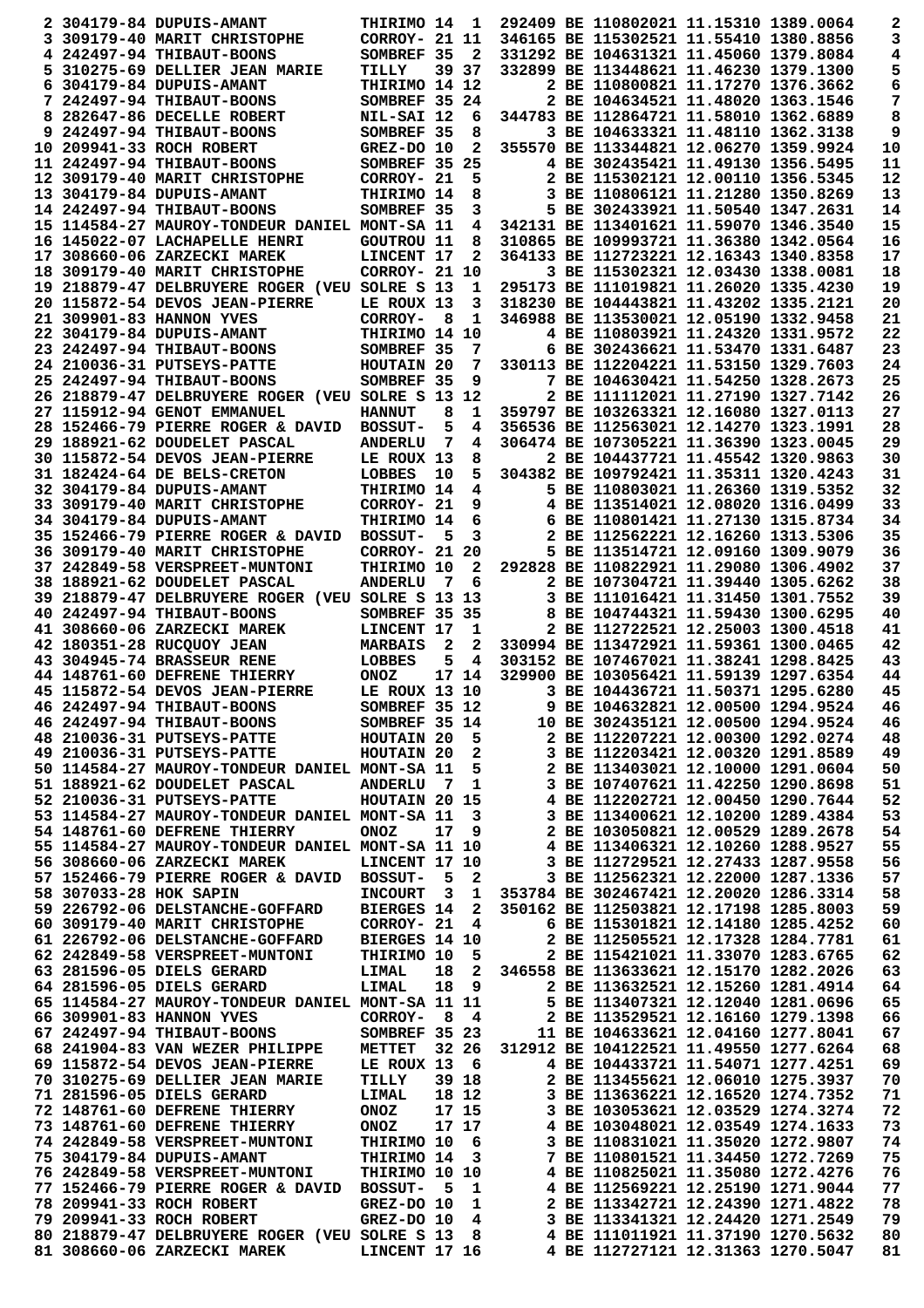|                        | 2 304179-84 DUPUIS-AMANT                                                                                      | <b>THIRIMO 14</b>        |     | 1                       |                                                    | 292409 BE 110802021 11.15310 1389.0064                                      |                                   | 2        |
|------------------------|---------------------------------------------------------------------------------------------------------------|--------------------------|-----|-------------------------|----------------------------------------------------|-----------------------------------------------------------------------------|-----------------------------------|----------|
|                        | 3 309179-40 MARIT CHRISTOPHE                                                                                  | CORROY- 21 11            |     |                         |                                                    | 346165 BE 115302521 11.55410 1380.8856                                      |                                   | 3        |
|                        | 4 242497-94 THIBAUT-BOONS                                                                                     | SOMBREF 35               |     | $\overline{\mathbf{2}}$ |                                                    | 331292 BE 104631321 11.45060 1379.8084                                      |                                   | 4        |
|                        | 5 310275-69 DELLIER JEAN MARIE                                                                                | TILLY                    |     | 39 37                   |                                                    | 332899 BE 113448621 11.46230 1379.1300                                      |                                   | 5        |
|                        | 6 304179-84 DUPUIS-AMANT                                                                                      | THIRIMO 14 12            |     |                         |                                                    | 2 BE 110800821 11.17270 1376.3662                                           |                                   | 6        |
|                        | 7 242497-94 THIBAUT-BOONS                                                                                     | SOMBREF 35 24            |     |                         |                                                    | 2 BE 104634521 11.48020 1363.1546                                           |                                   | 7        |
|                        | 8 282647-86 DECELLE ROBERT                                                                                    | NIL-SAI 12               |     | 6                       |                                                    | 344783 BE 112864721 11.58010 1362.6889                                      |                                   | 8        |
|                        | 9 242497-94 THIBAUT-BOONS                                                                                     | SOMBREF 35               |     | 8                       |                                                    | 3 BE 104633321 11.48110 1362.3138                                           |                                   | 9        |
|                        | 10 209941-33 ROCH ROBERT                                                                                      | GREZ-DO 10               |     | 2                       |                                                    | 355570 BE 113344821 12.06270 1359.9924                                      |                                   | 10       |
|                        | 11 242497-94 THIBAUT-BOONS                                                                                    | SOMBREF 35 25            |     |                         |                                                    | 4 BE 302435421 11.49130 1356.5495                                           |                                   | 11       |
|                        | 12 309179-40 MARIT CHRISTOPHE                                                                                 | CORROY- 21               |     | 5                       |                                                    | 2 BE 115302121 12.00110 1356.5345<br>3 BE 110806121 11.21280 1350.8269      |                                   | 12       |
|                        | 13 304179-84 DUPUIS-AMANT                                                                                     | THIRIMO 14<br>SOMBREF 35 |     | 8<br>3                  |                                                    | 5 BE 302433921 11.50540 1347.2631                                           |                                   | 13<br>14 |
|                        | 14 242497-94 THIBAUT-BOONS<br>15 114584-27 MAUROY-TONDEUR DANIEL MONT-SA 11                                   |                          |     | 4                       |                                                    | 342131 BE 113401621 11.59070 1346.3540                                      |                                   | 15       |
|                        | 16 145022-07 LACHAPELLE HENRI                                                                                 | <b>GOUTROU 11</b>        |     | 8                       |                                                    | 310865 BE 109993721 11.36380 1342.0564                                      |                                   | 16       |
|                        | 17 308660-06 ZARZECKI MAREK                                                                                   | LINCENT 17               |     | 2                       |                                                    | 364133 BE 112723221 12.16343 1340.8358                                      |                                   | 17       |
|                        | 18 309179-40 MARIT CHRISTOPHE                                                                                 | CORROY- 21 10            |     |                         |                                                    | 3 BE 115302321 12.03430 1338.0081                                           |                                   | 18       |
|                        | 19 218879-47 DELBRUYERE ROGER (VEU SOLRE S 13                                                                 |                          |     | 1                       |                                                    | 295173 BE 111019821 11.26020 1335.4230                                      |                                   | 19       |
|                        | 20 115872-54 DEVOS JEAN-PIERRE                                                                                | LE ROUX 13               |     | 3                       |                                                    | 318230 BE 104443821 11.43202 1335.2121                                      |                                   | 20       |
|                        | 21 309901-83 HANNON YVES                                                                                      | CORROY-                  | 8   | 1                       |                                                    | 346988 BE 113530021 12.05190 1332.9458                                      |                                   | 21       |
|                        | 22 304179-84 DUPUIS-AMANT                                                                                     | THIRIMO 14 10            |     |                         |                                                    | 4 BE 110803921 11.24320 1331.9572                                           |                                   | 22       |
|                        | 23 242497-94 THIBAUT-BOONS                                                                                    | SOMBREF 35               |     | 7                       |                                                    | 6 BE 302436621 11.53470 1331.6487                                           |                                   | 23       |
|                        | 24 210036-31 PUTSEYS-PATTE                                                                                    | HOUTAIN 20               |     | 7                       |                                                    | 330113 BE 112204221 11.53150 1329.7603                                      |                                   | 24       |
|                        | 25 242497-94 THIBAUT-BOONS                                                                                    | SOMBREF 35               |     | 9                       |                                                    | 7 BE 104630421 11.54250 1328.2673                                           |                                   | 25       |
|                        | 26   218879-47 DELBRUYERE ROGER (VEU SOLRE S 13 12                                                            |                          |     |                         |                                                    | 2 BE 111112021 11.27190 1327.7142                                           |                                   | 26       |
|                        | 27 115912-94 GENOT EMMANUEL                                                                                   | <b>HANNUT</b>            | 8   | 1                       |                                                    | 359797 BE 103263321 12.16080 1327.0113                                      |                                   | 27       |
|                        | 28 152466-79 PIERRE ROGER & DAVID                                                                             | <b>BOSSUT-</b>           | 5   | 4                       |                                                    | 356536 BE 112563021 12.14270 1323.1991                                      |                                   | 28       |
|                        | 29 188921-62 DOUDELET PASCAL                                                                                  | <b>ANDERLU</b>           | 7   | 4                       |                                                    | 306474 BE 107305221 11.36390 1323.0045                                      |                                   | 29       |
|                        | 30 115872-54 DEVOS JEAN-PIERRE<br>31 182424-64 DE BELS-CRETON                                                 | LE ROUX 13<br>LOBBES     | 10  | 8<br>5                  |                                                    | 2 BE 104437721 11.45542 1320.9863<br>304382 BE 109792421 11.35311 1320.4243 |                                   | 30<br>31 |
|                        | 32 304179-84 DUPUIS-AMANT                                                                                     | THIRIMO 14               |     | 4                       |                                                    | 5 BE 110803021 11.26360 1319.5352                                           |                                   | 32       |
|                        | 33 309179-40 MARIT CHRISTOPHE                                                                                 | CORROY- 21               |     | 9                       |                                                    | 4 BE 113514021 12.08020 1316.0499                                           |                                   | 33       |
|                        | 34 304179-84 DUPUIS-AMANT                                                                                     | THIRIMO 14               |     | 6                       |                                                    | 6 BE 110801421 11.27130 1315.8734                                           |                                   | 34       |
|                        | 35 152466-79 PIERRE ROGER & DAVID                                                                             | <b>BOSSUT-</b>           | 5   | 3                       |                                                    | 2 BE 112562221 12.16260 1313.5306                                           |                                   | 35       |
|                        | 36 309179-40 MARIT CHRISTOPHE                                                                                 | CORROY- 21 20            |     |                         |                                                    | 5 BE 113514721 12.09160 1309.9079                                           |                                   | 36       |
|                        | 37 242849-58 VERSPREET-MUNTONI                                                                                | THIRIMO 10               |     | 2                       |                                                    | 292828 BE 110822921 11.29080 1306.4902                                      |                                   | 37       |
|                        | 38 188921-62 DOUDELET PASCAL                                                                                  | <b>ANDERLU</b>           | 7   | 6                       |                                                    | 2 BE 107304721 11.39440 1305.6262                                           |                                   | 38       |
|                        | 39 218879-47 DELBRUYERE ROGER (VEU SOLRE S 13 13                                                              |                          |     |                         |                                                    | 3 BE 111016421 11.31450 1301.7552                                           |                                   | 39       |
|                        | 40 242497-94 THIBAUT-BOONS                                                                                    | SOMBREF 35 35            |     |                         |                                                    | 8 BE 104744321 11.59430 1300.6295                                           |                                   | 40       |
|                        | 41 308660-06 ZARZECKI MAREK                                                                                   | LINCENT 17               |     | 1                       |                                                    | 2 BE 112722521 12.25003 1300.4518                                           |                                   | 41       |
|                        | 42 180351-28 RUCQUOY JEAN                                                                                     | <b>MARBAIS</b>           | 2   | 2                       |                                                    | 330994 BE 113472921 11.59361 1300.0465                                      |                                   | 42       |
|                        | 43 304945-74 BRASSEUR RENE                                                                                    | LOBBES                   | 5   | 4                       |                                                    | 303152 BE 107467021 11.38241 1298.8425                                      |                                   | 43       |
|                        | 44 148761-60 DEFRENE THIERRY                                                                                  | <b>ONOZ</b>              |     | 17 14                   |                                                    | 329900 BE 103056421 11.59139 1297.6354                                      |                                   | 44       |
|                        | 45 115872-54 DEVOS JEAN-PIERRE                                                                                | LE ROUX 13 10            |     |                         |                                                    | 3 BE 104436721 11.50371 1295.6280                                           |                                   | 45       |
|                        | 46 242497-94 THIBAUT-BOONS                                                                                    | SOMBREF 35 12            |     |                         |                                                    | 9 BE 104632821 12.00500 1294.9524                                           |                                   | 46       |
|                        | 46 242497-94 THIBAUT-BOONS                                                                                    | SOMBREF 35 14            |     |                         |                                                    | 10 BE 302435121 12.00500 1294.9524<br>2 BE 112207221 12.00300 1292.0274     |                                   | 46<br>48 |
|                        |                                                                                                               |                          |     |                         |                                                    | 3 BE 112203421 12.00320 1291.8589                                           |                                   | 49       |
|                        | 50 114584-27 MAUROY-TONDEUR DANIEL MONT-SA 11                                                                 |                          |     |                         | $5^{\circ}$                                        | 2 BE 113403021 12.10000 1291.0604                                           |                                   | 50       |
|                        | 51 188921-62 DOUDELET PASCAL                                                                                  | ANDERLU 7 1              |     |                         |                                                    | 3 BE 107407621 11.42250 1290.8698                                           |                                   | 51       |
|                        | 52 210036-31 PUTSEYS-PATTE                                                                                    | HOUTAIN 20 15            |     |                         | 4 BE 112202721 12.00450 1290.7644                  |                                                                             |                                   | 52       |
|                        | 53 114584-27 MAUROY-TONDEUR DANIEL MONT-SA 11                                                                 |                          |     | 3                       |                                                    | 3 BE 113400621 12.10200 1289.4384                                           |                                   | 53       |
|                        | 54 148761-60 DEFRENE THIERRY                                                                                  | <b>ONOZ</b>              |     | 17 9                    |                                                    | 2 BE 103050821 12.00529 1289.2678                                           |                                   | 54       |
|                        | 55 114584-27 MAUROY-TONDEUR DANIEL MONT-SA 11 10                                                              |                          |     |                         | 4 BE 113406321 12.10260 1288.9527                  |                                                                             |                                   | 55       |
|                        | 56 308660-06 ZARZECKI MAREK                                                                                   | LINCENT 17 10            |     |                         |                                                    | 3 BE 112729521 12.27433 1287.9558                                           |                                   | 56       |
|                        | 57 152466-79 PIERRE ROGER & DAVID BOSSUT- 5 2                                                                 |                          |     |                         |                                                    | 3 BE 112562321 12.22000 1287.1336                                           |                                   | 57       |
| 58 307033-28 HOK SAPIN |                                                                                                               |                          |     |                         | INCOURT 3 1 353784 BE 302467421 12.20020 1286.3314 |                                                                             |                                   | 58       |
|                        | 59 226792-06 DELSTANCHE-GOFFARD                                                                               | <b>BIERGES 14</b>        |     |                         | 2 350162 BE 112503821 12.17198 1285.8003           |                                                                             |                                   | 59       |
|                        | 60 309179-40 MARIT CHRISTOPHE CORROY- 21 4                                                                    |                          |     |                         |                                                    | 6 BE 115301821 12.14180 1285.4252                                           |                                   | 60       |
|                        | 61 226792-06 DELSTANCHE-GOFFARD                                                                               | <b>BIERGES 14 10</b>     |     |                         | 5 2 BE 115421021 11.33070 1283.6765                | 2 BE 112505521 12.17328 1284.7781                                           |                                   | 61       |
|                        | 62 242849-58 VERSPREET-MUNTONI THIRIMO 10<br>63 281596-05 DIELS GERARD                                        | <b>LIMAL</b>             |     |                         | 18 2 346558 BE 113633621 12.15170 1282.2026        |                                                                             |                                   | 62<br>63 |
|                        | 64 281596-05 DIELS GERARD                                                                                     | <b>LIMAL</b>             |     |                         | 18 9                                               | 2 BE 113632521 12.15260 1281.4914                                           |                                   | 64       |
|                        | 65 114584-27 MAUROY-TONDEUR DANIEL MONT-SA 11 11                                                              |                          |     |                         |                                                    | 5 BE 113407321 12.12040 1281.0696                                           |                                   | 65       |
|                        | 66 309901-83 HANNON YVES                                                                                      | $CORROY- 8 4$            |     |                         |                                                    | 2 BE 113529521 12.16160 1279.1398                                           |                                   | 66       |
|                        | 67 242497-94 THIBAUT-BOONS SOMBREF 35 23                                                                      |                          |     |                         |                                                    | 11 BE 104633621 12.04160 1277.8041                                          |                                   | 67       |
|                        | 68 241904-83 VAN WEZER PHILIPPE METTET 32 26                                                                  |                          |     |                         | 312912 BE 104122521 11.49550 1277.6264             |                                                                             |                                   | 68       |
|                        | 69 115872-54 DEVOS JEAN-PIERRE LE ROUX 13 6                                                                   |                          |     |                         |                                                    | 4 BE 104433721 11.54071 1277.4251                                           |                                   | 69       |
|                        | 70 310275-69 DELLIER JEAN MARIE                                                                               | TILLY                    |     | 39 18                   |                                                    | 2 BE 113455621 12.06010 1275.3937                                           |                                   | 70       |
|                        | 71 281596-05 DIELS GERARD                                                                                     | LIMAL                    |     | 18 12                   |                                                    | 3 BE 113636221 12.16520 1274.7352                                           |                                   | 71       |
|                        | 72 148761-60 DEFRENE THIERRY                                                                                  | ONOZ                     |     | 17 15                   |                                                    | 3 BE 103053621 12.03529 1274.3274                                           |                                   | 72       |
|                        |                                                                                                               | <b>ONOZ</b>              |     | 17 17                   |                                                    | 4 BE 103048021 12.03549 1274.1633                                           |                                   | 73       |
|                        | 73 148761-60 DEFRENE THIERRY                                                                                  |                          |     |                         |                                                    |                                                                             |                                   |          |
|                        | 74 242849-58 VERSPREET-MUNTONI                                                                                | THIRIMO 10 6             |     |                         |                                                    |                                                                             | 3 BE 110831021 11.35020 1272.9807 | 74       |
|                        | 75 304179-84 DUPUIS-AMANT                                                                                     | THIRIMO 14 3             |     |                         |                                                    | 7 BE 110801521 11.34450 1272.7269                                           |                                   | 75       |
|                        | 76 242849-58 VERSPREET-MUNTONI                                                                                | THIRIMO 10 10            |     |                         |                                                    | 4 BE 110825021 11.35080 1272.4276                                           |                                   | 76       |
|                        | 77 152466-79 PIERRE ROGER & DAVID BOSSUT-                                                                     |                          | - 5 | $\mathbf{1}$            |                                                    | 4 BE 112569221 12.25190 1271.9044                                           |                                   | 77       |
|                        | 78 209941-33 ROCH ROBERT                                                                                      | GREZ-DO 10               |     | $\mathbf{1}$            |                                                    | 2 BE 113342721 12.24390 1271.4822                                           |                                   | 78       |
|                        | 79 209941-33 ROCH ROBERT<br>80 218879-47 DELBRUYERE ROGER (VEU SOLRE S 13 8 4 BE 111011921 11.37190 1270.5632 | $GREZ-DO$ 10 4           |     |                         |                                                    | 3 BE 113341321 12.24420 1271.2549                                           |                                   | 79<br>80 |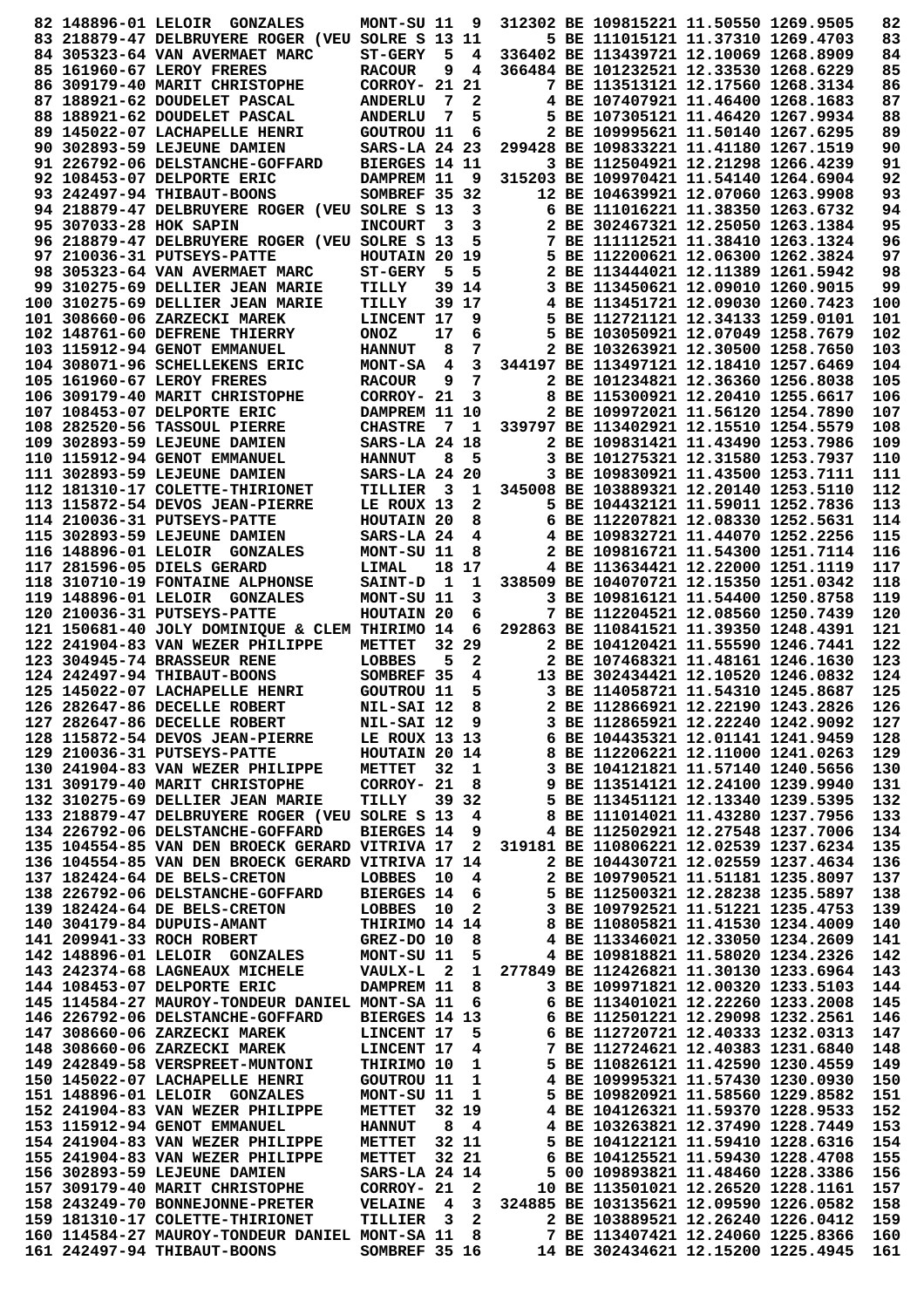|                        | 82 148896-01 LELOIR GONZALES                                                       | MONT-SU 11               |                         | 9      | 312302 BE 109815221 11.50550 1269.9505                                      | 82         |
|------------------------|------------------------------------------------------------------------------------|--------------------------|-------------------------|--------|-----------------------------------------------------------------------------|------------|
|                        | 83 218879-47 DELBRUYERE ROGER (VEU SOLRE S 13 11                                   |                          |                         |        | 5 BE 111015121 11.37310 1269.4703                                           | 83         |
|                        | 84 305323-64 VAN AVERMAET MARC                                                     | <b>ST-GERY</b>           | 5                       | 4      | 336402 BE 113439721 12.10069 1268.8909                                      | 84         |
|                        | 85 161960-67 LEROY FRERES                                                          | <b>RACOUR</b>            | 9                       | 4      | 366484 BE 101232521 12.33530 1268.6229                                      | 85         |
|                        | 86 309179-40 MARIT CHRISTOPHE                                                      | CORROY- 21               |                         | 21     | 7 BE 113513121 12.17560 1268.3134                                           | 86         |
|                        | 87 188921-62 DOUDELET PASCAL                                                       | <b>ANDERLU</b>           | 7                       | 2      | 4 BE 107407921 11.46400 1268.1683                                           | 87         |
|                        | 88 188921-62 DOUDELET PASCAL                                                       | <b>ANDERLU</b>           | 7                       | 5      | 5 BE 107305121 11.46420 1267.9934                                           | 88         |
|                        | 89 145022-07 LACHAPELLE HENRI                                                      | <b>GOUTROU 11</b>        |                         | 6      | 2 BE 109995621 11.50140 1267.6295                                           | 89         |
|                        | 90 302893-59 LEJEUNE DAMIEN                                                        | SARS-LA 24 23            |                         |        | 299428 BE 109833221 11.41180 1267.1519                                      | 90         |
|                        | 91 226792-06 DELSTANCHE-GOFFARD                                                    | BIERGES 14 11            |                         |        | 3 BE 112504921 12.21298 1266.4239                                           | 91         |
|                        | 92 108453-07 DELPORTE ERIC                                                         | DAMPREM 11               |                         | 9      | 315203 BE 109970421 11.54140 1264.6904                                      | 92         |
|                        | 93 242497-94 THIBAUT-BOONS                                                         | SOMBREF 35 32            |                         |        | 12 BE 104639921 12.07060 1263.9908                                          | 93<br>94   |
|                        | 94 218879-47 DELBRUYERE ROGER (VEU SOLRE S 13                                      |                          | 3                       | 3<br>3 | 6 BE 111016221 11.38350 1263.6732<br>2 BE 302467321 12.25050 1263.1384      | 95         |
| 95 307033-28 HOK SAPIN | 96 218879-47 DELBRUYERE ROGER (VEU SOLRE S 13                                      | <b>INCOURT</b>           |                         | 5      | 7 BE 111112521 11.38410 1263.1324                                           | 96         |
|                        | 97 210036-31 PUTSEYS-PATTE                                                         | HOUTAIN 20 19            |                         |        | 5 BE 112200621 12.06300 1262.3824                                           | 97         |
|                        | 98 305323-64 VAN AVERMAET MARC                                                     | <b>ST-GERY</b>           | 5                       | 5      | 2 BE 113444021 12.11389 1261.5942                                           | 98         |
|                        | 99 310275-69 DELLIER JEAN MARIE                                                    | TILLY                    |                         | 39 14  | 3 BE 113450621 12.09010 1260.9015                                           | 99         |
|                        | 100 310275-69 DELLIER JEAN MARIE                                                   | TILLY                    |                         | 39 17  | 4 BE 113451721 12.09030 1260.7423                                           | 100        |
|                        | 101 308660-06 ZARZECKI MAREK                                                       | LINCENT 17               |                         | 9      | 5 BE 112721121 12.34133 1259.0101                                           | 101        |
|                        | 102 148761-60 DEFRENE THIERRY                                                      | <b>ONOZ</b>              | 17                      | 6      | 5 BE 103050921 12.07049 1258.7679                                           | 102        |
|                        | 103 115912-94 GENOT EMMANUEL                                                       | <b>HANNUT</b>            | 8                       | 7      | 2 BE 103263921 12.30500 1258.7650                                           | 103        |
|                        | 104 308071-96 SCHELLEKENS ERIC                                                     | <b>MONT-SA</b>           | 4                       | 3      | 344197 BE 113497121 12.18410 1257.6469                                      | 104        |
|                        | 105 161960-67 LEROY FRERES                                                         | <b>RACOUR</b>            | 9                       | 7      | 2 BE 101234821 12.36360 1256.8038                                           | 105        |
|                        | 106 309179-40 MARIT CHRISTOPHE                                                     | CORROY- 21               |                         | 3      | 8 BE 115300921 12.20410 1255.6617                                           | 106        |
|                        | 107 108453-07 DELPORTE ERIC                                                        | DAMPREM 11 10            |                         |        | 2 BE 109972021 11.56120 1254.7890                                           | 107        |
|                        | 108 282520-56 TASSOUL PIERRE                                                       | <b>CHASTRE</b>           | 7                       | 1      | 339797 BE 113402921 12.15510 1254.5579                                      | 108        |
|                        | 109 302893-59 LEJEUNE DAMIEN                                                       | SARS-LA 24 18            |                         |        | 2 BE 109831421 11.43490 1253.7986                                           | 109        |
|                        | 110 115912-94 GENOT EMMANUEL                                                       | <b>HANNUT</b>            | 8                       | 5      | 3 BE 101275321 12.31580 1253.7937                                           | 110        |
|                        | 111 302893-59 LEJEUNE DAMIEN                                                       | SARS-LA 24 20            |                         |        | 3 BE 109830921 11.43500 1253.7111                                           | 111        |
|                        | 112 181310-17 COLETTE-THIRIONET                                                    | TILLIER                  | $\overline{\mathbf{3}}$ | 1      | 345008 BE 103889321 12.20140 1253.5110                                      | 112        |
|                        | 113 115872-54 DEVOS JEAN-PIERRE                                                    | LE ROUX 13               |                         | 2      | 5 BE 104432121 11.59011 1252.7836                                           | 113        |
|                        | 114 210036-31 PUTSEYS-PATTE                                                        | HOUTAIN 20               |                         | 8      | 6 BE 112207821 12.08330 1252.5631                                           | 114        |
|                        | 115 302893-59 LEJEUNE DAMIEN                                                       | SARS-LA 24               |                         | 4      | 4 BE 109832721 11.44070 1252.2256                                           | 115        |
|                        | 116 148896-01 LELOIR GONZALES                                                      | MONT-SU 11               |                         | 8      | 2 BE 109816721 11.54300 1251.7114                                           | 116        |
|                        | 117 281596-05 DIELS GERARD                                                         | <b>LIMAL</b>             |                         | 18 17  | 4 BE 113634421 12.22000 1251.1119                                           | 117        |
|                        | 118 310710-19 FONTAINE ALPHONSE                                                    | <b>SAINT-D</b>           | 1                       | 1      | 338509 BE 104070721 12.15350 1251.0342                                      | 118        |
|                        | 119 148896-01 LELOIR GONZALES                                                      | MONT-SU 11               |                         | 3      | 3 BE 109816121 11.54400 1250.8758                                           | 119        |
|                        | 120 210036-31 PUTSEYS-PATTE                                                        | HOUTAIN 20               |                         | 6<br>6 | 7 BE 112204521 12.08560 1250.7439<br>292863 BE 110841521 11.39350 1248.4391 | 120<br>121 |
|                        | 121 150681-40 JOLY DOMINIQUE & CLEM THIRIMO 14<br>122 241904-83 VAN WEZER PHILIPPE | METTET                   | 32                      | 29     | 2 BE 104120421 11.55590 1246.7441                                           | 122        |
|                        | 123 304945-74 BRASSEUR RENE                                                        | LOBBES                   | 5                       | 2      | 2 BE 107468321 11.48161 1246.1630                                           | 123        |
|                        | 124 242497-94 THIBAUT-BOONS                                                        | SOMBREF 35               |                         | 4      | 13 BE 302434421 12.10520 1246.0832                                          | 124        |
|                        | 125 145022-07 LACHAPELLE HENRI                                                     | <b>GOUTROU 11</b>        |                         | 5      | 3 BE 114058721 11.54310 1245.8687                                           | 125        |
|                        | 126 282647-86 DECELLE ROBERT                                                       | NIL-SAI 12               |                         | 8      | 2 BE 112866921 12.22190 1243.2826                                           | 126        |
|                        | 127 282647-86 DECELLE ROBERT                                                       | NIL-SAI 12               |                         | 9      | 3 BE 112865921 12.22240 1242.9092                                           | 127        |
|                        | 128 115872-54 DEVOS JEAN-PIERRE                                                    | LE ROUX 13 13            |                         |        | 6 BE 104435321 12.01141 1241.9459                                           | 128        |
|                        | 129 210036-31 PUTSEYS-PATTE                                                        | HOUTAIN 20 14            |                         |        | 8 BE 112206221 12.11000 1241.0263                                           | 129        |
|                        | 130 241904-83 VAN WEZER PHILIPPE                                                   | METTET                   | 32                      | 1      | 3 BE 104121821 11.57140 1240.5656                                           | 130        |
|                        | 131 309179-40 MARIT CHRISTOPHE                                                     | CORROY- 21               |                         | 8      | 9 BE 113514121 12.24100 1239.9940                                           | 131        |
|                        | 132 310275-69 DELLIER JEAN MARIE                                                   | TILLY                    |                         | 39 32  | 5 BE 113451121 12.13340 1239.5395                                           | 132        |
|                        | 133 218879-47 DELBRUYERE ROGER (VEU SOLRE S 13                                     |                          |                         | 4      | 8 BE 111014021 11.43280 1237.7956                                           | 133        |
|                        | 134 226792-06 DELSTANCHE-GOFFARD                                                   | <b>BIERGES 14</b>        |                         | 9      | 4 BE 112502921 12.27548 1237.7006                                           | 134        |
|                        | 135 104554-85 VAN DEN BROECK GERARD VITRIVA 17                                     |                          |                         | 2      | 319181 BE 110806221 12.02539 1237.6234                                      | 135        |
|                        | 136 104554-85 VAN DEN BROECK GERARD VITRIVA 17 14                                  |                          |                         |        | 2 BE 104430721 12.02559 1237.4634                                           | 136        |
|                        | 137 182424-64 DE BELS-CRETON                                                       | LOBBES                   | 10                      | 4      | 2 BE 109790521 11.51181 1235.8097                                           | 137        |
|                        | 138 226792-06 DELSTANCHE-GOFFARD                                                   | <b>BIERGES 14</b>        |                         | 6      | 5 BE 112500321 12.28238 1235.5897                                           | 138        |
|                        | 139 182424-64 DE BELS-CRETON                                                       | LOBBES                   | 10                      | 2      | 3 BE 109792521 11.51221 1235.4753                                           | 139        |
|                        | 140 304179-84 DUPUIS-AMANT                                                         | THIRIMO 14 14            |                         |        | 8 BE 110805821 11.41530 1234.4009                                           | 140        |
|                        | 141 209941-33 ROCH ROBERT                                                          | GREZ-DO 10               |                         | 8      | 4 BE 113346021 12.33050 1234.2609                                           | 141        |
|                        | 142 148896-01 LELOIR GONZALES                                                      | MONT-SU 11               |                         | 5      | 4 BE 109818821 11.58020 1234.2326                                           | 142        |
|                        | 143 242374-68 LAGNEAUX MICHELE                                                     | <b>VAULX-L</b>           | - 2                     | 1      | 277849 BE 112426821 11.30130 1233.6964                                      | 143        |
|                        | 144 108453-07 DELPORTE ERIC                                                        | DAMPREM 11               |                         | 8      | 3 BE 109971821 12.00320 1233.5103                                           | 144        |
|                        | 145 114584-27 MAUROY-TONDEUR DANIEL MONT-SA 11                                     |                          |                         | 6      | 6 BE 113401021 12.22260 1233.2008                                           | 145        |
|                        | 146 226792-06 DELSTANCHE-GOFFARD<br>147 308660-06 ZARZECKI MAREK                   | BIERGES 14 13            |                         |        | 6 BE 112501221 12.29098 1232.2561<br>6 BE 112720721 12.40333 1232.0313      | 146<br>147 |
|                        |                                                                                    | LINCENT 17               |                         | 5      | 7 BE 112724621 12.40383 1231.6840                                           | 148        |
|                        | 148 308660-06 ZARZECKI MAREK<br>149 242849-58 VERSPREET-MUNTONI                    | LINCENT 17<br>THIRIMO 10 |                         | 4<br>1 | 5 BE 110826121 11.42590 1230.4559                                           | 149        |
|                        | 150 145022-07 LACHAPELLE HENRI                                                     | <b>GOUTROU 11</b>        |                         | 1      | 4 BE 109995321 11.57430 1230.0930                                           | 150        |
|                        | 151 148896-01 LELOIR GONZALES                                                      | MONT-SU 11               |                         | 1      | 5 BE 109820921 11.58560 1229.8582                                           | 151        |
|                        | 152 241904-83 VAN WEZER PHILIPPE                                                   | METTET                   |                         | 32 19  | 4 BE 104126321 11.59370 1228.9533                                           | 152        |
|                        | 153 115912-94 GENOT EMMANUEL                                                       | <b>HANNUT</b>            | 8                       | 4      | 4 BE 103263821 12.37490 1228.7449                                           | 153        |
|                        | 154 241904-83 VAN WEZER PHILIPPE                                                   | METTET                   |                         | 32 11  | 5 BE 104122121 11.59410 1228.6316                                           | 154        |
|                        | 155 241904-83 VAN WEZER PHILIPPE                                                   | METTET                   |                         | 32 21  | 6 BE 104125521 11.59430 1228.4708                                           | 155        |
|                        | 156 302893-59 LEJEUNE DAMIEN                                                       | SARS-LA 24 14            |                         |        | 5 00 109893821 11.48460 1228.3386                                           | 156        |
|                        | 157 309179-40 MARIT CHRISTOPHE                                                     | CORROY- 21               |                         | 2      | 10 BE 113501021 12.26520 1228.1161                                          | 157        |
|                        | 158 243249-70 BONNEJONNE-PRETER                                                    | <b>VELAINE</b>           | $\overline{4}$          | 3      | 324885 BE 103135621 12.09590 1226.0582                                      | 158        |
|                        | 159 181310-17 COLETTE-THIRIONET                                                    | TILLIER                  | $_{3}$                  | 2      | 2 BE 103889521 12.26240 1226.0412                                           | 159        |
|                        | 160 114584-27 MAUROY-TONDEUR DANIEL MONT-SA 11                                     |                          |                         | 8      | 7 BE 113407421 12.24060 1225.8366                                           | 160        |
|                        | 161 242497-94 THIBAUT-BOONS                                                        | SOMBREF 35 16            |                         |        | 14 BE 302434621 12.15200 1225.4945                                          | 161        |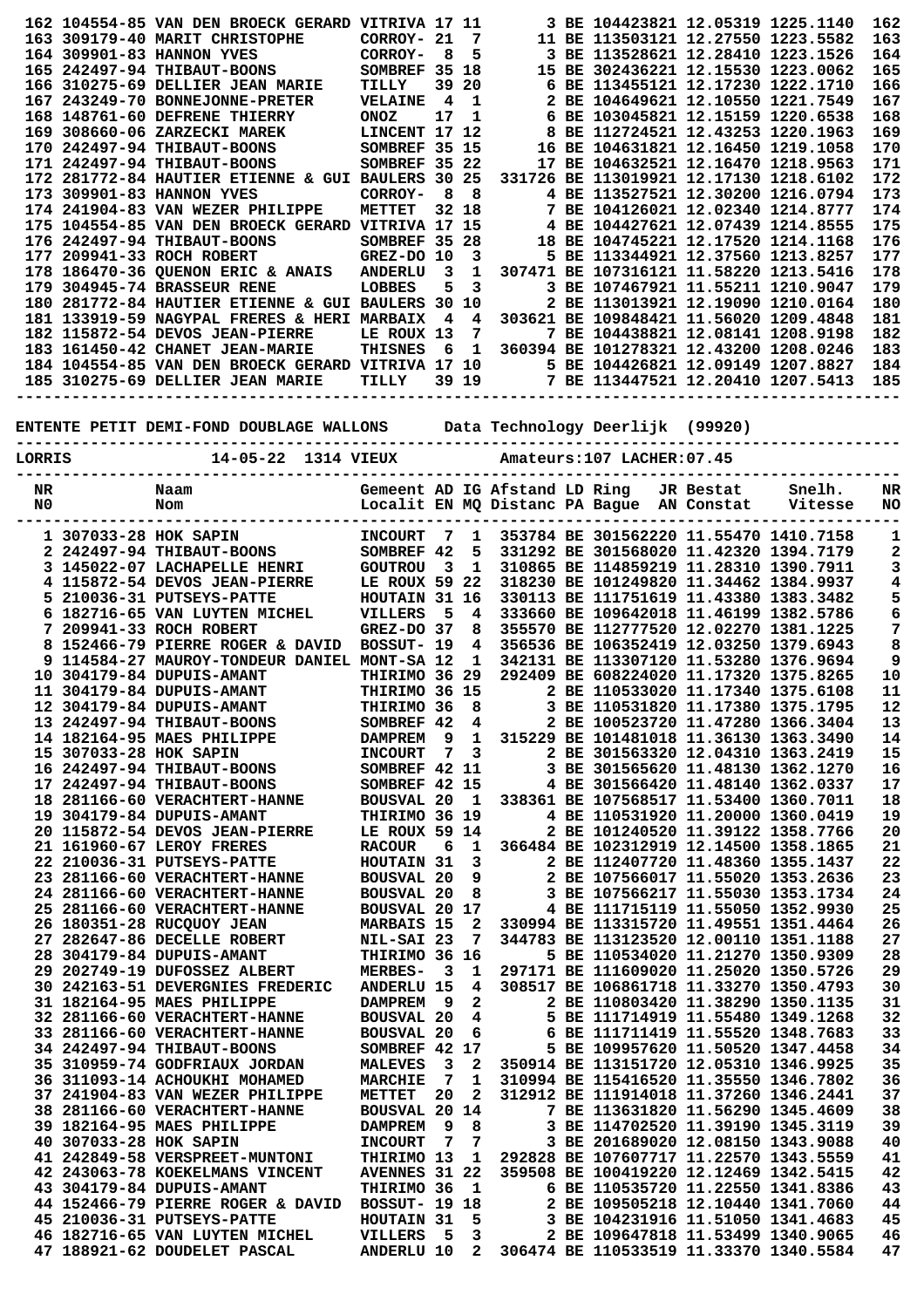|        |                        | 162 104554-85 VAN DEN BROECK GERARD VITRIVA 17 11                         |                      |                |                |                               | 3 BE 104423821 12.05319 1225.1140         |           |                                        | 162 |
|--------|------------------------|---------------------------------------------------------------------------|----------------------|----------------|----------------|-------------------------------|-------------------------------------------|-----------|----------------------------------------|-----|
|        |                        | 163 309179-40 MARIT CHRISTOPHE                                            | CORROY- 21           |                | 7              |                               | 11 BE 113503121 12.27550 1223.5582        |           |                                        | 163 |
|        |                        | 164 309901-83 HANNON YVES                                                 | CORROY-              | - 8            | 5              |                               | 3 BE 113528621 12.28410 1223.1526         |           |                                        | 164 |
|        |                        | 165 242497-94 THIBAUT-BOONS                                               | SOMBREF 35 18        |                |                |                               | 15 BE 302436221 12.15530 1223.0062        |           |                                        | 165 |
|        |                        | 166 310275-69 DELLIER JEAN MARIE                                          | TILLY                |                | 39 20          |                               | 6 BE 113455121 12.17230 1222.1710         |           |                                        | 166 |
|        |                        | 167 243249-70 BONNEJONNE-PRETER                                           | <b>VELAINE</b>       | $\overline{4}$ | $\mathbf{1}$   |                               | 2 BE 104649621 12.10550 1221.7549         |           |                                        | 167 |
|        |                        | 168 148761-60 DEFRENE THIERRY                                             | <b>ONOZ</b>          | 17             | 1              |                               | 6 BE 103045821 12.15159 1220.6538         |           |                                        | 168 |
|        |                        | 169 308660-06 ZARZECKI MAREK                                              | LINCENT 17 12        |                |                |                               | 8 BE 112724521 12.43253 1220.1963         |           |                                        | 169 |
|        |                        |                                                                           |                      |                |                |                               |                                           |           |                                        |     |
|        |                        | 170 242497-94 THIBAUT-BOONS                                               | SOMBREF 35 15        |                |                |                               | 16 BE 104631821 12.16450 1219.1058        |           |                                        | 170 |
|        |                        | 171 242497-94 THIBAUT-BOONS                                               | SOMBREF 35 22        |                |                |                               | 17 BE 104632521 12.16470 1218.9563        |           |                                        | 171 |
|        |                        | 172 281772-84 HAUTIER ETIENNE & GUI BAULERS 30 25                         |                      |                |                |                               | 331726 BE 113019921 12.17130 1218.6102    |           |                                        | 172 |
|        |                        | 173 309901-83 HANNON YVES                                                 | CORROY-              | - 8            | - 8            |                               | 4 BE 113527521 12.30200 1216.0794         |           |                                        | 173 |
|        |                        | 174 241904-83 VAN WEZER PHILIPPE                                          | <b>METTET</b>        |                | 32 18          |                               | 7 BE 104126021 12.02340 1214.8777         |           |                                        | 174 |
|        |                        | 175 104554-85 VAN DEN BROECK GERARD VITRIVA 17 15                         |                      |                |                |                               | 4 BE 104427621 12.07439 1214.8555         |           |                                        | 175 |
|        |                        | 176 242497-94 THIBAUT-BOONS                                               | SOMBREF 35 28        |                |                |                               | 18 BE 104745221 12.17520 1214.1168        |           |                                        | 176 |
|        |                        | 177 209941-33 ROCH ROBERT                                                 |                      |                |                |                               | 5 BE 113344921 12.37560 1213.8257         |           |                                        | 177 |
|        |                        |                                                                           | GREZ-DO 10           |                | 3              |                               |                                           |           |                                        |     |
|        |                        | 178 186470-36 QUENON ERIC & ANAIS                                         | <b>ANDERLU</b>       | 3              | 1              |                               | 307471 BE 107316121 11.58220 1213.5416    |           |                                        | 178 |
|        |                        | <b>179 304945-74 BRASSEUR RENE</b>                                        | LOBBES               | 5              | 3              |                               | 3 BE 107467921 11.55211 1210.9047         |           |                                        | 179 |
|        |                        | 180 281772-84 HAUTIER ETIENNE & GUI BAULERS 30 10                         |                      |                |                |                               | 2 BE 113013921 12.19090 1210.0164         |           |                                        | 180 |
|        |                        | 181 133919-59 NAGYPAL FRERES & HERI MARBAIX                               |                      | 4              | 4              |                               | 303621 BE 109848421 11.56020 1209.4848    |           |                                        | 181 |
|        |                        | 182 115872-54 DEVOS JEAN-PIERRE                                           | LE ROUX 13           |                | 7              |                               | 7 BE 104438821 12.08141 1208.9198         |           |                                        | 182 |
|        |                        | 183 161450-42 CHANET JEAN-MARIE                                           | <b>THISNES</b>       | - 6            | $\mathbf{1}$   |                               | 360394 BE 101278321 12.43200 1208.0246    |           |                                        | 183 |
|        |                        | 184 104554-85 VAN DEN BROECK GERARD VITRIVA 17 10                         |                      |                |                |                               | 5 BE 104426821 12.09149 1207.8827         |           |                                        | 184 |
|        |                        |                                                                           |                      |                | 39 19          |                               | 7 BE 113447521 12.20410 1207.5413         |           |                                        | 185 |
|        |                        | 185 310275-69 DELLIER JEAN MARIE                                          | TILLY                |                |                |                               |                                           |           |                                        |     |
|        |                        | ------------                                                              |                      |                |                |                               |                                           |           |                                        |     |
|        |                        |                                                                           |                      |                |                |                               |                                           |           |                                        |     |
|        |                        | ENTENTE PETIT DEMI-FOND DOUBLAGE WALLONS Data Technology Deerlijk (99920) |                      |                |                |                               |                                           |           |                                        |     |
|        |                        | --------------------                                                      |                      |                |                |                               |                                           |           |                                        |     |
| LORRIS |                        | 14-05-22 1314 VIEUX                                                       |                      |                |                |                               | Amateurs:107 LACHER:07.45                 |           |                                        |     |
|        |                        |                                                                           |                      |                |                |                               |                                           |           |                                        |     |
| NR     |                        | Naam                                                                      |                      |                |                | Gemeent AD IG Afstand LD Ring |                                           | JR Bestat | Snelh.                                 | NR  |
| N0     |                        | Nom                                                                       |                      |                |                |                               | Localit EN MQ Distanc PA Bague AN Constat |           | Vitesse                                | NO  |
|        |                        |                                                                           |                      |                |                |                               |                                           |           |                                        |     |
|        |                        |                                                                           |                      |                |                |                               |                                           |           |                                        |     |
|        | 1 307033-28 HOK SAPIN  |                                                                           | <b>INCOURT</b>       | $\overline{7}$ | $\mathbf{1}$   |                               | 353784 BE 301562220 11.55470 1410.7158    |           |                                        | 1   |
|        |                        | 2 242497-94 THIBAUT-BOONS                                                 | SOMBREF 42           |                | 5              |                               | 331292 BE 301568020 11.42320 1394.7179    |           |                                        | 2   |
|        |                        | 3 145022-07 LACHAPELLE HENRI                                              | <b>GOUTROU</b>       | - 3            | 1              |                               | 310865 BE 114859219 11.28310 1390.7911    |           |                                        | 3   |
|        |                        | 4 115872-54 DEVOS JEAN-PIERRE                                             | LE ROUX 59 22        |                |                |                               | 318230 BE 101249820 11.34462 1384.9937    |           |                                        | 4   |
|        |                        | 5 210036-31 PUTSEYS-PATTE                                                 | HOUTAIN 31 16        |                |                |                               |                                           |           | 330113 BE 111751619 11.43380 1383.3482 |     |
|        |                        |                                                                           |                      |                |                |                               |                                           |           |                                        |     |
|        |                        |                                                                           |                      |                |                |                               |                                           |           |                                        | 5   |
|        |                        | 6 182716-65 VAN LUYTEN MICHEL                                             | VILLERS              | 5              | $\overline{4}$ |                               | 333660 BE 109642018 11.46199 1382.5786    |           |                                        | 6   |
|        |                        | 7 209941-33 ROCH ROBERT                                                   | $GREZ-DO$ 37         |                | 8              |                               | 355570 BE 112777520 12.02270 1381.1225    |           |                                        | 7   |
|        |                        | 8 152466-79 PIERRE ROGER & DAVID                                          | BOSSUT- 19           |                | 4              |                               | 356536 BE 106352419 12.03250 1379.6943    |           |                                        | 8   |
|        |                        | 9 114584-27 MAUROY-TONDEUR DANIEL MONT-SA 12                              |                      |                | 1              |                               | 342131 BE 113307120 11.53280 1376.9694    |           |                                        | 9   |
|        |                        | 10 304179-84 DUPUIS-AMANT                                                 | THIRIMO 36 29        |                |                |                               | 292409 BE 608224020 11.17320 1375.8265    |           |                                        | 10  |
|        |                        | 11 304179-84 DUPUIS-AMANT                                                 | THIRIMO 36 15        |                |                |                               | 2 BE 110533020 11.17340 1375.6108         |           |                                        | 11  |
|        |                        | 12 304179-84 DUPUIS-AMANT                                                 | THIRIMO 36 8         |                |                |                               | 3 BE 110531820 11.17380 1375.1795         |           |                                        | 12  |
|        |                        | 13 242497-94 THIBAUT-BOONS                                                | SOMBREF 42           |                | 4              |                               | 2 BE 100523720 11.47280 1366.3404         |           |                                        | 13  |
|        |                        |                                                                           |                      |                |                |                               |                                           |           |                                        |     |
|        |                        | 14 182164-95 MAES PHILIPPE                                                | DAMPREM 9            |                | $\mathbf{1}$   |                               | 315229 BE 101481018 11.36130 1363.3490    |           |                                        | 14  |
|        | 15 307033-28 HOK SAPIN |                                                                           | <b>INCOURT</b>       | 7              | 3              |                               | 2 BE 301563320 12.04310 1363.2419         |           |                                        | 15  |
|        |                        | 16 242497-94 THIBAUT-BOONS                                                | SOMBREF 42 11        |                |                |                               | 3 BE 301565620 11.48130 1362.1270         |           |                                        | 16  |
|        |                        | 17 242497-94 THIBAUT-BOONS                                                | SOMBREF 42 15        |                |                |                               | 4 BE 301566420 11.48140 1362.0337         |           |                                        | 17  |
|        |                        | 18 281166-60 VERACHTERT-HANNE                                             | BOUSVAL 20 1         |                |                |                               | 338361 BE 107568517 11.53400 1360.7011    |           |                                        | 18  |
|        |                        | 19 304179-84 DUPUIS-AMANT                                                 | THIRIMO 36 19        |                |                |                               | 4 BE 110531920 11.20000 1360.0419         |           |                                        | 19  |
|        |                        | 20 115872-54 DEVOS JEAN-PIERRE                                            | LE ROUX 59 14        |                |                |                               | 2 BE 101240520 11.39122 1358.7766         |           |                                        | 20  |
|        |                        | 21 161960-67 LEROY FRERES                                                 | <b>RACOUR</b>        | 6              | $\mathbf{1}$   |                               | 366484 BE 102312919 12.14500 1358.1865    |           |                                        | 21  |
|        |                        | 22 210036-31 PUTSEYS-PATTE                                                | HOUTAIN 31           |                | 3              |                               | 2 BE 112407720 11.48360 1355.1437         |           |                                        | 22  |
|        |                        |                                                                           |                      |                |                |                               |                                           |           |                                        |     |
|        |                        | 23 281166-60 VERACHTERT-HANNE                                             | <b>BOUSVAL 20</b>    |                | 9              |                               | 2 BE 107566017 11.55020 1353.2636         |           |                                        | 23  |
|        |                        | 24 281166-60 VERACHTERT-HANNE                                             | <b>BOUSVAL 20</b>    |                | 8              |                               | 3 BE 107566217 11.55030 1353.1734         |           |                                        | 24  |
|        |                        | 25 281166-60 VERACHTERT-HANNE                                             | BOUSVAL 20 17        |                |                |                               | 4 BE 111715119 11.55050 1352.9930         |           |                                        | 25  |
|        |                        | 26 180351-28 RUCQUOY JEAN                                                 | <b>MARBAIS 15</b>    |                | 2              |                               | 330994 BE 113315720 11.49551 1351.4464    |           |                                        | 26  |
|        |                        | 27 282647-86 DECELLE ROBERT                                               | NIL-SAI 23           |                | $\overline{7}$ |                               | 344783 BE 113123520 12.00110 1351.1188    |           |                                        | 27  |
|        |                        | 28 304179-84 DUPUIS-AMANT                                                 | THIRIMO 36 16        |                |                |                               | 5 BE 110534020 11.21270 1350.9309         |           |                                        | 28  |
|        |                        | 29 202749-19 DUFOSSEZ ALBERT                                              | <b>MERBES-</b>       | $_{3}$         | 1              |                               | 297171 BE 111609020 11.25020 1350.5726    |           |                                        | 29  |
|        |                        | 30 242163-51 DEVERGNIES FREDERIC                                          | <b>ANDERLU 15</b>    |                | $\overline{4}$ |                               | 308517 BE 106861718 11.33270 1350.4793    |           |                                        | 30  |
|        |                        |                                                                           |                      |                |                |                               |                                           |           |                                        |     |
|        |                        | 31 182164-95 MAES PHILIPPE                                                | DAMPREM <sub>9</sub> |                | 2              |                               | 2 BE 110803420 11.38290 1350.1135         |           |                                        | 31  |
|        |                        | 32 281166-60 VERACHTERT-HANNE                                             | <b>BOUSVAL 20</b>    |                | 4              |                               | 5 BE 111714919 11.55480 1349.1268         |           |                                        | 32  |
|        |                        | 33 281166-60 VERACHTERT-HANNE                                             | <b>BOUSVAL 20</b>    |                | 6              |                               | 6 BE 111711419 11.55520 1348.7683         |           |                                        | 33  |
|        |                        | 34 242497-94 THIBAUT-BOONS                                                | SOMBREF 42 17        |                |                |                               | 5 BE 109957620 11.50520 1347.4458         |           |                                        | 34  |
|        |                        | 35 310959-74 GODFRIAUX JORDAN                                             | <b>MALEVES</b>       | $_{3}$         | 2              |                               | 350914 BE 113151720 12.05310 1346.9925    |           |                                        | 35  |
|        |                        | 36 311093-14 ACHOUKHI MOHAMED                                             | <b>MARCHIE</b>       | $\overline{7}$ | $\mathbf 1$    |                               | 310994 BE 115416520 11.35550 1346.7802    |           |                                        | 36  |
|        |                        | 37 241904-83 VAN WEZER PHILIPPE                                           | <b>METTET</b>        | 20             | $\mathbf{2}$   |                               | 312912 BE 111914018 11.37260 1346.2441    |           |                                        | 37  |
|        |                        | 38 281166-60 VERACHTERT-HANNE                                             | BOUSVAL 20 14        |                |                |                               | 7 BE 113631820 11.56290 1345.4609         |           |                                        | 38  |
|        |                        | 39 182164-95 MAES PHILIPPE                                                | <b>DAMPREM</b>       | - 9            | 8              |                               |                                           |           |                                        |     |
|        |                        |                                                                           |                      |                |                |                               | 3 BE 114702520 11.39190 1345.3119         |           |                                        | 39  |
|        | 40 307033-28 HOK SAPIN |                                                                           | <b>INCOURT</b>       | $\overline{7}$ | 7              |                               | 3 BE 201689020 12.08150 1343.9088         |           |                                        | 40  |
|        |                        | 41 242849-58 VERSPREET-MUNTONI                                            | THIRIMO 13           |                | 1              |                               | 292828 BE 107607717 11.22570 1343.5559    |           |                                        | 41  |
|        |                        | 42 243063-78 KOEKELMANS VINCENT                                           | <b>AVENNES 31 22</b> |                |                |                               | 359508 BE 100419220 12.12469 1342.5415    |           |                                        | 42  |
|        |                        | 43 304179-84 DUPUIS-AMANT                                                 | THIRIMO 36           |                | $\mathbf{1}$   |                               | 6 BE 110535720 11.22550 1341.8386         |           |                                        | 43  |
|        |                        | 44 152466-79 PIERRE ROGER & DAVID                                         | <b>BOSSUT- 19 18</b> |                |                |                               | 2 BE 109505218 12.10440 1341.7060         |           |                                        | 44  |
|        |                        | 45 210036-31 PUTSEYS-PATTE                                                | HOUTAIN 31           |                | 5              |                               | 3 BE 104231916 11.51050 1341.4683         |           |                                        | 45  |
|        |                        | 46 182716-65 VAN LUYTEN MICHEL                                            | <b>VILLERS</b>       | - 5            | 3              |                               | 2 BE 109647818 11.53499 1340.9065         |           |                                        | 46  |
|        |                        | 47 188921-62 DOUDELET PASCAL                                              | <b>ANDERLU 10</b>    |                | $\mathbf{2}$   |                               | 306474 BE 110533519 11.33370 1340.5584    |           |                                        | 47  |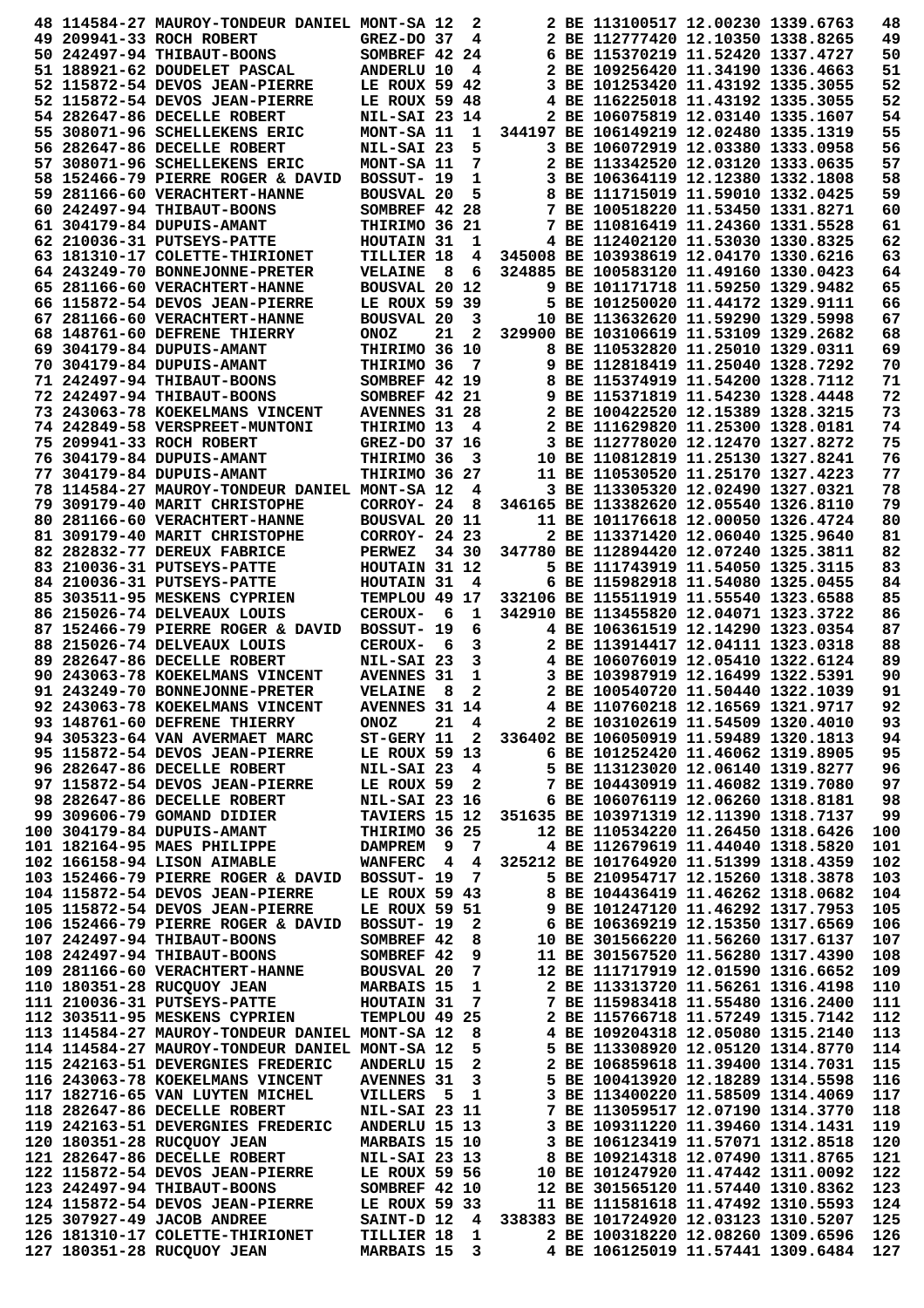|  | 48 114584-27 MAUROY-TONDEUR DANIEL MONT-SA 12                    |                                  |                                | 2                 |                                        | 2 BE 113100517 12.00230 1339.6763                                      |                                    | 48         |
|--|------------------------------------------------------------------|----------------------------------|--------------------------------|-------------------|----------------------------------------|------------------------------------------------------------------------|------------------------------------|------------|
|  | 49 209941-33 ROCH ROBERT                                         | $GREZ-DO$ 37                     |                                | 4                 |                                        | 2 BE 112777420 12.10350 1338.8265                                      |                                    | 49         |
|  | 50 242497-94 THIBAUT-BOONS                                       | SOMBREF 42 24                    |                                |                   |                                        | 6 BE 115370219 11.52420 1337.4727                                      |                                    | 50         |
|  | 51 188921-62 DOUDELET PASCAL                                     | ANDERLU 10                       |                                | 4                 |                                        | 2 BE 109256420 11.34190 1336.4663                                      |                                    | 51         |
|  | 52 115872-54 DEVOS JEAN-PIERRE                                   | LE ROUX 59 42                    |                                |                   |                                        | 3 BE 101253420 11.43192 1335.3055                                      |                                    | 52         |
|  | 52 115872-54 DEVOS JEAN-PIERRE                                   | LE ROUX 59 48                    |                                |                   |                                        | 4 BE 116225018 11.43192 1335.3055                                      |                                    | 52         |
|  | 54 282647-86 DECELLE ROBERT                                      | <b>NIL-SAI 23 14</b>             |                                |                   |                                        | 2 BE 106075819 12.03140 1335.1607                                      |                                    | 54         |
|  | 55 308071-96 SCHELLEKENS ERIC                                    | MONT-SA 11                       |                                | 1                 |                                        | 344197 BE 106149219 12.02480 1335.1319                                 |                                    | 55         |
|  | 56 282647-86 DECELLE ROBERT                                      | NIL-SAI 23                       |                                | 5                 |                                        | 3 BE 106072919 12.03380 1333.0958                                      |                                    | 56         |
|  | 57 308071-96 SCHELLEKENS ERIC                                    | MONT-SA 11                       |                                | 7                 |                                        | 2 BE 113342520 12.03120 1333.0635                                      |                                    | 57         |
|  | 58 152466-79 PIERRE ROGER & DAVID                                | BOSSUT- 19                       |                                | 1                 |                                        | 3 BE 106364119 12.12380 1332.1808                                      |                                    | 58         |
|  | 59 281166-60 VERACHTERT-HANNE                                    | <b>BOUSVAL 20</b>                |                                | 5                 |                                        | 8 BE 111715019 11.59010 1332.0425                                      |                                    | 59         |
|  | 60 242497-94 THIBAUT-BOONS                                       | SOMBREF 42 28                    |                                |                   |                                        | 7 BE 100518220 11.53450 1331.8271                                      |                                    | 60         |
|  | 61 304179-84 DUPUIS-AMANT                                        | THIRIMO 36 21                    |                                |                   |                                        | 7 BE 110816419 11.24360 1331.5528<br>4 BE 112402120 11.53030 1330.8325 |                                    | 61         |
|  | 62 210036-31 PUTSEYS-PATTE                                       | HOUTAIN 31                       |                                | 1                 | 345008 BE 103938619 12.04170 1330.6216 |                                                                        |                                    | 62<br>63   |
|  | 63 181310-17 COLETTE-THIRIONET<br>64 243249-70 BONNEJONNE-PRETER | TILLIER 18<br><b>VELAINE</b>     | - 8                            | 4<br>6            |                                        | 324885 BE 100583120 11.49160 1330.0423                                 |                                    | 64         |
|  | 65 281166-60 VERACHTERT-HANNE                                    | <b>BOUSVAL 20 12</b>             |                                |                   |                                        | 9 BE 101171718 11.59250 1329.9482                                      |                                    | 65         |
|  | 66 115872-54 DEVOS JEAN-PIERRE                                   | LE ROUX 59 39                    |                                |                   |                                        | 5 BE 101250020 11.44172 1329.9111                                      |                                    | 66         |
|  | 67 281166-60 VERACHTERT-HANNE                                    | <b>BOUSVAL 20</b>                |                                | 3                 |                                        | 10 BE 113632620 11.59290 1329.5998                                     |                                    | 67         |
|  | 68 148761-60 DEFRENE THIERRY                                     | <b>ONOZ</b>                      | 21                             | 2                 |                                        | 329900 BE 103106619 11.53109 1329.2682                                 |                                    | 68         |
|  | 69 304179-84 DUPUIS-AMANT                                        | THIRIMO 36 10                    |                                |                   |                                        | 8 BE 110532820 11.25010 1329.0311                                      |                                    | 69         |
|  | 70 304179-84 DUPUIS-AMANT                                        | THIRIMO 36                       |                                | 7                 |                                        | 9 BE 112818419 11.25040 1328.7292                                      |                                    | 70         |
|  | 71 242497-94 THIBAUT-BOONS                                       | SOMBREF 42 19                    |                                |                   |                                        | 8 BE 115374919 11.54200 1328.7112                                      |                                    | 71         |
|  | 72 242497-94 THIBAUT-BOONS                                       | SOMBREF 42 21                    |                                |                   |                                        | 9 BE 115371819 11.54230 1328.4448                                      |                                    | 72         |
|  | 73 243063-78 KOEKELMANS VINCENT                                  | <b>AVENNES 31 28</b>             |                                |                   |                                        | 2 BE 100422520 12.15389 1328.3215                                      |                                    | 73         |
|  | 74 242849-58 VERSPREET-MUNTONI                                   | THIRIMO 13                       |                                | 4                 |                                        | 2 BE 111629820 11.25300 1328.0181                                      |                                    | 74         |
|  | 75 209941-33 ROCH ROBERT                                         | GREZ-DO 37 16                    |                                |                   |                                        | 3 BE 112778020 12.12470 1327.8272                                      |                                    | 75         |
|  | 76 304179-84 DUPUIS-AMANT                                        | THIRIMO 36                       |                                | 3                 |                                        | 10 BE 110812819 11.25130 1327.8241                                     |                                    | 76         |
|  | 77 304179-84 DUPUIS-AMANT                                        | THIRIMO 36 27                    |                                |                   |                                        | 11 BE 110530520 11.25170 1327.4223                                     |                                    | 77         |
|  | 78 114584-27 MAUROY-TONDEUR DANIEL MONT-SA 12                    |                                  |                                | 4                 |                                        | 3 BE 113305320 12.02490 1327.0321                                      |                                    | 78         |
|  | 79 309179-40 MARIT CHRISTOPHE                                    | CORROY- 24                       |                                | 8                 |                                        | 346165 BE 113382620 12.05540 1326.8110                                 |                                    | 79         |
|  | 80 281166-60 VERACHTERT-HANNE                                    | BOUSVAL 20 11                    |                                |                   |                                        | 11 BE 101176618 12.00050 1326.4724                                     |                                    | 80         |
|  | 81 309179-40 MARIT CHRISTOPHE                                    | CORROY- 24 23                    |                                |                   |                                        | 2 BE 113371420 12.06040 1325.9640                                      |                                    | 81         |
|  | 82 282832-77 DEREUX FABRICE                                      | <b>PERWEZ</b>                    |                                | 34 30             |                                        | 347780 BE 112894420 12.07240 1325.3811                                 |                                    | 82         |
|  | 83 210036-31 PUTSEYS-PATTE                                       | HOUTAIN 31 12                    |                                |                   |                                        | 5 BE 111743919 11.54050 1325.3115                                      |                                    | 83         |
|  | 84 210036-31 PUTSEYS-PATTE                                       | HOUTAIN 31                       |                                | 4                 |                                        | 6 BE 115982918 11.54080 1325.0455                                      |                                    | 84         |
|  | 85 303511-95 MESKENS CYPRIEN                                     | TEMPLOU 49 17                    |                                |                   |                                        | 332106 BE 115511919 11.55540 1323.6588                                 |                                    | 85         |
|  | 86 215026-74 DELVEAUX LOUIS                                      | <b>CEROUX-</b>                   | - 6                            | 1                 |                                        | 342910 BE 113455820 12.04071 1323.3722                                 |                                    | 86         |
|  | 87 152466-79 PIERRE ROGER & DAVID                                | BOSSUT- 19                       |                                | 6                 |                                        | 4 BE 106361519 12.14290 1323.0354                                      |                                    | 87         |
|  | 88 215026-74 DELVEAUX LOUIS                                      | <b>CEROUX-</b>                   | - 6                            | 3                 |                                        | 2 BE 113914417 12.04111 1323.0318                                      |                                    | 88         |
|  | 89 282647-86 DECELLE ROBERT                                      | NIL-SAI 23                       |                                | 3                 |                                        | 4 BE 106076019 12.05410 1322.6124                                      |                                    | 89         |
|  | 90 243063-78 KOEKELMANS VINCENT                                  | <b>AVENNES 31</b>                |                                | 1                 |                                        | 3 BE 103987919 12.16499 1322.5391                                      |                                    | 90         |
|  | 91 243249-70 BONNEJONNE-PRETER                                   | <b>VELAINE</b>                   | - 8                            | 2                 |                                        | 2 BE 100540720 11.50440 1322.1039                                      |                                    | 91         |
|  | 92 243063-78 KOEKELMANS VINCENT                                  | AVENNES 31 14                    |                                |                   |                                        | 4 BE 110760218 12.16569 1321.9717                                      |                                    | 92         |
|  | 93 148761-60 DEFRENE THIERRY                                     | <b>ONOZ</b>                      |                                | 21 4              |                                        | 2 BE 103102619 11.54509 1320.4010                                      |                                    | 93         |
|  | 94 305323-64 VAN AVERMAET MARC                                   | $ST-GERV$ 11 2                   |                                |                   | 336402 BE 106050919 11.59489 1320.1813 |                                                                        |                                    | 94         |
|  | 95 115872-54 DEVOS JEAN-PIERRE                                   | LE ROUX 59 13                    |                                |                   |                                        | 6 BE 101252420 11.46062 1319.8905                                      |                                    | 95         |
|  | 96 282647-86 DECELLE ROBERT                                      | NIL-SAI 23 4                     |                                |                   |                                        | 5 BE 113123020 12.06140 1319.8277                                      |                                    | 96         |
|  | 97 115872-54 DEVOS JEAN-PIERRE                                   | LE ROUX 59                       |                                | $\overline{2}$    |                                        | 7 BE 104430919 11.46082 1319.7080                                      |                                    | 97         |
|  | 98 282647-86 DECELLE ROBERT                                      | <b>NIL-SAI 23 16</b>             |                                |                   |                                        | 6 BE 106076119 12.06260 1318.8181                                      |                                    | 98         |
|  | 99 309606-79 GOMAND DIDIER<br>100 304179-84 DUPUIS-AMANT         | TAVIERS 15 12                    |                                |                   | 351635 BE 103971319 12.11390 1318.7137 | 12 BE 110534220 11.26450 1318.6426                                     |                                    | 99         |
|  | 101 182164-95 MAES PHILIPPE                                      | THIRIMO 36 25                    |                                |                   |                                        | 4 BE 112679619 11.44040 1318.5820                                      |                                    | 100<br>101 |
|  | 102 166158-94 LISON AIMABLE                                      | <b>DAMPREM</b><br><b>WANFERC</b> | - 9<br>$\overline{\mathbf{4}}$ | - 7<br>4          |                                        | 325212 BE 101764920 11.51399 1318.4359                                 |                                    | 102        |
|  | 103 152466-79 PIERRE ROGER & DAVID                               | BOSSUT- 19                       |                                | 7                 |                                        | 5 BE 210954717 12.15260 1318.3878                                      |                                    | 103        |
|  | 104 115872-54 DEVOS JEAN-PIERRE                                  | LE ROUX 59 43                    |                                |                   |                                        | 8 BE 104436419 11.46262 1318.0682                                      |                                    | 104        |
|  | 105 115872-54 DEVOS JEAN-PIERRE                                  | LE ROUX 59 51                    |                                |                   |                                        | 9 BE 101247120 11.46292 1317.7953                                      |                                    | 105        |
|  | 106 152466-79 PIERRE ROGER & DAVID                               | BOSSUT- 19                       |                                | $\mathbf{2}$      |                                        | 6 BE 106369219 12.15350 1317.6569                                      |                                    | 106        |
|  | 107 242497-94 THIBAUT-BOONS                                      | SOMBREF 42                       |                                | 8                 |                                        | 10 BE 301566220 11.56260 1317.6137                                     |                                    | 107        |
|  | 108 242497-94 THIBAUT-BOONS                                      | SOMBREF 42                       |                                | 9                 |                                        | 11 BE 301567520 11.56280 1317.4390                                     |                                    | 108        |
|  | 109 281166-60 VERACHTERT-HANNE                                   | <b>BOUSVAL 20</b>                |                                | 7                 |                                        | 12 BE 111717919 12.01590 1316.6652                                     |                                    | 109        |
|  | 110 180351-28 RUCQUOY JEAN                                       | <b>MARBAIS 15</b>                |                                | 1                 |                                        | 2 BE 113313720 11.56261 1316.4198                                      |                                    | 110        |
|  | 111 210036-31 PUTSEYS-PATTE                                      | HOUTAIN 31                       |                                | 7                 |                                        | 7 BE 115983418 11.55480 1316.2400                                      |                                    | 111        |
|  | 112 303511-95 MESKENS CYPRIEN                                    | TEMPLOU 49 25                    |                                |                   |                                        | 2 BE 115766718 11.57249 1315.7142                                      |                                    | 112        |
|  | 113 114584-27 MAUROY-TONDEUR DANIEL MONT-SA 12                   |                                  |                                | 8                 |                                        | 4 BE 109204318 12.05080 1315.2140                                      |                                    | 113        |
|  | 114 114584-27 MAUROY-TONDEUR DANIEL MONT-SA 12                   |                                  |                                | 5                 |                                        | 5 BE 113308920 12.05120 1314.8770                                      |                                    | 114        |
|  | 115 242163-51 DEVERGNIES FREDERIC                                | <b>ANDERLU 15</b>                |                                | $\mathbf{2}$      |                                        | 2 BE 106859618 11.39400 1314.7031                                      |                                    | 115        |
|  | 116 243063-78 KOEKELMANS VINCENT                                 | <b>AVENNES 31</b>                |                                | 3                 |                                        | 5 BE 100413920 12.18289 1314.5598                                      |                                    | 116        |
|  | 117 182716-65 VAN LUYTEN MICHEL                                  | VILLERS                          | - 5                            | 1                 |                                        | 3 BE 113400220 11.58509 1314.4069                                      |                                    | 117        |
|  | 118 282647-86 DECELLE ROBERT                                     | <b>NIL-SAI 23 11</b>             |                                |                   |                                        | 7 BE 113059517 12.07190 1314.3770                                      |                                    | 118        |
|  | 119 242163-51 DEVERGNIES FREDERIC                                | ANDERLU 15 13                    |                                |                   |                                        | 3 BE 109311220 11.39460 1314.1431                                      |                                    | 119        |
|  | 120 180351-28 RUCQUOY JEAN                                       | MARBAIS 15 10                    |                                |                   |                                        | 3 BE 106123419 11.57071 1312.8518                                      |                                    | 120        |
|  | 121 282647-86 DECELLE ROBERT                                     | <b>NIL-SAI 23 13</b>             |                                |                   |                                        | 8 BE 109214318 12.07490 1311.8765                                      |                                    | 121        |
|  | 122 115872-54 DEVOS JEAN-PIERRE                                  | LE ROUX 59 56                    |                                |                   |                                        | 10 BE 101247920 11.47442 1311.0092                                     |                                    | 122        |
|  | 123 242497-94 THIBAUT-BOONS                                      | SOMBREF 42 10                    |                                |                   |                                        | 12 BE 301565120 11.57440 1310.8362                                     |                                    | 123        |
|  |                                                                  |                                  |                                |                   |                                        |                                                                        |                                    | 124        |
|  | 124 115872-54 DEVOS JEAN-PIERRE                                  | LE ROUX 59 33                    |                                |                   |                                        |                                                                        | 11 BE 111581618 11.47492 1310.5593 |            |
|  | 125 307927-49 JACOB ANDREE                                       | SAINT-D 12                       |                                | 4                 |                                        | 338383 BE 101724920 12.03123 1310.5207                                 |                                    | 125        |
|  | 126 181310-17 COLETTE-THIRIONET<br>127 180351-28 RUCQUOY JEAN    | TILLIER 18<br><b>MARBAIS 15</b>  |                                | $\mathbf{1}$<br>3 |                                        | 2 BE 100318220 12.08260 1309.6596<br>4 BE 106125019 11.57441 1309.6484 |                                    | 126<br>127 |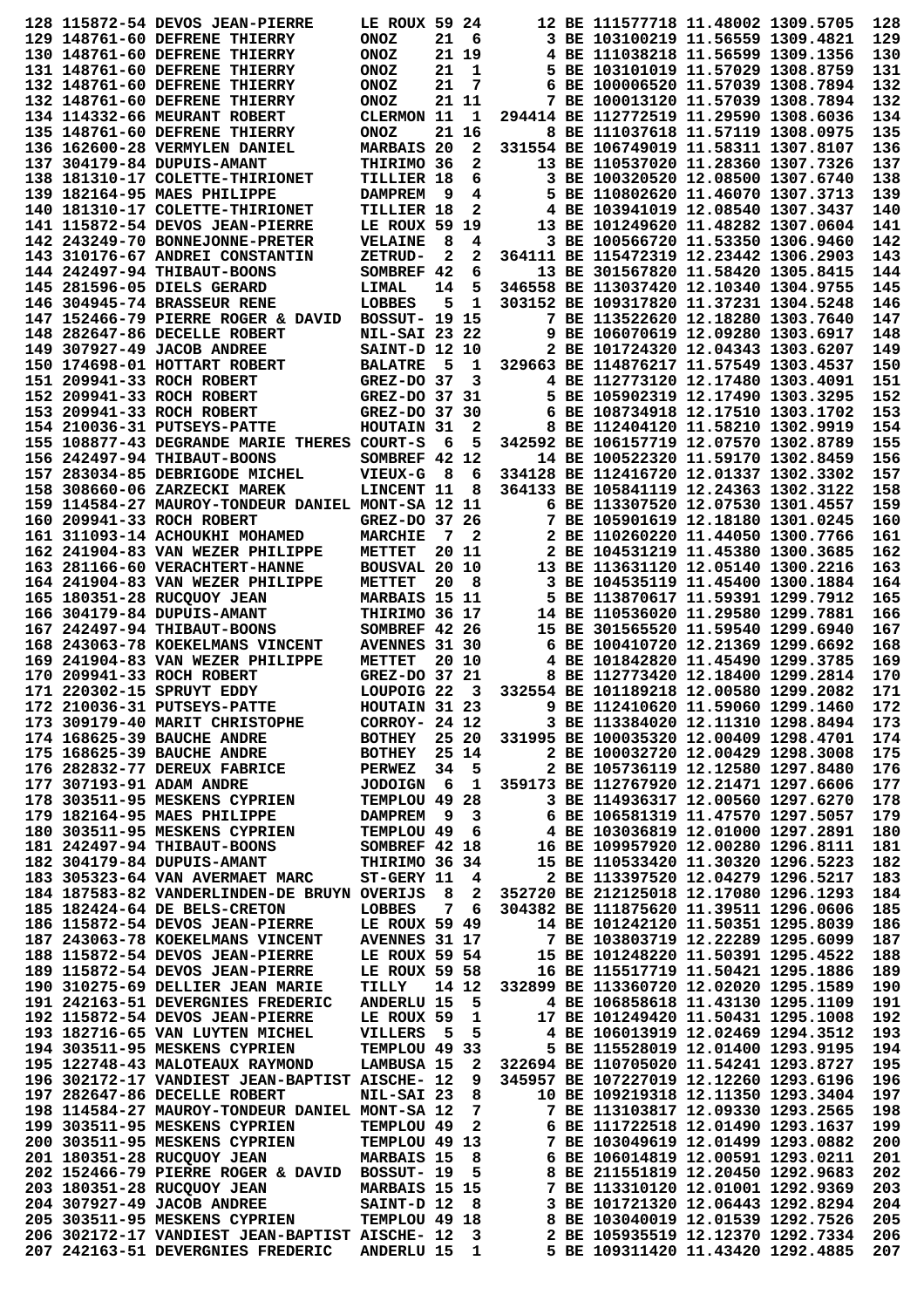|  | 128 115872-54 DEVOS JEAN-PIERRE                                                     | LE ROUX 59 24         |                |                                         |                                                     | 12 BE 111577718 11.48002 1309.5705     |  | 128        |
|--|-------------------------------------------------------------------------------------|-----------------------|----------------|-----------------------------------------|-----------------------------------------------------|----------------------------------------|--|------------|
|  | 129 148761-60 DEFRENE THIERRY                                                       | <b>ONOZ</b>           | 21             | - 6                                     |                                                     | 3 BE 103100219 11.56559 1309.4821      |  | 129        |
|  | 130 148761-60 DEFRENE THIERRY                                                       | <b>ONOZ</b>           |                | 21 19                                   |                                                     | 4 BE 111038218 11.56599 1309.1356      |  | 130        |
|  | 131 148761-60 DEFRENE THIERRY                                                       | <b>ONOZ</b>           | 21             | 1                                       |                                                     | 5 BE 103101019 11.57029 1308.8759      |  | 131        |
|  | 132 148761-60 DEFRENE THIERRY                                                       | <b>ONOZ</b>           | 21             | 7                                       |                                                     | 6 BE 100006520 11.57039 1308.7894      |  | 132        |
|  | 132 148761-60 DEFRENE THIERRY                                                       | <b>ONOZ</b>           |                | 21 11                                   |                                                     | 7 BE 100013120 11.57039 1308.7894      |  | 132        |
|  | 134 114332-66 MEURANT ROBERT                                                        | <b>CLERMON 11</b>     |                | 1                                       |                                                     | 294414 BE 112772519 11.29590 1308.6036 |  | 134        |
|  | 135 148761-60 DEFRENE THIERRY                                                       | <b>ONOZ</b>           |                | 21 16                                   |                                                     | 8 BE 111037618 11.57119 1308.0975      |  | 135        |
|  | 136 162600-28 VERMYLEN DANIEL                                                       | MARBAIS 20            |                | 2                                       |                                                     | 331554 BE 106749019 11.58311 1307.8107 |  | 136        |
|  | 137 304179-84 DUPUIS-AMANT                                                          | THIRIMO 36            |                | 2                                       |                                                     | 13 BE 110537020 11.28360 1307.7326     |  | 137        |
|  | 138 181310-17 COLETTE-THIRIONET                                                     | TILLIER 18            |                | 6                                       |                                                     | 3 BE 100320520 12.08500 1307.6740      |  | 138        |
|  | 139 182164-95 MAES PHILIPPE                                                         | <b>DAMPREM</b>        | - 9            | 4                                       |                                                     | 5 BE 110802620 11.46070 1307.3713      |  | 139        |
|  | 140 181310-17 COLETTE-THIRIONET                                                     | TILLIER 18            |                | 2                                       |                                                     | 4 BE 103941019 12.08540 1307.3437      |  | 140        |
|  | 141 115872-54 DEVOS JEAN-PIERRE                                                     | LE ROUX 59 19         |                |                                         |                                                     | 13 BE 101249620 11.48282 1307.0604     |  | 141        |
|  | 142 243249-70 BONNEJONNE-PRETER                                                     | <b>VELAINE</b>        | 8              | 4                                       |                                                     | 3 BE 100566720 11.53350 1306.9460      |  | 142        |
|  | 143 310176-67 ANDREI CONSTANTIN                                                     | ZETRUD-               | 2              | 2                                       |                                                     | 364111 BE 115472319 12.23442 1306.2903 |  | 143        |
|  | 144 242497-94 THIBAUT-BOONS                                                         | SOMBREF 42            |                | 6                                       |                                                     | 13 BE 301567820 11.58420 1305.8415     |  | 144        |
|  | 145 281596-05 DIELS GERARD                                                          | LIMAL                 | 14             | 5                                       |                                                     | 346558 BE 113037420 12.10340 1304.9755 |  | 145        |
|  | 146 304945-74 BRASSEUR RENE                                                         | LOBBES                | 5              | 1                                       |                                                     | 303152 BE 109317820 11.37231 1304.5248 |  | 146        |
|  | 147 152466-79 PIERRE ROGER & DAVID                                                  | <b>BOSSUT- 19 15</b>  |                |                                         |                                                     | 7 BE 113522620 12.18280 1303.7640      |  | 147        |
|  | 148 282647-86 DECELLE ROBERT                                                        | <b>NIL-SAI 23 22</b>  |                |                                         |                                                     | 9 BE 106070619 12.09280 1303.6917      |  | 148        |
|  | 149 307927-49 JACOB ANDREE                                                          | SAINT-D 12 10         |                |                                         |                                                     | 2 BE 101724320 12.04343 1303.6207      |  | 149        |
|  | 150 174698-01 HOTTART ROBERT                                                        | <b>BALATRE</b>        | 5              | 1                                       |                                                     | 329663 BE 114876217 11.57549 1303.4537 |  | 150        |
|  | 151 209941-33 ROCH ROBERT                                                           | GREZ-DO 37            |                | 3                                       |                                                     | 4 BE 112773120 12.17480 1303.4091      |  | 151        |
|  | 152 209941-33 ROCH ROBERT                                                           | GREZ-DO 37 31         |                |                                         |                                                     | 5 BE 105902319 12.17490 1303.3295      |  | 152        |
|  | 153 209941-33 ROCH ROBERT                                                           | GREZ-DO 37 30         |                |                                         |                                                     | 6 BE 108734918 12.17510 1303.1702      |  | 153        |
|  | 154 210036-31 PUTSEYS-PATTE                                                         | HOUTAIN 31            |                | 2                                       |                                                     | 8 BE 112404120 11.58210 1302.9919      |  | 154        |
|  | 155 108877-43 DEGRANDE MARIE THERES COURT-S                                         |                       | 6              | 5                                       |                                                     | 342592 BE 106157719 12.07570 1302.8789 |  | 155        |
|  | 156 242497-94 THIBAUT-BOONS                                                         | SOMBREF 42 12         |                |                                         |                                                     | 14 BE 100522320 11.59170 1302.8459     |  | 156        |
|  | 157 283034-85 DEBRIGODE MICHEL                                                      | <b>VIEUX-G</b>        | - 8            | 6                                       |                                                     | 334128 BE 112416720 12.01337 1302.3302 |  | 157        |
|  | 158 308660-06 ZARZECKI MAREK                                                        | LINCENT 11            |                | 8                                       |                                                     | 364133 BE 105841119 12.24363 1302.3122 |  | 158        |
|  | 159 114584-27 MAUROY-TONDEUR DANIEL MONT-SA 12 11                                   |                       |                |                                         |                                                     | 6 BE 113307520 12.07530 1301.4557      |  | 159        |
|  | 160 209941-33 ROCH ROBERT                                                           | GREZ-DO 37 26         |                |                                         |                                                     | 7 BE 105901619 12.18180 1301.0245      |  | 160        |
|  | 161 311093-14 ACHOUKHI MOHAMED                                                      | <b>MARCHIE</b>        | 7              | 2                                       |                                                     | 2 BE 110260220 11.44050 1300.7766      |  | 161        |
|  | 162 241904-83 VAN WEZER PHILIPPE                                                    | METTET                |                | 20 11                                   |                                                     | 2 BE 104531219 11.45380 1300.3685      |  | 162        |
|  | 163 281166-60 VERACHTERT-HANNE                                                      | BOUSVAL 20 10         |                |                                         |                                                     | 13 BE 113631120 12.05140 1300.2216     |  | 163        |
|  | 164 241904-83 VAN WEZER PHILIPPE                                                    | METTET                | 20             | 8                                       |                                                     | 3 BE 104535119 11.45400 1300.1884      |  | 164        |
|  | 165 180351-28 RUCQUOY JEAN                                                          | MARBAIS 15 11         |                |                                         |                                                     | 5 BE 113870617 11.59391 1299.7912      |  | 165        |
|  | 166 304179-84 DUPUIS-AMANT                                                          | THIRIMO 36 17         |                |                                         |                                                     | 14 BE 110536020 11.29580 1299.7881     |  | 166        |
|  | 167 242497-94 THIBAUT-BOONS                                                         | SOMBREF 42 26         |                |                                         |                                                     | 15 BE 301565520 11.59540 1299.6940     |  | 167        |
|  | 168 243063-78 KOEKELMANS VINCENT                                                    | AVENNES 31 30         |                |                                         |                                                     | 6 BE 100410720 12.21369 1299.6692      |  | 168        |
|  | 169 241904-83 VAN WEZER PHILIPPE                                                    | METTET                |                | 20 10                                   |                                                     | 4 BE 101842820 11.45490 1299.3785      |  | 169        |
|  | 170 209941-33 ROCH ROBERT                                                           | GREZ-DO 37 21         |                |                                         |                                                     | 8 BE 112773420 12.18400 1299.2814      |  | 170        |
|  |                                                                                     |                       |                |                                         |                                                     |                                        |  |            |
|  | 171 220302-15 SPRUYT EDDY                                                           | LOUPOIG <sub>22</sub> |                | 3                                       |                                                     | 332554 BE 101189218 12.00580 1299.2082 |  | 171        |
|  | 172 210036-31 PUTSEYS-PATTE                                                         | HOUTAIN 31 23         |                |                                         |                                                     | 9 BE 112410620 11.59060 1299.1460      |  | 172        |
|  | 173 309179-40 MARIT CHRISTOPHE                                                      | CORROY- 24 12         |                |                                         |                                                     | 3 BE 113384020 12.11310 1298.8494      |  | 173        |
|  | 174 168625-39 BAUCHE ANDRE                                                          |                       |                |                                         | BOTHEY 25 20 331995 BE 100035320 12.00409 1298.4701 |                                        |  | 174        |
|  | 175 168625-39 BAUCHE ANDRE                                                          | <b>BOTHEY</b>         |                | 25 14                                   |                                                     | 2 BE 100032720 12.00429 1298.3008      |  | 175        |
|  | 176 282832-77 DEREUX FABRICE                                                        | <b>PERWEZ</b>         |                | 34 5                                    |                                                     | 2 BE 105736119 12.12580 1297.8480      |  | 176        |
|  | 177 307193-91 ADAM ANDRE                                                            | JODOIGN 6             |                | $\mathbf{1}$                            | 359173 BE 112767920 12.21471 1297.6606              |                                        |  | 177        |
|  | 178 303511-95 MESKENS CYPRIEN                                                       | TEMPLOU 49 28         |                |                                         |                                                     | 3 BE 114936317 12.00560 1297.6270      |  | 178        |
|  | 179 182164-95 MAES PHILIPPE                                                         | <b>DAMPREM</b>        |                | 9 3                                     |                                                     | 6 BE 106581319 11.47570 1297.5057      |  | 179        |
|  | 180 303511-95 MESKENS CYPRIEN                                                       | TEMPLOU 49 6          |                |                                         |                                                     | 4 BE 103036819 12.01000 1297.2891      |  | 180        |
|  | 181 242497-94 THIBAUT-BOONS                                                         | SOMBREF 42 18         |                |                                         | 16 BE 109957920 12.00280 1296.8111                  |                                        |  | 181        |
|  | 182 304179-84 DUPUIS-AMANT                                                          | THIRIMO 36 34         |                |                                         |                                                     | 15 BE 110533420 11.30320 1296.5223     |  | 182        |
|  | 183 305323-64 VAN AVERMAET MARC                                                     | $ST-GERV$ 11 4        |                |                                         |                                                     | 2 BE 113397520 12.04279 1296.5217      |  | 183        |
|  | 184 187583-82 VANDERLINDEN-DE BRUYN OVERIJS                                         |                       | 8 <sup>1</sup> | $\mathbf{2}$                            | 352720 BE 212125018 12.17080 1296.1293              |                                        |  | 184        |
|  | 185 182424-64 DE BELS-CRETON                                                        | LOBBES                |                | 76                                      |                                                     | 304382 BE 111875620 11.39511 1296.0606 |  | 185        |
|  | 186 115872-54 DEVOS JEAN-PIERRE                                                     | LE ROUX 59 49         |                |                                         |                                                     | 14 BE 101242120 11.50351 1295.8039     |  | 186        |
|  | 187 243063-78 KOEKELMANS VINCENT                                                    | <b>AVENNES 31 17</b>  |                |                                         | 7 BE 103803719 12.22289 1295.6099                   |                                        |  | 187        |
|  | 188 115872-54 DEVOS JEAN-PIERRE                                                     | LE ROUX 59 54         |                |                                         |                                                     | 15 BE 101248220 11.50391 1295.4522     |  | 188        |
|  | 189 115872-54 DEVOS JEAN-PIERRE                                                     | LE ROUX 59 58         |                |                                         |                                                     | 16 BE 115517719 11.50421 1295.1886     |  | 189        |
|  | 190 310275-69 DELLIER JEAN MARIE                                                    | TILLY                 |                | 14 12                                   | 332899 BE 113360720 12.02020 1295.1589              |                                        |  | 190        |
|  | 191 242163-51 DEVERGNIES FREDERIC                                                   | <b>ANDERLU 15</b>     |                | - 5                                     |                                                     | 4 BE 106858618 11.43130 1295.1109      |  | 191        |
|  | 192 115872-54 DEVOS JEAN-PIERRE                                                     | LE ROUX 59            |                | $\mathbf{1}$                            |                                                     | 17 BE 101249420 11.50431 1295.1008     |  | 192        |
|  | 193 182716-65 VAN LUYTEN MICHEL                                                     | VILLERS               | - 5            | $-5$                                    |                                                     | 4 BE 106013919 12.02469 1294.3512      |  | 193        |
|  | 194 303511-95 MESKENS CYPRIEN                                                       | TEMPLOU 49 33         |                |                                         |                                                     | 5 BE 115528019 12.01400 1293.9195      |  | 194        |
|  | 195 122748-43 MALOTEAUX RAYMOND                                                     |                       |                |                                         | LAMBUSA 15 2 322694 BE 110705020 11.54241 1293.8727 |                                        |  | 195        |
|  | 196 302172-17 VANDIEST JEAN-BAPTIST AISCHE- 12                                      |                       |                | $9^{\circ}$                             |                                                     | 345957 BE 107227019 12.12260 1293.6196 |  | 196        |
|  | 197 282647-86 DECELLE ROBERT                                                        | NIL-SAI 23            |                | 8                                       |                                                     | 10 BE 109219318 12.11350 1293.3404     |  | 197        |
|  | 198 114584-27 MAUROY-TONDEUR DANIEL MONT-SA 12                                      |                       |                | 7                                       |                                                     | 7 BE 113103817 12.09330 1293.2565      |  | 198        |
|  | 199 303511-95 MESKENS CYPRIEN                                                       | TEMPLOU 49            |                | $\mathbf{2}$                            |                                                     | 6 BE 111722518 12.01490 1293.1637      |  | 199        |
|  | 200 303511-95 MESKENS CYPRIEN                                                       | TEMPLOU 49 13         |                |                                         |                                                     | 7 BE 103049619 12.01499 1293.0882      |  | 200        |
|  | 201 180351-28 RUCQUOY JEAN                                                          | <b>MARBAIS 15</b>     |                | $_{\rm 8}$                              |                                                     | 6 BE 106014819 12.00591 1293.0211      |  | 201        |
|  | 202 152466-79 PIERRE ROGER & DAVID BOSSUT- 19                                       |                       |                | 5                                       |                                                     | 8 BE 211551819 12.20450 1292.9683      |  | 202        |
|  | 203 180351-28 RUCQUOY JEAN                                                          | <b>MARBAIS 15 15</b>  |                |                                         |                                                     | 7 BE 113310120 12.01001 1292.9369      |  | 203        |
|  | 204 307927-49 JACOB ANDREE                                                          | SAINT-D 12            |                | - 8                                     |                                                     | 3 BE 101721320 12.06443 1292.8294      |  | 204        |
|  | 205 303511-95 MESKENS CYPRIEN                                                       | TEMPLOU 49 18         |                |                                         |                                                     | 8 BE 103040019 12.01539 1292.7526      |  | 205        |
|  | 206 302172-17 VANDIEST JEAN-BAPTIST AISCHE- 12<br>207 242163-51 DEVERGNIES FREDERIC | <b>ANDERLU 15</b>     |                | $\overline{\mathbf{3}}$<br>$\mathbf{1}$ | 2 BE 105935519 12.12370 1292.7334                   | 5 BE 109311420 11.43420 1292.4885      |  | 206<br>207 |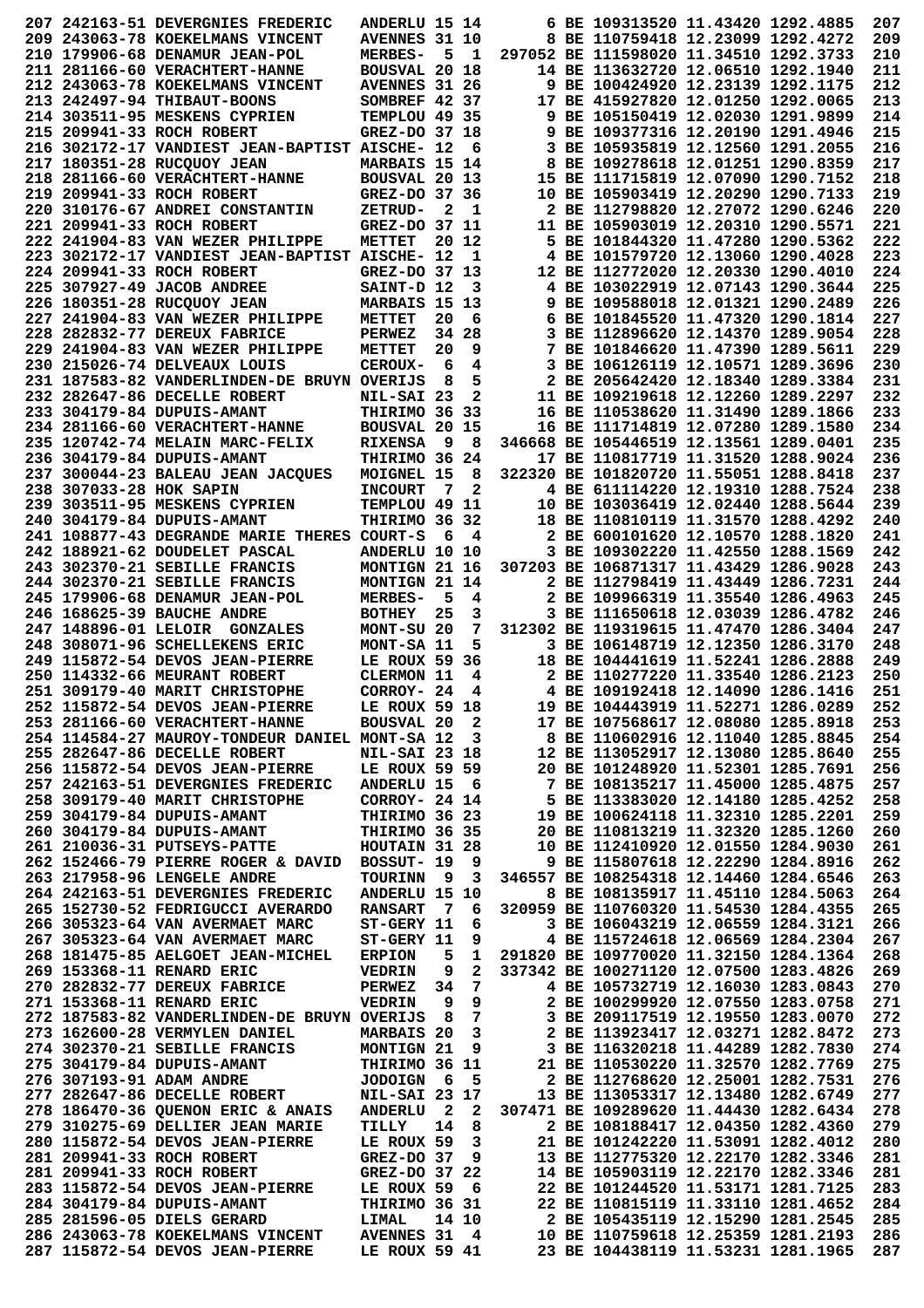|                         | 207 242163-51 DEVERGNIES FREDERIC                | <b>ANDERLU 15 14</b> |                         |                         |                                                                          | 6 BE 109313520 11.43420 1292.4885      |  | 207 |
|-------------------------|--------------------------------------------------|----------------------|-------------------------|-------------------------|--------------------------------------------------------------------------|----------------------------------------|--|-----|
|                         | 209 243063-78 KOEKELMANS VINCENT                 | AVENNES 31 10        |                         |                         |                                                                          | 8 BE 110759418 12.23099 1292.4272      |  | 209 |
|                         | 210 179906-68 DENAMUR JEAN-POL                   | <b>MERBES-</b>       | 5                       | $\mathbf{1}$            |                                                                          | 297052 BE 111598020 11.34510 1292.3733 |  | 210 |
|                         | 211 281166-60 VERACHTERT-HANNE                   | <b>BOUSVAL 20 18</b> |                         |                         |                                                                          | 14 BE 113632720 12.06510 1292.1940     |  | 211 |
|                         | 212 243063-78 KOEKELMANS VINCENT                 | <b>AVENNES 31 26</b> |                         |                         |                                                                          | 9 BE 100424920 12.23139 1292.1175      |  | 212 |
|                         |                                                  |                      |                         |                         |                                                                          | 17 BE 415927820 12.01250 1292.0065     |  | 213 |
|                         | 213 242497-94 THIBAUT-BOONS                      | SOMBREF 42 37        |                         |                         |                                                                          |                                        |  |     |
|                         | 214 303511-95 MESKENS CYPRIEN                    | TEMPLOU 49 35        |                         |                         |                                                                          | 9 BE 105150419 12.02030 1291.9899      |  | 214 |
|                         | 215 209941-33 ROCH ROBERT                        | GREZ-DO 37 18        |                         |                         |                                                                          | 9 BE 109377316 12.20190 1291.4946      |  | 215 |
|                         | 216 302172-17 VANDIEST JEAN-BAPTIST AISCHE- 12   |                      |                         | 6                       |                                                                          | 3 BE 105935819 12.12560 1291.2055      |  | 216 |
|                         | 217 180351-28 RUCQUOY JEAN                       | MARBAIS 15 14        |                         |                         |                                                                          | 8 BE 109278618 12.01251 1290.8359      |  | 217 |
|                         | 218  281166-60  VERACHTERT-HANNE                 | BOUSVAL 20 13        |                         |                         |                                                                          | 15 BE 111715819 12.07090 1290.7152     |  | 218 |
|                         | 219 209941-33 ROCH ROBERT                        | GREZ-DO 37 36        |                         |                         |                                                                          | 10 BE 105903419 12.20290 1290.7133     |  | 219 |
|                         | 220 310176-67 ANDREI CONSTANTIN                  | ZETRUD-              | $\mathbf{2}$            | - 1                     |                                                                          | 2 BE 112798820 12.27072 1290.6246      |  | 220 |
|                         | 221 209941-33 ROCH ROBERT                        | GREZ-DO 37 11        |                         |                         |                                                                          | 11 BE 105903019 12.20310 1290.5571     |  | 221 |
|                         | 222 241904-83 VAN WEZER PHILIPPE                 | METTET               |                         | 20 12                   |                                                                          | 5 BE 101844320 11.47280 1290.5362      |  | 222 |
|                         | 223 302172-17 VANDIEST JEAN-BAPTIST AISCHE- 12   |                      |                         | 1                       |                                                                          | 4 BE 101579720 12.13060 1290.4028      |  | 223 |
|                         |                                                  | GREZ-DO 37 13        |                         |                         |                                                                          | 12 BE 112772020 12.20330 1290.4010     |  | 224 |
|                         | 224 209941-33 ROCH ROBERT                        |                      |                         |                         |                                                                          |                                        |  | 225 |
|                         | 225 307927-49 JACOB ANDREE                       | SAINT-D 12           |                         | 3                       |                                                                          | 4 BE 103022919 12.07143 1290.3644      |  |     |
|                         | 226 180351-28 RUCQUOY JEAN                       | MARBAIS 15 13        |                         |                         |                                                                          | 9 BE 109588018 12.01321 1290.2489      |  | 226 |
|                         | 227 241904-83 VAN WEZER PHILIPPE                 | <b>METTET</b>        | 20                      | 6                       |                                                                          | 6 BE 101845520 11.47320 1290.1814      |  | 227 |
|                         | 228 282832-77 DEREUX FABRICE                     | <b>PERWEZ</b>        | 34                      | 28                      |                                                                          | 3 BE 112896620 12.14370 1289.9054      |  | 228 |
|                         | 229 241904-83 VAN WEZER PHILIPPE                 | <b>METTET</b>        | 20                      | 9                       |                                                                          | 7 BE 101846620 11.47390 1289.5611      |  | 229 |
|                         | 230 215026-74 DELVEAUX LOUIS                     | CEROUX-              | 6                       | 4                       |                                                                          | 3 BE 106126119 12.10571 1289.3696      |  | 230 |
|                         | 231 187583-82 VANDERLINDEN-DE BRUYN OVERIJS      |                      | 8                       | 5                       |                                                                          | 2 BE 205642420 12.18340 1289.3384      |  | 231 |
|                         | 232 282647-86 DECELLE ROBERT                     | NIL-SAI 23           |                         | 2                       |                                                                          | 11 BE 109219618 12.12260 1289.2297     |  | 232 |
|                         | 233 304179-84 DUPUIS-AMANT                       | THIRIMO 36 33        |                         |                         |                                                                          | 16 BE 110538620 11.31490 1289.1866     |  | 233 |
|                         | 234 281166-60 VERACHTERT-HANNE                   | BOUSVAL 20 15        |                         |                         |                                                                          | 16 BE 111714819 12.07280 1289.1580     |  | 234 |
|                         |                                                  |                      |                         |                         |                                                                          |                                        |  |     |
|                         | 235 120742-74 MELAIN MARC-FELIX                  | <b>RIXENSA</b>       | 9                       | 8                       |                                                                          | 346668 BE 105446519 12.13561 1289.0401 |  | 235 |
|                         | 236 304179-84 DUPUIS-AMANT                       | THIRIMO 36 24        |                         |                         |                                                                          | 17 BE 110817719 11.31520 1288.9024     |  | 236 |
|                         | 237 300044-23 BALEAU JEAN JACQUES                | MOIGNEL 15           |                         | 8                       |                                                                          | 322320 BE 101820720 11.55051 1288.8418 |  | 237 |
| 238 307033-28 HOK SAPIN |                                                  | <b>INCOURT</b>       | - 7                     | 2                       |                                                                          | 4 BE 611114220 12.19310 1288.7524      |  | 238 |
|                         | 239 303511-95 MESKENS CYPRIEN                    | TEMPLOU 49 11        |                         |                         |                                                                          | 10 BE 103036419 12.02440 1288.5644     |  | 239 |
|                         | 240 304179-84 DUPUIS-AMANT                       | THIRIMO 36 32        |                         |                         |                                                                          | 18 BE 110810119 11.31570 1288.4292     |  | 240 |
|                         | 241 108877-43 DEGRANDE MARIE THERES              | COURT-S              | 6                       | 4                       |                                                                          | 2 BE 600101620 12.10570 1288.1820      |  | 241 |
|                         | 242 188921-62 DOUDELET PASCAL                    | ANDERLU 10 10        |                         |                         |                                                                          | 3 BE 109302220 11.42550 1288.1569      |  | 242 |
|                         | 243 302370-21 SEBILLE FRANCIS                    | MONTIGN 21 16        |                         |                         |                                                                          | 307203 BE 106871317 11.43429 1286.9028 |  | 243 |
|                         | 244 302370-21 SEBILLE FRANCIS                    | MONTIGN 21 14        |                         |                         |                                                                          | 2 BE 112798419 11.43449 1286.7231      |  | 244 |
|                         |                                                  |                      |                         |                         |                                                                          |                                        |  |     |
|                         | 245 179906-68 DENAMUR JEAN-POL                   | <b>MERBES-</b>       | 5                       | 4                       |                                                                          | 2 BE 109966319 11.35540 1286.4963      |  | 245 |
|                         | 246 168625-39 BAUCHE ANDRE                       | <b>BOTHEY</b>        | 25                      | 3                       |                                                                          | 3 BE 111650618 12.03039 1286.4782      |  | 246 |
|                         | 247 148896-01 LELOIR GONZALES                    | MONT-SU 20           |                         | 7                       |                                                                          | 312302 BE 119319615 11.47470 1286.3404 |  | 247 |
|                         | 248 308071-96 SCHELLEKENS ERIC                   | MONT-SA 11           |                         | 5                       |                                                                          | 3 BE 106148719 12.12350 1286.3170      |  | 248 |
|                         | 249 115872-54 DEVOS JEAN-PIERRE                  | LE ROUX 59 36        |                         |                         |                                                                          | 18 BE 104441619 11.52241 1286.2888     |  | 249 |
|                         | 250 114332-66 MEURANT ROBERT                     | <b>CLERMON 11</b>    |                         | 4                       |                                                                          | 2 BE 110277220 11.33540 1286.2123      |  | 250 |
|                         | 251 309179-40 MARIT CHRISTOPHE                   | CORROY- 24           |                         | 4                       |                                                                          | 4 BE 109192418 12.14090 1286.1416      |  | 251 |
|                         | 252 115872-54 DEVOS JEAN-PIERRE                  | LE ROUX 59 18        |                         |                         |                                                                          | 19 BE 104443919 11.52271 1286.0289     |  | 252 |
|                         | 253 281166-60 VERACHTERT-HANNE                   | BOUSVAL 20 2         |                         |                         |                                                                          | 17 BE 107568617 12.08080 1285.8918     |  | 253 |
|                         | 254 114584-27 MAUROY-TONDEUR DANIEL MONT-SA 12 3 |                      |                         |                         |                                                                          | 8 BE 110602916 12.11040 1285.8845      |  | 254 |
|                         | 255 282647-86 DECELLE ROBERT                     | <b>NIL-SAI 23 18</b> |                         |                         |                                                                          | 12 BE 113052917 12.13080 1285.8640     |  | 255 |
|                         | 256 115872-54 DEVOS JEAN-PIERRE                  | LE ROUX 59 59        |                         |                         |                                                                          |                                        |  | 256 |
|                         |                                                  |                      |                         |                         |                                                                          | 20 BE 101248920 11.52301 1285.7691     |  |     |
|                         | 257 242163-51 DEVERGNIES FREDERIC                | ANDERLU 15 6         |                         |                         |                                                                          | 7 BE 108135217 11.45000 1285.4875      |  | 257 |
|                         | 258 309179-40 MARIT CHRISTOPHE                   | CORROY- 24 14        |                         |                         |                                                                          | 5 BE 113383020 12.14180 1285.4252      |  | 258 |
|                         | 259 304179-84 DUPUIS-AMANT                       | THIRIMO 36 23        |                         |                         | 19 BE 100624118 11.32310 1285.2201<br>20 BE 110813219 11.32320 1285.1260 |                                        |  | 259 |
|                         | 260 304179-84 DUPUIS-AMANT                       | THIRIMO 36 35        |                         |                         |                                                                          | 20 BE 110813219 11.32320 1285.1260     |  | 260 |
|                         | 261 210036-31 PUTSEYS-PATTE                      | HOUTAIN 31 28        |                         |                         |                                                                          | 10 BE 112410920 12.01550 1284.9030     |  | 261 |
|                         | 262 152466-79 PIERRE ROGER & DAVID               | BOSSUT- 19           |                         | 9                       |                                                                          | 9 BE 115807618 12.22290 1284.8916      |  | 262 |
|                         | 263 217958-96 LENGELE ANDRE                      | TOURINN              | - 9                     | 3                       |                                                                          | 346557 BE 108254318 12.14460 1284.6546 |  | 263 |
|                         | 264 242163-51 DEVERGNIES FREDERIC                | ANDERLU 15 10        |                         |                         |                                                                          | 8 BE 108135917 11.45110 1284.5063      |  | 264 |
|                         | 265 152730-52 FEDRIGUCCI AVERARDO                | <b>RANSART</b>       | $\overline{7}$          | - 6                     |                                                                          | 320959 BE 110760320 11.54530 1284.4355 |  | 265 |
|                         | 266 305323-64 VAN AVERMAET MARC                  | ST-GERY 11           |                         | 6                       |                                                                          | 3 BE 106043219 12.06559 1284.3121      |  | 266 |
|                         | 267 305323-64 VAN AVERMAET MARC                  | ST-GERY 11           |                         |                         | 9                                                                        | 4 BE 115724618 12.06569 1284.2304      |  | 267 |
|                         | 268 181475-85 AELGOET JEAN-MICHEL                | <b>ERPION</b>        | 5                       |                         | 1 291820 BE 109770020 11.32150 1284.1364                                 |                                        |  | 268 |
|                         |                                                  |                      |                         | $\mathbf{2}$            |                                                                          |                                        |  |     |
|                         | 269 153368-11 RENARD ERIC                        | <b>VEDRIN</b>        | 9                       |                         | 337342 BE 100271120 12.07500 1283.4826                                   |                                        |  | 269 |
|                         | 270 282832-77 DEREUX FABRICE                     | <b>PERWEZ</b>        |                         | 34 7                    |                                                                          | 4 BE 105732719 12.16030 1283.0843      |  | 270 |
|                         | 271 153368-11 RENARD ERIC                        | <b>VEDRIN</b>        | 9                       |                         | $9^{\circ}$                                                              | 2 BE 100299920 12.07550 1283.0758      |  | 271 |
|                         | 272 187583-82 VANDERLINDEN-DE BRUYN OVERIJS      |                      | - 8                     | $\overline{7}$          |                                                                          | 3 BE 209117519 12.19550 1283.0070      |  | 272 |
|                         | 273 162600-28 VERMYLEN DANIEL                    | <b>MARBAIS 20</b>    |                         |                         | 3 2 BE 113923417 12.03271 1282.8472                                      |                                        |  | 273 |
|                         | 274 302370-21 SEBILLE FRANCIS                    | MONTIGN 21           |                         |                         |                                                                          |                                        |  | 274 |
|                         | 275 304179-84 DUPUIS-AMANT                       | THIRIMO 36 11        |                         |                         | 9<br>1282.7830 3 BE 116320218 11.44289 1282.7830<br>1282.7769 1282.7769  | 21 BE 110530220 11.32570 1282.7769     |  | 275 |
|                         | 276 307193-91 ADAM ANDRE                         | JODOIGN 6 5          |                         |                         |                                                                          | 2 BE 112768620 12.25001 1282.7531      |  | 276 |
|                         | 277  282647-86 DECELLE ROBERT                    | <b>NIL-SAI 23 17</b> |                         |                         |                                                                          | 13 BE 113053317 12.13480 1282.6749     |  | 277 |
|                         | 278 186470-36 QUENON ERIC & ANAIS                | <b>ANDERLU</b>       | $\overline{\mathbf{2}}$ | $\overline{\mathbf{2}}$ |                                                                          | 307471 BE 109289620 11.44430 1282.6434 |  | 278 |
|                         |                                                  |                      |                         |                         |                                                                          |                                        |  |     |
|                         | 279 310275-69 DELLIER JEAN MARIE                 | TILLY                |                         | 14 8                    |                                                                          | 2 BE 108188417 12.04350 1282.4360      |  | 279 |
|                         | 280 115872-54 DEVOS JEAN-PIERRE                  | LE ROUX 59           |                         | $\overline{\mathbf{3}}$ |                                                                          | 21 BE 101242220 11.53091 1282.4012     |  | 280 |
|                         | 281 209941-33 ROCH ROBERT                        | $GREZ-DO$ 37 9       |                         |                         |                                                                          | 13 BE 112775320 12.22170 1282.3346     |  | 281 |
|                         | 281 209941-33 ROCH ROBERT                        | <b>GREZ-DO 37 22</b> |                         |                         |                                                                          | 14 BE 105903119 12.22170 1282.3346     |  | 281 |
|                         | 283 115872-54 DEVOS JEAN-PIERRE LE ROUX 59 6     |                      |                         |                         |                                                                          | 22 BE 101244520 11.53171 1281.7125     |  | 283 |
|                         | 284 304179-84 DUPUIS-AMANT                       | THIRIMO 36 31        |                         |                         |                                                                          | 22 BE 110815119 11.33110 1281.4652     |  | 284 |
|                         | 285 281596-05 DIELS GERARD                       | LIMAL                |                         | 14 10                   |                                                                          | 2 BE 105435119 12.15290 1281.2545      |  | 285 |
|                         | 286 243063-78 KOEKELMANS VINCENT AVENNES 31 4    |                      |                         |                         | 10 BE 110759618 12.25359 1281.2193                                       |                                        |  | 286 |
|                         | 287 115872-54 DEVOS JEAN-PIERRE LE ROUX 59 41    |                      |                         |                         |                                                                          | 23 BE 104438119 11.53231 1281.1965     |  | 287 |
|                         |                                                  |                      |                         |                         |                                                                          |                                        |  |     |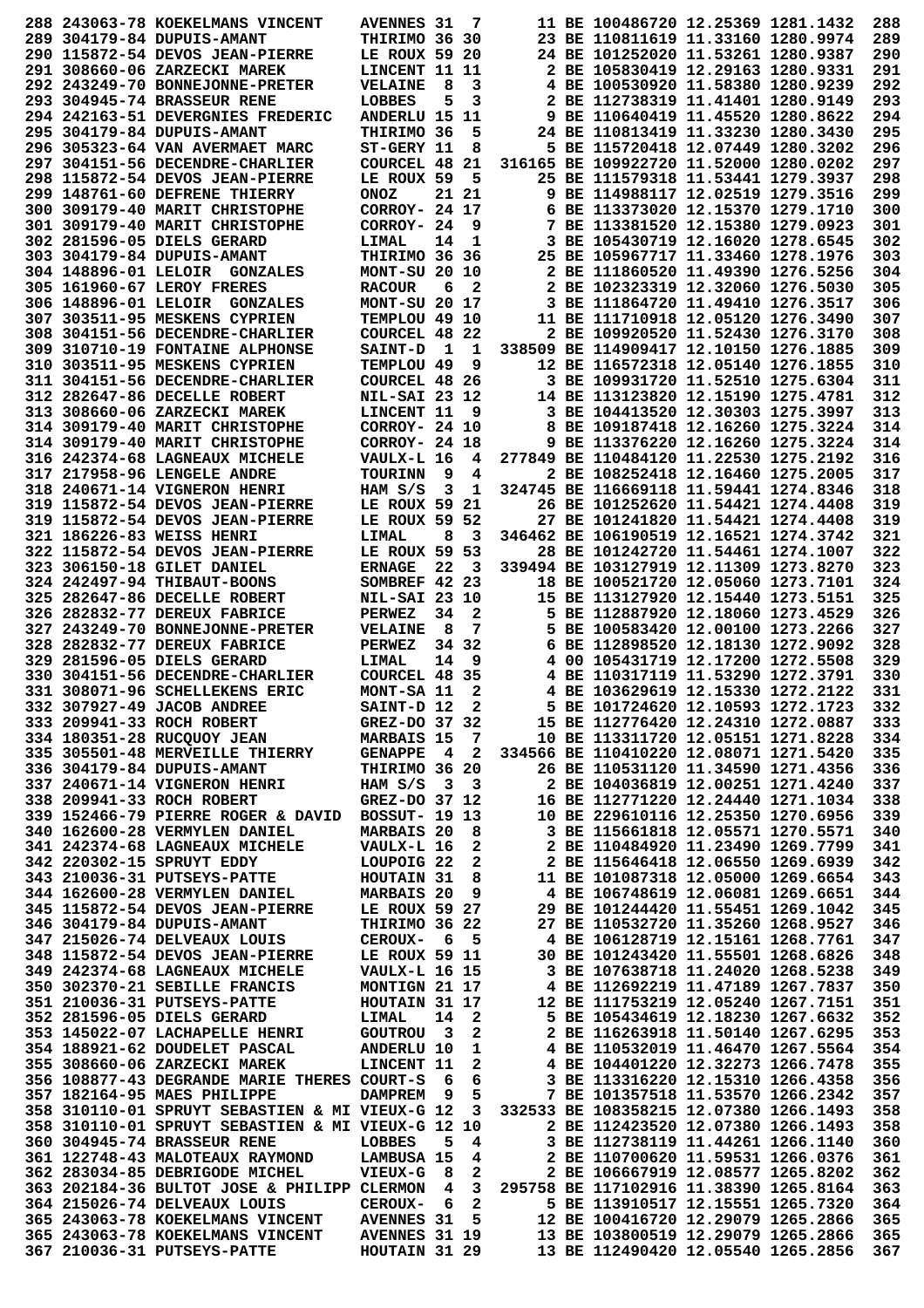|  | 288 243063-78 KOEKELMANS VINCENT                                                                                                                                                                                                                                    | <b>AVENNES 31</b>           |    | 7            |                                          | 11 BE 100486720 12.25369 1281.1432                                                                                              |  | 288        |
|--|---------------------------------------------------------------------------------------------------------------------------------------------------------------------------------------------------------------------------------------------------------------------|-----------------------------|----|--------------|------------------------------------------|---------------------------------------------------------------------------------------------------------------------------------|--|------------|
|  | 289 304179-84 DUPUIS-AMANT                                                                                                                                                                                                                                          | THIRIMO 36 30               |    |              |                                          | 23 BE 110811619 11.33160 1280.9974                                                                                              |  | 289        |
|  |                                                                                                                                                                                                                                                                     |                             |    |              |                                          |                                                                                                                                 |  |            |
|  | 290 115872-54 DEVOS JEAN-PIERRE                                                                                                                                                                                                                                     | LE ROUX 59 20               |    |              |                                          | 24 BE 101252020 11.53261 1280.9387                                                                                              |  | 290        |
|  | 291 308660-06 ZARZECKI MAREK                                                                                                                                                                                                                                        | LINCENT 11 11               |    |              |                                          | 2 BE 105830419 12.29163 1280.9331                                                                                               |  | 291        |
|  | <b>292 243249-70 BONNEJONNE-PRETER</b>                                                                                                                                                                                                                              | <b>VELAINE</b>              | 8  | 3            |                                          | 4 BE 100530920 11.58380 1280.9239                                                                                               |  | 292        |
|  | 293 304945-74 BRASSEUR RENE                                                                                                                                                                                                                                         | <b>LOBBES</b>               | 5  | 3            |                                          | 2 BE 112738319 11.41401 1280.9149                                                                                               |  | 293        |
|  | 294 242163-51 DEVERGNIES FREDERIC                                                                                                                                                                                                                                   | ANDERLU 15 11               |    |              |                                          | 9 BE 110640419 11.45520 1280.8622                                                                                               |  | 294        |
|  | 295 304179-84 DUPUIS-AMANT                                                                                                                                                                                                                                          | THIRIMO 36                  |    | 5            |                                          | 24 BE 110813419 11.33230 1280.3430                                                                                              |  | 295        |
|  | 296 305323-64 VAN AVERMAET MARC                                                                                                                                                                                                                                     | ST-GERY 11                  |    | 8            |                                          | 5 BE 115720418 12.07449 1280.3202                                                                                               |  | 296        |
|  |                                                                                                                                                                                                                                                                     |                             |    |              |                                          |                                                                                                                                 |  |            |
|  | 297 304151-56 DECENDRE-CHARLIER                                                                                                                                                                                                                                     | COURCEL 48 21               |    |              |                                          | 316165 BE 109922720 11.52000 1280.0202                                                                                          |  | 297        |
|  | 298 115872-54 DEVOS JEAN-PIERRE                                                                                                                                                                                                                                     | LE ROUX 59                  |    | 5            |                                          | 25 BE 111579318 11.53441 1279.3937                                                                                              |  | 298        |
|  | 299 148761-60 DEFRENE THIERRY                                                                                                                                                                                                                                       | <b>ONOZ</b>                 |    | 21 21        |                                          | 9 BE 114988117 12.02519 1279.3516                                                                                               |  | 299        |
|  | 300 309179-40 MARIT CHRISTOPHE                                                                                                                                                                                                                                      | CORROY- 24 17               |    |              |                                          | 6 BE 113373020 12.15370 1279.1710                                                                                               |  | 300        |
|  | 301 309179-40 MARIT CHRISTOPHE                                                                                                                                                                                                                                      | CORROY- 24                  |    | 9            |                                          | 7 BE 113381520 12.15380 1279.0923                                                                                               |  | 301        |
|  | 302 281596-05 DIELS GERARD                                                                                                                                                                                                                                          | LIMAL                       | 14 | 1            |                                          | 3 BE 105430719 12.16020 1278.6545                                                                                               |  | 302        |
|  | 303 304179-84 DUPUIS-AMANT                                                                                                                                                                                                                                          | THIRIMO 36 36               |    |              |                                          | 25 BE 105967717 11.33460 1278.1976                                                                                              |  | 303        |
|  |                                                                                                                                                                                                                                                                     |                             |    |              |                                          |                                                                                                                                 |  |            |
|  | 304 148896-01 LELOIR GONZALES                                                                                                                                                                                                                                       | MONT-SU 20 10               |    |              |                                          | 2 BE 111860520 11.49390 1276.5256                                                                                               |  | 304        |
|  | 305 161960-67 LEROY FRERES                                                                                                                                                                                                                                          | <b>RACOUR</b>               | 6  | 2            |                                          | 2 BE 102323319 12.32060 1276.5030                                                                                               |  | 305        |
|  | 306 148896-01 LELOIR GONZALES                                                                                                                                                                                                                                       | MONT-SU 20 17               |    |              |                                          | 3 BE 111864720 11.49410 1276.3517                                                                                               |  | 306        |
|  | 307 303511-95 MESKENS CYPRIEN                                                                                                                                                                                                                                       | TEMPLOU 49 10               |    |              |                                          | 11 BE 111710918 12.05120 1276.3490                                                                                              |  | 307        |
|  | 308 304151-56 DECENDRE-CHARLIER                                                                                                                                                                                                                                     | COURCEL 48 22               |    |              |                                          | 2 BE 109920520 11.52430 1276.3170                                                                                               |  | 308        |
|  | 309 310710-19 FONTAINE ALPHONSE                                                                                                                                                                                                                                     | <b>SAINT-D</b>              | 1  | 1            |                                          | 338509 BE 114909417 12.10150 1276.1885                                                                                          |  | 309        |
|  | 310 303511-95 MESKENS CYPRIEN                                                                                                                                                                                                                                       | TEMPLOU 49                  |    | 9            |                                          | 12 BE 116572318 12.05140 1276.1855                                                                                              |  | 310        |
|  | 311 304151-56 DECENDRE-CHARLIER                                                                                                                                                                                                                                     |                             |    |              |                                          | 3 BE 109931720 11.52510 1275.6304                                                                                               |  | 311        |
|  |                                                                                                                                                                                                                                                                     | COURCEL 48 26               |    |              |                                          |                                                                                                                                 |  |            |
|  | 312 282647-86 DECELLE ROBERT                                                                                                                                                                                                                                        | <b>NIL-SAI 23 12</b>        |    |              |                                          | 14 BE 113123820 12.15190 1275.4781                                                                                              |  | 312        |
|  | 313 308660-06 ZARZECKI MAREK                                                                                                                                                                                                                                        | LINCENT 11                  |    | 9            |                                          | 3 BE 104413520 12.30303 1275.3997                                                                                               |  | 313        |
|  | 314 309179-40 MARIT CHRISTOPHE                                                                                                                                                                                                                                      | CORROY- 24 10               |    |              |                                          | 8 BE 109187418 12.16260 1275.3224                                                                                               |  | 314        |
|  | 314 309179-40 MARIT CHRISTOPHE                                                                                                                                                                                                                                      | CORROY- 24 18               |    |              |                                          | 9 BE 113376220 12.16260 1275.3224                                                                                               |  | 314        |
|  | 316 242374-68 LAGNEAUX MICHELE                                                                                                                                                                                                                                      | VAULX-L 16                  |    | 4            |                                          | 277849 BE 110484120 11.22530 1275.2192                                                                                          |  | 316        |
|  | 317 217958-96 LENGELE ANDRE                                                                                                                                                                                                                                         | <b>TOURINN</b>              | 9  | 4            |                                          | 2 BE 108252418 12.16460 1275.2005                                                                                               |  | 317        |
|  | 318 240671-14 VIGNERON HENRI                                                                                                                                                                                                                                        | HAM S/S                     | 3  | 1            |                                          | 324745 BE 116669118 11.59441 1274.8346                                                                                          |  | 318        |
|  |                                                                                                                                                                                                                                                                     |                             |    |              |                                          |                                                                                                                                 |  |            |
|  | 319 115872-54 DEVOS JEAN-PIERRE                                                                                                                                                                                                                                     | LE ROUX 59 21               |    |              |                                          | 26 BE 101252620 11.54421 1274.4408                                                                                              |  | 319        |
|  | 319 115872-54 DEVOS JEAN-PIERRE                                                                                                                                                                                                                                     | LE ROUX 59 52               |    |              |                                          | 27 BE 101241820 11.54421 1274.4408                                                                                              |  | 319        |
|  | 321 186226-83 WEISS HENRI                                                                                                                                                                                                                                           | LIMAL                       | 8  | 3            |                                          | 346462 BE 106190519 12.16521 1274.3742                                                                                          |  | 321        |
|  | 322 115872-54 DEVOS JEAN-PIERRE                                                                                                                                                                                                                                     | LE ROUX 59 53               |    |              |                                          | 28 BE 101242720 11.54461 1274.1007                                                                                              |  | 322        |
|  | 323 306150-18 GILET DANIEL                                                                                                                                                                                                                                          | <b>ERNAGE</b>               | 22 | 3            |                                          | 339494 BE 103127919 12.11309 1273.8270                                                                                          |  | 323        |
|  | 324 242497-94 THIBAUT-BOONS                                                                                                                                                                                                                                         | SOMBREF 42 23               |    |              |                                          | 18 BE 100521720 12.05060 1273.7101                                                                                              |  | 324        |
|  | 325 282647-86 DECELLE ROBERT                                                                                                                                                                                                                                        |                             |    |              |                                          | 15 BE 113127920 12.15440 1273.5151                                                                                              |  | 325        |
|  |                                                                                                                                                                                                                                                                     | <b>NIL-SAI 23 10</b>        |    |              |                                          |                                                                                                                                 |  |            |
|  | 326 282832-77 DEREUX FABRICE                                                                                                                                                                                                                                        | <b>PERWEZ</b>               | 34 | 2            |                                          | 5 BE 112887920 12.18060 1273.4529                                                                                               |  | 326        |
|  | 327 243249-70 BONNEJONNE-PRETER                                                                                                                                                                                                                                     | <b>VELAINE</b>              | 8  | 7            |                                          | 5 BE 100583420 12.00100 1273.2266                                                                                               |  | 327        |
|  | 328 282832-77 DEREUX FABRICE                                                                                                                                                                                                                                        | <b>PERWEZ</b>               |    | 34 32        |                                          | 6 BE 112898520 12.18130 1272.9092                                                                                               |  | 328        |
|  | 329 281596-05 DIELS GERARD                                                                                                                                                                                                                                          | LIMAL                       | 14 | 9            |                                          | 4 00 105431719 12.17200 1272.5508                                                                                               |  | 329        |
|  |                                                                                                                                                                                                                                                                     |                             |    |              |                                          |                                                                                                                                 |  |            |
|  |                                                                                                                                                                                                                                                                     |                             |    |              |                                          |                                                                                                                                 |  | 330        |
|  | 330 304151-56 DECENDRE-CHARLIER                                                                                                                                                                                                                                     | COURCEL 48 35               |    |              |                                          | 4 BE 110317119 11.53290 1272.3791                                                                                               |  |            |
|  | 331 308071-96 SCHELLEKENS ERIC                                                                                                                                                                                                                                      | MONT-SA 11                  |    | 2            |                                          | 4 BE 103629619 12.15330 1272.2122                                                                                               |  | 331        |
|  | 332 307927-49 JACOB ANDREE                                                                                                                                                                                                                                          | SAINT-D 12 2                |    |              |                                          | 5 BE 101724620 12.10593 1272.1723                                                                                               |  | 332        |
|  | 333 209941-33 ROCH ROBERT                                                                                                                                                                                                                                           | GREZ-DO 37 32               |    |              |                                          | 15 BE 112776420 12.24310 1272.0887                                                                                              |  | 333        |
|  | 334 180351-28 RUCQUOY JEAN                                                                                                                                                                                                                                          | <b>MARBAIS 15 7</b>         |    |              |                                          | 10 BE 113311720 12.05151 1271.8228                                                                                              |  | 334        |
|  | 335 305501-48 MERVEILLE THIERRY GENAPPE 4 2 334566 BE 110410220 12.08071 1271.5420                                                                                                                                                                                  |                             |    |              |                                          |                                                                                                                                 |  | 335        |
|  | 336 304179-84 DUPUIS-AMANT                                                                                                                                                                                                                                          | <b>THIRIMO 36 20</b>        |    |              |                                          | 26 BE 110531120 11.34590 1271.4356                                                                                              |  | 336        |
|  | 337 240671-14 VIGNERON HENRI                                                                                                                                                                                                                                        | HAM $S/S$ 3 3               |    |              |                                          | 2 BE 104036819 12.00251 1271.4240                                                                                               |  | 337        |
|  |                                                                                                                                                                                                                                                                     |                             |    |              |                                          |                                                                                                                                 |  |            |
|  | 338 209941-33 ROCH ROBERT                                                                                                                                                                                                                                           | GREZ-DO 37 12               |    |              |                                          | 16 BE 112771220 12.24440 1271.1034                                                                                              |  | 338        |
|  | 339 152466-79 PIERRE ROGER & DAVID BOSSUT- 19 13                                                                                                                                                                                                                    |                             |    |              |                                          | 10 BE 229610116 12.25350 1270.6956                                                                                              |  | 339        |
|  | 340 162600-28 VERMYLEN DANIEL                                                                                                                                                                                                                                       | MARBAIS 20 8                |    |              |                                          | 3 BE 115661818 12.05571 1270.5571                                                                                               |  | 340        |
|  | 341 242374-68 LAGNEAUX MICHELE                                                                                                                                                                                                                                      | VAULX-L 16                  |    | $\mathbf{2}$ |                                          | 2 BE 110484920 11.23490 1269.7799                                                                                               |  | 341        |
|  |                                                                                                                                                                                                                                                                     |                             |    |              |                                          |                                                                                                                                 |  | 342        |
|  |                                                                                                                                                                                                                                                                     |                             |    |              |                                          | 2 BE 115646418 12.06550 1269.6939<br>11 BE 115646418 12.06550 1269.6939 11 BE 10109710 10<br>11 BE 101087318 12.05000 1269.6654 |  | 343        |
|  | 342 220302-15 SPRUYT EDDY         LOUPOIG 22 2<br>343 210036-31 PUTSEYS-PATTE       HOUTAIN 31 8<br>344 162600-28 VERMYLEN DANIEL       MARBAIS 20 9                                                                                                                |                             |    |              |                                          | 4 BE 106748619 12.06081 1269.6651                                                                                               |  | 344        |
|  |                                                                                                                                                                                                                                                                     |                             |    |              |                                          | 29 BE 101244420 11.55451 1269.1042                                                                                              |  | 345        |
|  | 345 115872-54 DEVOS JEAN-PIERRE LE ROUX 59 27                                                                                                                                                                                                                       |                             |    |              |                                          |                                                                                                                                 |  |            |
|  | 346 304179-84 DUPUIS-AMANT                                                                                                                                                                                                                                          |                             |    |              |                                          | 27 BE 110532720 11.35260 1268.9527                                                                                              |  | 346        |
|  |                                                                                                                                                                                                                                                                     |                             |    |              |                                          |                                                                                                                                 |  | 347        |
|  |                                                                                                                                                                                                                                                                     |                             |    |              |                                          |                                                                                                                                 |  | 348        |
|  |                                                                                                                                                                                                                                                                     |                             |    |              |                                          |                                                                                                                                 |  | 349        |
|  |                                                                                                                                                                                                                                                                     |                             |    |              |                                          |                                                                                                                                 |  | 350        |
|  |                                                                                                                                                                                                                                                                     |                             |    |              |                                          |                                                                                                                                 |  | 351        |
|  |                                                                                                                                                                                                                                                                     |                             |    |              |                                          |                                                                                                                                 |  |            |
|  | 347 215026-74 DELVEAUX LOUIS<br>348 115872-54 DEVOS JEAN-PIERRE<br>349 242374-68 LAGNEAUX MICHELE<br>350 302370-21 SEBILLE FRANCIS<br>350 302370-21 DITTSEYS-PATTE<br>360 302370-21 DITTSEYS-PATTE<br>360 302370-21 DITTSEYS-PATTE<br>360 30                        |                             |    |              |                                          |                                                                                                                                 |  | 352        |
|  |                                                                                                                                                                                                                                                                     |                             |    |              |                                          |                                                                                                                                 |  | 353        |
|  |                                                                                                                                                                                                                                                                     |                             |    |              |                                          |                                                                                                                                 |  | 354        |
|  |                                                                                                                                                                                                                                                                     |                             |    |              |                                          |                                                                                                                                 |  | 355        |
|  |                                                                                                                                                                                                                                                                     |                             |    |              |                                          |                                                                                                                                 |  | 356        |
|  | 350 302370-21 SEBILLE FRANCIS<br>351 210036-31 PUTSEYS-PATTE HOUTAIN 31 17<br>352 281596-05 DIELS GERARD LIMAL 14 2 5 BE 105434619 12.18230 1267.6632<br>353 145022-07 LACHAPELLE HENRI GOUTROU 3 2 2 BE 116263918 11.50140 1267.629<br>357 182164-95 MAES PHILIPPE | DAMPREM 9 5                 |    |              |                                          | 7 BE 101357518 11.53570 1266.2342                                                                                               |  | 357        |
|  | 358 310110-01 SPRUYT SEBASTIEN & MI VIEUX-G 12 3 332533 BE 108358215 12.07380 1266.1493                                                                                                                                                                             |                             |    |              |                                          |                                                                                                                                 |  | 358        |
|  | 358 310110-01 SPRUYT SEBASTIEN & MI VIEUX-G 12 10                                                                                                                                                                                                                   |                             |    |              | 2 BE 112423520 12.07380 1266.1493        |                                                                                                                                 |  | 358        |
|  | 360 304945-74 BRASSEUR RENE                                                                                                                                                                                                                                         | LOBBES                      | 5. | 4            |                                          |                                                                                                                                 |  | 360        |
|  |                                                                                                                                                                                                                                                                     |                             |    |              | 3 BE 112738119 11.44261 1266.1140        |                                                                                                                                 |  |            |
|  | 361 122748-43 MALOTEAUX RAYMOND                                                                                                                                                                                                                                     |                             |    |              |                                          | 2 BE 110700620 11.59531 1266.0376                                                                                               |  | 361        |
|  | 362 283034-85 DEBRIGODE MICHEL                                                                                                                                                                                                                                      | LAMBUSA 15 4<br>VIEUX-G 8 2 |    |              |                                          | 2 BE 106667919 12.08577 1265.8202                                                                                               |  | 362        |
|  | 363 202184-36 BULTOT JOSE & PHILIPP CLERMON 4                                                                                                                                                                                                                       |                             |    |              | 3 295758 BE 117102916 11.38390 1265.8164 |                                                                                                                                 |  | 363        |
|  | 364 215026-74 DELVEAUX LOUIS                                                                                                                                                                                                                                        | CEROUX- 6 2                 |    |              |                                          | 5 BE 113910517 12.15551 1265.7320                                                                                               |  | 364        |
|  | 365 243063-78 KOEKELMANS VINCENT AVENNES 31 5 12 BE 100416720 12.29079 1265.2866                                                                                                                                                                                    |                             |    |              |                                          |                                                                                                                                 |  | 365        |
|  | 365 243063-78 KOEKELMANS VINCENT AVENNES 31 19 13 BE 103800519 12.29079 1265.2866<br>367 210036-31 PUTSEYS-PATTE                                                                                                                                                    | <b>HOUTAIN 31 29</b>        |    |              |                                          | 13 BE 112490420 12.05540 1265.2856                                                                                              |  | 365<br>367 |